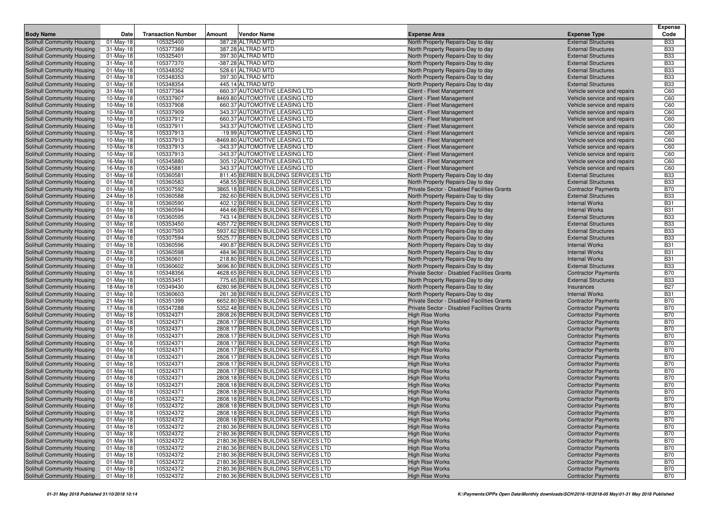| <b>Body Name</b>                                         | Date                      | <b>Transaction Number</b> | Amount | Vendor Name                                                                  | <b>Expense Area</b>                                                              | <b>Expense Type</b>                                      | <b>Expense</b><br>Code   |
|----------------------------------------------------------|---------------------------|---------------------------|--------|------------------------------------------------------------------------------|----------------------------------------------------------------------------------|----------------------------------------------------------|--------------------------|
| Solihull Community Housing                               | $\overline{01}$ -May-18   | 105325400                 |        | 387.28 ALTRAD MTD                                                            | North Property Repairs-Day to day                                                | <b>External Structures</b>                               | <b>B33</b>               |
| Solihull Community Housing                               | $31-May-18$               | 105377369                 |        | 387.28 ALTRAD MTD                                                            | North Property Repairs-Day to day                                                | <b>External Structures</b>                               | <b>B33</b>               |
| Solihull Community Housing                               | $01$ -May-18              | 105325401                 |        | 397.30 ALTRAD MTD                                                            | North Property Repairs-Day to day                                                | <b>External Structures</b>                               | <b>B33</b>               |
| Solihull Community Housing                               | $31-May-18$               | 105377370                 |        | -387.28 ALTRAD MTD                                                           | North Property Repairs-Day to day                                                | <b>External Structures</b>                               | <b>B33</b>               |
| <b>Solihull Community Housing</b>                        | $01$ -May-18              | 105348352                 |        | 528.61 ALTRAD MTD                                                            | North Property Repairs-Day to day                                                | <b>External Structures</b>                               | <b>B33</b>               |
| Solihull Community Housing                               | $01$ -May-18              | 105348353                 |        | 397.30 ALTRAD MTD                                                            | North Property Repairs-Day to day                                                | <b>External Structures</b>                               | <b>B33</b>               |
| Solihull Community Housing                               | $01$ -May-18              | 105348354                 |        | 445.14 ALTRAD MTD                                                            | North Property Repairs-Day to day                                                | <b>External Structures</b>                               | <b>B33</b>               |
| Solihull Community Housing                               | 31-May-18                 | 105377364                 |        | 660.37 AUTOMOTIVE LEASING LTD                                                | Client - Fleet Management                                                        | Vehicle service and repairs                              | C60                      |
| Solihull Community Housing                               | $10$ -May-18              | 105337907                 |        | 8469.80 AUTOMOTIVE LEASING LTD                                               | Client - Fleet Management                                                        | Vehicle service and repairs                              | C60                      |
| Solihull Community Housing                               | $10$ -May-18              | 105337908                 |        | 660.37 AUTOMOTIVE LEASING LTD                                                | Client - Fleet Management                                                        | Vehicle service and repairs                              | C60                      |
| Solihull Community Housing                               | 10-May-18                 | 105337909                 |        | 343.37 AUTOMOTIVE LEASING LTD                                                | Client - Fleet Management                                                        | Vehicle service and repairs                              | C60                      |
| Solihull Community Housing                               | $10$ -May-18              | 105337912                 |        | 660.37 AUTOMOTIVE LEASING LTD                                                | Client - Fleet Management                                                        | Vehicle service and repairs                              | C60                      |
| Solihull Community Housing                               | $10$ -May-18              | 105337911                 |        | 343.37 AUTOMOTIVE LEASING LTD                                                | Client - Fleet Management                                                        | Vehicle service and repairs                              | C60                      |
| Solihull Community Housing                               | $10$ -May-18              | 105337913                 |        | -19.99 AUTOMOTIVE LEASING LTD                                                | Client - Fleet Management                                                        | Vehicle service and repairs                              | C60                      |
| Solihull Community Housing                               | 10-May-18                 | 105337913                 |        | -8469.80 AUTOMOTIVE LEASING LTD                                              | Client - Fleet Management                                                        | Vehicle service and repairs                              | C60                      |
| Solihull Community Housing                               | $10-May-18$               | 105337913                 |        | -343.37 AUTOMOTIVE LEASING LTD                                               | Client - Fleet Management                                                        | Vehicle service and repairs                              | C60                      |
| Solihull Community Housing                               | 10-May-18                 | 105337913                 |        | -343.37 AUTOMOTIVE LEASING LTD                                               | Client - Fleet Management                                                        | Vehicle service and repairs                              | C60                      |
| Solihull Community Housing                               | 16-May-18                 | 105345880                 |        | 305.12 AUTOMOTIVE LEASING LTD                                                | Client - Fleet Management                                                        | Vehicle service and repairs                              | C60                      |
| Solihull Community Housing                               | 16-May-18                 | 105345881                 |        | 343.37 AUTOMOTIVE LEASING LTD                                                | Client - Fleet Management                                                        | Vehicle service and repairs                              | C60                      |
| Solihull Community Housing                               | $01$ -May-18              | 105360581                 |        | 811.45 BERBEN BUILDING SERVICES LTD                                          | North Property Repairs-Day to day                                                | <b>External Structures</b>                               | <b>B33</b>               |
| Solihull Community Housing                               | 01-May-18                 | 105360583                 |        | 458.55 BERBEN BUILDING SERVICES LTD                                          | North Property Repairs-Day to day                                                | <b>External Structures</b>                               | <b>B33</b>               |
| Solihull Community Housing                               | $01$ -May-18              | 105307592<br>105360588    |        | 3865.18 BERBEN BUILDING SERVICES LTD<br>282.60 BERBEN BUILDING SERVICES LTD  | Private Sector - Disabled Facilities Grants<br>North Property Repairs-Day to day | <b>Contractor Payments</b>                               | <b>B70</b><br><b>B33</b> |
| Solihull Community Housing<br>Solihull Community Housing | 24-May-18<br>$01$ -May-18 | 105360590                 |        | 402.12 BERBEN BUILDING SERVICES LTD                                          |                                                                                  | <b>External Structures</b><br><b>Internal Works</b>      | <b>B31</b>               |
| Solihull Community Housing                               | $01$ -May-18              | 105360594                 |        | 464.66 BERBEN BUILDING SERVICES LTD                                          | North Property Repairs-Day to day<br>North Property Repairs-Day to day           | <b>Internal Works</b>                                    | <b>B31</b>               |
| Solihull Community Housing                               | 01-May-18                 | 105360595                 |        | 743.14 BERBEN BUILDING SERVICES LTD                                          | North Property Repairs-Day to day                                                | <b>External Structures</b>                               | <b>B33</b>               |
| Solihull Community Housing                               | $01$ -May-18              | 105353450                 |        | 4357.72 BERBEN BUILDING SERVICES LTD                                         | North Property Repairs-Day to day                                                | <b>External Structures</b>                               | <b>B33</b>               |
| Solihull Community Housing                               | $01$ -May-18              | 105307593                 |        | 5937.62 BERBEN BUILDING SERVICES LTD                                         | North Property Repairs-Day to day                                                | <b>External Structures</b>                               | <b>B33</b>               |
| Solihull Community Housing                               | $01$ -May-18              | 105307594                 |        | 5525.77 BERBEN BUILDING SERVICES LTD                                         | North Property Repairs-Day to day                                                | <b>External Structures</b>                               | <b>B33</b>               |
| Solihull Community Housing                               | $01$ -May-18              | 105360596                 |        | 490.87 BERBEN BUILDING SERVICES LTD                                          | North Property Repairs-Day to day                                                | <b>Internal Works</b>                                    | <b>B31</b>               |
| Solihull Community Housing                               | $01$ -May-18              | 105360598                 |        | 484.96 BERBEN BUILDING SERVICES LTD                                          | North Property Repairs-Day to day                                                | <b>Internal Works</b>                                    | <b>B31</b>               |
| Solihull Community Housing                               | 01-May-18                 | 105360601                 |        | 218.80 BERBEN BUILDING SERVICES LTD                                          | North Property Repairs-Day to day                                                | <b>Internal Works</b>                                    | <b>B31</b>               |
| Solihull Community Housing                               | 01-May-18                 | 105360602                 |        | 3696.80 BERBEN BUILDING SERVICES LTD                                         | North Property Repairs-Day to day                                                | <b>External Structures</b>                               | <b>B33</b>               |
| Solihull Community Housing                               | $01$ -May-18              | 105348356                 |        | 4628.65 BERBEN BUILDING SERVICES LTD                                         | Private Sector - Disabled Facilities Grants                                      | <b>Contractor Payments</b>                               | <b>B70</b>               |
| Solihull Community Housing                               | $01$ -May-18              | 105353451                 |        | 775.65 BERBEN BUILDING SERVICES LTD                                          | North Property Repairs-Day to day                                                | <b>External Structures</b>                               | <b>B33</b>               |
| Solihull Community Housing                               | 18-May-18                 | 105349430                 |        | 6280.98 BERBEN BUILDING SERVICES LTD                                         | North Property Repairs-Day to day                                                | Insurances                                               | <b>B27</b>               |
| Solihull Community Housing                               | $01$ -May-18              | 105360603                 |        | 261.38 BERBEN BUILDING SERVICES LTD                                          | North Property Repairs-Day to day                                                | <b>Internal Works</b>                                    | <b>B31</b>               |
| Solihull Community Housing                               | 21-May-18                 | 105351399                 |        | 6652.80 BERBEN BUILDING SERVICES LTD                                         | Private Sector - Disabled Facilities Grants                                      | <b>Contractor Payments</b>                               | <b>B70</b>               |
| Solihull Community Housing                               | 17-May-18                 | 105347288                 |        | 5352.48 BERBEN BUILDING SERVICES LTD                                         | Private Sector - Disabled Facilities Grants                                      | <b>Contractor Payments</b>                               | <b>B70</b>               |
| Solihull Community Housing                               | $01$ -May-18              | 105324371                 |        | 2808.26 BERBEN BUILDING SERVICES LTD                                         | <b>High Rise Works</b>                                                           | <b>Contractor Payments</b>                               | <b>B70</b>               |
| Solihull Community Housing                               | $01$ -May-18              | 105324371                 |        | 2808.17 BERBEN BUILDING SERVICES LTD                                         | <b>High Rise Works</b>                                                           | <b>Contractor Payments</b>                               | <b>B70</b>               |
| Solihull Community Housing                               | 01-May-18                 | 105324371                 |        | 2808.17 BERBEN BUILDING SERVICES LTD                                         | <b>High Rise Works</b>                                                           | <b>Contractor Payments</b>                               | <b>B70</b>               |
| Solihull Community Housing                               | $01$ -May-18              | 105324371                 |        | 2808.17 BERBEN BUILDING SERVICES LTD                                         | <b>High Rise Works</b>                                                           | <b>Contractor Payments</b>                               | <b>B70</b>               |
| Solihull Community Housing                               | $01$ -May-18              | 105324371                 |        | 2808.17 BERBEN BUILDING SERVICES LTD                                         | <b>High Rise Works</b>                                                           | <b>Contractor Payments</b>                               | <b>B70</b>               |
| Solihull Community Housing                               | 01-May-18                 | 105324371                 |        | 2808.17 BERBEN BUILDING SERVICES LTD                                         | <b>High Rise Works</b>                                                           | <b>Contractor Payments</b>                               | <b>B70</b>               |
| Solihull Community Housing                               | 01-May-18                 | 105324371                 |        | 2808.17 BERBEN BUILDING SERVICES LTD                                         | <b>High Rise Works</b>                                                           | <b>Contractor Payments</b>                               | <b>B70</b>               |
| Solihull Community Housing                               | 01-May-18                 | 105324371                 |        | 2808.17 BERBEN BUILDING SERVICES LTD                                         | <b>High Rise Works</b>                                                           | <b>Contractor Payments</b>                               | <b>B70</b>               |
| Solihull Community Housing                               | $01$ -May-18              | 105324371                 |        | 2808.17 BERBEN BUILDING SERVICES LTD                                         | <b>High Rise Works</b>                                                           | <b>Contractor Payments</b>                               | <b>B70</b>               |
| Solihull Community Housing                               | 01-May-18                 | 105324371                 |        | 2808.18 BERBEN BUILDING SERVICES LTD                                         | <b>High Rise Works</b>                                                           | <b>Contractor Payments</b>                               | <b>B70</b>               |
| Solihull Community Housing                               | 01-May-18                 | 105324371                 |        | 2808.18 BERBEN BUILDING SERVICES LTD                                         | <b>High Rise Works</b>                                                           | <b>Contractor Payments</b>                               | <b>B70</b>               |
| Solihull Community Housing                               | 01-May-18                 | 105324371                 |        | 2808.18 BERBEN BUILDING SERVICES LTD                                         | <b>High Rise Works</b>                                                           | <b>Contractor Payments</b>                               | <b>B70</b>               |
| Solihull Community Housing                               | $01$ -May-18              | 105324372                 |        | 2808.18 BERBEN BUILDING SERVICES LTD                                         | <b>High Rise Works</b>                                                           | <b>Contractor Payments</b>                               | <b>B70</b>               |
| Solihull Community Housing                               | 01-May-18                 | 105324372                 |        | 2808.18 BERBEN BUILDING SERVICES LTD                                         | <b>High Rise Works</b>                                                           | <b>Contractor Payments</b>                               | <b>B70</b>               |
| Solihull Community Housing                               | 01-May-18                 | 105324372                 |        | 2808.18 BERBEN BUILDING SERVICES LTD                                         | <b>High Rise Works</b>                                                           | <b>Contractor Payments</b>                               | <b>B70</b>               |
| Solihull Community Housing                               | $01$ -May-18              | 105324372                 |        | 2808.18 BERBEN BUILDING SERVICES LTD                                         | <b>High Rise Works</b>                                                           | <b>Contractor Payments</b>                               | <b>B70</b>               |
| Solihull Community Housing                               | $01$ -May-18              | 105324372                 |        | 2180.36 BERBEN BUILDING SERVICES LTD                                         | <b>High Rise Works</b>                                                           | <b>Contractor Payments</b>                               | <b>B70</b>               |
| Solihull Community Housing                               | 01-May-18                 | 105324372                 |        | 2180.36 BERBEN BUILDING SERVICES LTD                                         | <b>High Rise Works</b>                                                           | <b>Contractor Payments</b>                               | <b>B70</b>               |
| Solihull Community Housing                               | 01-May-18                 | 105324372                 |        | 2180.36 BERBEN BUILDING SERVICES LTD                                         | <b>High Rise Works</b>                                                           | <b>Contractor Payments</b>                               | <b>B70</b>               |
| Solihull Community Housing                               | 01-May-18                 | 105324372                 |        | 2180.36 BERBEN BUILDING SERVICES LTD                                         | <b>High Rise Works</b>                                                           | <b>Contractor Payments</b>                               | <b>B70</b>               |
| Solihull Community Housing<br>Solihull Community Housing | 01-May-18<br>01-May-18    | 105324372<br>105324372    |        | 2180.36 BERBEN BUILDING SERVICES LTD<br>2180.36 BERBEN BUILDING SERVICES LTD | <b>High Rise Works</b><br><b>High Rise Works</b>                                 | <b>Contractor Payments</b><br><b>Contractor Payments</b> | <b>B70</b><br><b>B70</b> |
| Solihull Community Housing                               | 01-May-18                 | 105324372                 |        | 2180.36 BERBEN BUILDING SERVICES LTD                                         | <b>High Rise Works</b>                                                           | <b>Contractor Payments</b>                               | <b>B70</b>               |
| Solihull Community Housing                               | 01-May-18                 | 105324372                 |        | 2180.36 BERBEN BUILDING SERVICES LTD                                         | <b>High Rise Works</b>                                                           | <b>Contractor Payments</b>                               | <b>B70</b>               |
|                                                          |                           |                           |        |                                                                              |                                                                                  |                                                          |                          |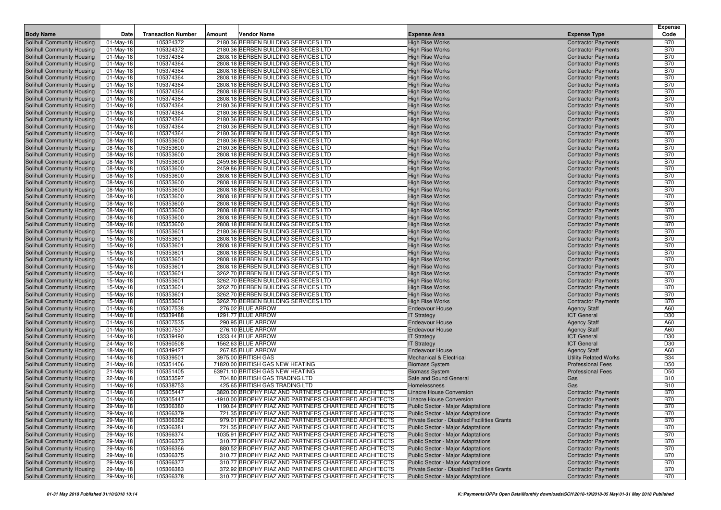|                                   |              |                           |                                                        |                                             |                                           | <b>Expense</b>  |
|-----------------------------------|--------------|---------------------------|--------------------------------------------------------|---------------------------------------------|-------------------------------------------|-----------------|
| <b>Body Name</b>                  | Date         | <b>Transaction Number</b> | Amount<br>Vendor Name                                  | <b>Expense Area</b>                         | <b>Expense Type</b>                       | Code            |
| Solihull Community Housing        | 01-May-18    | 105324372                 | 2180.36 BERBEN BUILDING SERVICES LTD                   | <b>High Rise Works</b>                      | <b>Contractor Payments</b>                | <b>B70</b>      |
| Solihull Community Housing        | 01-May-18    | 105324372                 | 2180.36 BERBEN BUILDING SERVICES LTD                   | <b>High Rise Works</b>                      | <b>Contractor Payments</b>                | <b>B70</b>      |
| Solihull Community Housing        | $01$ -May-18 | 105374364                 | 2808.18 BERBEN BUILDING SERVICES LTD                   | <b>High Rise Works</b>                      | <b>Contractor Payments</b>                | <b>B70</b>      |
| Solihull Community Housing        | $01$ -May-18 | 105374364                 | 2808.18 BERBEN BUILDING SERVICES LTD                   | <b>High Rise Works</b>                      |                                           | <b>B70</b>      |
|                                   | 01-May-18    | 105374364                 |                                                        |                                             | <b>Contractor Payments</b>                | <b>B70</b>      |
| Solihull Community Housing        |              |                           | 2808.18 BERBEN BUILDING SERVICES LTD                   | <b>High Rise Works</b>                      | <b>Contractor Payments</b>                |                 |
| Solihull Community Housing        | 01-May-18    | 105374364                 | 2808.18 BERBEN BUILDING SERVICES LTD                   | <b>High Rise Works</b>                      | <b>Contractor Payments</b>                | <b>B70</b>      |
| Solihull Community Housing        | $01$ -May-18 | 105374364                 | 2808.18 BERBEN BUILDING SERVICES LTD                   | <b>High Rise Works</b>                      | <b>Contractor Payments</b>                | <b>B70</b>      |
| Solihull Community Housing        | 01-May-18    | 105374364                 | 2808.18 BERBEN BUILDING SERVICES LTD                   | <b>High Rise Works</b>                      | <b>Contractor Payments</b>                | <b>B70</b>      |
| Solihull Community Housing        | 01-May-18    | 105374364                 | 2808.18 BERBEN BUILDING SERVICES LTD                   | <b>High Rise Works</b>                      | <b>Contractor Payments</b>                | <b>B70</b>      |
| Solihull Community Housing        | 01-May-18    | 105374364                 | 2180.36 BERBEN BUILDING SERVICES LTD                   | <b>High Rise Works</b>                      | <b>Contractor Payments</b>                | <b>B70</b>      |
| Solihull Community Housing        | $01$ -May-18 | 105374364                 | 2180.36 BERBEN BUILDING SERVICES LTD                   | <b>High Rise Works</b>                      | <b>Contractor Payments</b>                | <b>B70</b>      |
| Solihull Community Housing        | $01$ -May-18 | 105374364                 | 2180.36 BERBEN BUILDING SERVICES LTD                   | <b>High Rise Works</b>                      | <b>Contractor Payments</b>                | <b>B70</b>      |
| Solihull Community Housing        | 01-May-18    | 105374364                 | 2180.36 BERBEN BUILDING SERVICES LTD                   | <b>High Rise Works</b>                      | <b>Contractor Payments</b>                | <b>B70</b>      |
| Solihull Community Housing        | 01-May-18    | 105374364                 | 2180.36 BERBEN BUILDING SERVICES LTD                   | <b>High Rise Works</b>                      | <b>Contractor Payments</b>                | <b>B70</b>      |
| Solihull Community Housing        | 08-May-18    | 105353600                 | 2180.36 BERBEN BUILDING SERVICES LTD                   | <b>High Rise Works</b>                      | <b>Contractor Payments</b>                | <b>B70</b>      |
| Solihull Community Housing        | 08-May-18    | 105353600                 | 2180.36 BERBEN BUILDING SERVICES LTD                   | <b>High Rise Works</b>                      | <b>Contractor Payments</b>                | <b>B70</b>      |
| Solihull Community Housing        | 08-May-18    | 105353600                 | 2808.18 BERBEN BUILDING SERVICES LTD                   | <b>High Rise Works</b>                      | <b>Contractor Payments</b>                | <b>B70</b>      |
| Solihull Community Housing        | 08-May-18    | 105353600                 | 2459.86 BERBEN BUILDING SERVICES LTD                   | <b>High Rise Works</b>                      | <b>Contractor Payments</b>                | <b>B70</b>      |
| Solihull Community Housing        | 08-May-18    | 105353600                 | 2459.86 BERBEN BUILDING SERVICES LTD                   | <b>High Rise Works</b>                      | <b>Contractor Payments</b>                | <b>B70</b>      |
| Solihull Community Housing        | 08-May-18    | 105353600                 | 2808.18 BERBEN BUILDING SERVICES LTD                   | <b>High Rise Works</b>                      | <b>Contractor Payments</b>                | <b>B70</b>      |
| Solihull Community Housing        | 08-May-18    | 105353600                 | 2808.18 BERBEN BUILDING SERVICES LTD                   | <b>High Rise Works</b>                      | <b>Contractor Payments</b>                | <b>B70</b>      |
| Solihull Community Housing        | 08-May-18    | 105353600                 | 2808.18 BERBEN BUILDING SERVICES LTD                   | <b>High Rise Works</b>                      | <b>Contractor Payments</b>                | <b>B70</b>      |
| Solihull Community Housing        | 08-May-18    | 105353600                 | 2808.18 BERBEN BUILDING SERVICES LTD                   | <b>High Rise Works</b>                      | <b>Contractor Payments</b>                | <b>B70</b>      |
| Solihull Community Housing        | 08-May-18    | 105353600                 | 2808.18 BERBEN BUILDING SERVICES LTD                   | <b>High Rise Works</b>                      | <b>Contractor Payments</b>                | <b>B70</b>      |
| Solihull Community Housing        | 08-May-18    | 105353600                 | 2808.18 BERBEN BUILDING SERVICES LTD                   | <b>High Rise Works</b>                      | <b>Contractor Payments</b>                | <b>B70</b>      |
| Solihull Community Housing        | 08-May-18    | 105353600                 | 2808.18 BERBEN BUILDING SERVICES LTD                   | <b>High Rise Works</b>                      | <b>Contractor Payments</b>                | <b>B70</b>      |
| Solihull Community Housing        | 08-May-18    | 105353600                 | 2808.18 BERBEN BUILDING SERVICES LTD                   | <b>High Rise Works</b>                      | <b>Contractor Payments</b>                | <b>B70</b>      |
| Solihull Community Housing        | 15-May-18    | 105353601                 | 2180.36 BERBEN BUILDING SERVICES LTD                   | <b>High Rise Works</b>                      | <b>Contractor Payments</b>                | <b>B70</b>      |
| Solihull Community Housing        | 15-May-18    | 105353601                 | 2808.18 BERBEN BUILDING SERVICES LTD                   | <b>High Rise Works</b>                      | <b>Contractor Payments</b>                | <b>B70</b>      |
| Solihull Community Housing        | 15-May-18    | 105353601                 | 2808.18 BERBEN BUILDING SERVICES LTD                   | <b>High Rise Works</b>                      | <b>Contractor Payments</b>                | <b>B70</b>      |
| Solihull Community Housing        | 15-May-18    | 105353601                 | 2808.18 BERBEN BUILDING SERVICES LTD                   | <b>High Rise Works</b>                      | <b>Contractor Payments</b>                | <b>B70</b>      |
| Solihull Community Housing        | 15-May-18    | 105353601                 | 2808.18 BERBEN BUILDING SERVICES LTD                   | <b>High Rise Works</b>                      | <b>Contractor Payments</b>                | <b>B70</b>      |
| Solihull Community Housing        | 15-May-18    | 105353601                 | 2808.18 BERBEN BUILDING SERVICES LTD                   | <b>High Rise Works</b>                      | <b>Contractor Payments</b>                | <b>B70</b>      |
| Solihull Community Housing        | 15-May-18    | 105353601                 | 3262.70 BERBEN BUILDING SERVICES LTD                   | <b>High Rise Works</b>                      | <b>Contractor Payments</b>                | <b>B70</b>      |
| Solihull Community Housing        | 15-May-18    | 105353601                 | 3262.70 BERBEN BUILDING SERVICES LTD                   | <b>High Rise Works</b>                      | <b>Contractor Payments</b>                | <b>B70</b>      |
| Solihull Community Housing        | 15-May-18    | 105353601                 | 3262.70 BERBEN BUILDING SERVICES LTD                   | <b>High Rise Works</b>                      | <b>Contractor Payments</b>                | <b>B70</b>      |
| Solihull Community Housing        | 15-May-18    | 105353601                 | 3262.70 BERBEN BUILDING SERVICES LTD                   | <b>High Rise Works</b>                      | <b>Contractor Payments</b>                | <b>B70</b>      |
| Solihull Community Housing        | 15-May-18    | 105353601                 | 3262.70 BERBEN BUILDING SERVICES LTD                   | <b>High Rise Works</b>                      | <b>Contractor Payments</b>                | <b>B70</b>      |
| Solihull Community Housing        | 01-May-18    | 105307538                 | 276.02 BLUE ARROW                                      | <b>Endeavour House</b>                      | <b>Agency Staff</b>                       | A60             |
| Solihull Community Housing        | 14-May-18    | 105339488                 | 1291.77 BLUE ARROW                                     | <b>IT Strategy</b>                          | <b>ICT General</b>                        | D30             |
| Solihull Community Housing        |              | 105307535                 | 290.95 BLUE ARROW                                      | <b>Endeavour House</b>                      | <b>Agency Staff</b>                       | A60             |
|                                   | 01-May-18    |                           | 276.10 BLUE ARROW                                      | <b>Endeavour House</b>                      |                                           | A60             |
| Solihull Community Housing        | $01$ -May-18 | 105307537<br>105339490    |                                                        |                                             | <b>Agency Staff</b><br><b>ICT General</b> | D30             |
| Solihull Community Housing        | 14-May-18    |                           | 1333.44 BLUE ARROW                                     | <b>IT Strategy</b>                          | <b>ICT</b> General                        | D30             |
| Solihull Community Housing        | 24-May-18    | 105360508                 | 1562.63 BLUE ARROW                                     | <b>IT Strategy</b>                          |                                           |                 |
| Solihull Community Housing        | 18-May-18    | 105349427                 | 267.85 BLUE ARROW                                      | <b>Endeavour House</b>                      | <b>Agency Staff</b>                       | A60             |
| Solihull Community Housing        | 14-May-18    | 105339501                 | 3975.00 BRITISH GAS                                    | <b>Mechanical &amp; Electrical</b>          | <b>Utility Related Works</b>              | <b>B34</b>      |
| Solihull Community Housing        | 21-May-18    | 105351406                 | 71820.00 BRITISH GAS NEW HEATING                       | <b>Biomass System</b>                       | <b>Professional Fees</b>                  | D <sub>50</sub> |
| Solihull Community Housing        | 21-May-18    | 105351405                 | 63971.10 BRITISH GAS NEW HEATING                       | <b>Biomass System</b>                       | <b>Professional Fees</b>                  | D <sub>50</sub> |
| Solihull Community Housing        | 22-May-18    | 105353597                 | 704.80 BRITISH GAS TRADING LTD                         | Safe and Sound General                      | Gas                                       | <b>B10</b>      |
| Solihull Community Housing        | 11-May-18    | 105338753                 | 425.65 BRITISH GAS TRADING LTD                         | Homelessness                                | Gas                                       | <b>B10</b>      |
| Solihull Community Housing        | 01-May-18    | 105305447                 | 3820.00 BROPHY RIAZ AND PARTNERS CHARTERED ARCHITECTS  | <b>Linacre House Conversion</b>             | <b>Contractor Payments</b>                | <b>B70</b>      |
| Solihull Community Housing        | 01-May-18    | 105305447                 | -1910.00 BROPHY RIAZ AND PARTNERS CHARTERED ARCHITECTS | <b>Linacre House Conversion</b>             | <b>Contractor Payments</b>                | <b>B70</b>      |
| <b>Solihull Community Housing</b> | 29-May-18    | 105366380                 | 1190.64 BROPHY RIAZ AND PARTNERS CHARTERED ARCHITECTS  | <b>Public Sector - Major Adaptations</b>    | <b>Contractor Payments</b>                | <b>B70</b>      |
| <b>Solihull Community Housing</b> | 29-May-18    | 105366379                 | 721.35 BROPHY RIAZ AND PARTNERS CHARTERED ARCHITECTS   | Public Sector - Major Adaptations           | <b>Contractor Payments</b>                | <b>B70</b>      |
| Solihull Community Housing        | 29-May-18    | 105366382                 | 979.01 BROPHY RIAZ AND PARTNERS CHARTERED ARCHITECTS   | Private Sector - Disabled Facilities Grants | <b>Contractor Payments</b>                | <b>B70</b>      |
| Solihull Community Housing        | 29-May-18    | 105366381                 | 721.35 BROPHY RIAZ AND PARTNERS CHARTERED ARCHITECTS   | <b>Public Sector - Major Adaptations</b>    | <b>Contractor Payments</b>                | <b>B70</b>      |
| Solihull Community Housing        | 29-May-18    | 105366374                 | 1035.91 BROPHY RIAZ AND PARTNERS CHARTERED ARCHITECTS  | <b>Public Sector - Major Adaptations</b>    | <b>Contractor Payments</b>                | <b>B70</b>      |
| Solihull Community Housing        | 29-May-18    | 105366373                 | 310.77 BROPHY RIAZ AND PARTNERS CHARTERED ARCHITECTS   | <b>Public Sector - Major Adaptations</b>    | <b>Contractor Payments</b>                | <b>B70</b>      |
| Solihull Community Housing        | 29-May-18    | 105366366                 | 880.52 BROPHY RIAZ AND PARTNERS CHARTERED ARCHITECTS   | <b>Public Sector - Major Adaptations</b>    | <b>Contractor Payments</b>                | <b>B70</b>      |
| Solihull Community Housing        | 29-May-18    | 105366375                 | 310.77 BROPHY RIAZ AND PARTNERS CHARTERED ARCHITECTS   | <b>Public Sector - Major Adaptations</b>    | <b>Contractor Payments</b>                | <b>B70</b>      |
| Solihull Community Housing        | 29-May-18    | 105366377                 | 310.77 BROPHY RIAZ AND PARTNERS CHARTERED ARCHITECTS   | <b>Public Sector - Major Adaptations</b>    | <b>Contractor Payments</b>                | <b>B70</b>      |
| Solihull Community Housing        | 29-May-18    | 105366383                 | 372.92 BROPHY RIAZ AND PARTNERS CHARTERED ARCHITECTS   | Private Sector - Disabled Facilities Grants | <b>Contractor Payments</b>                | <b>B70</b>      |
| Solihull Community Housing        | 29-May-18    | 105366378                 | 310.77 BROPHY RIAZ AND PARTNERS CHARTERED ARCHITECTS   | <b>Public Sector - Major Adaptations</b>    | <b>Contractor Payments</b>                | <b>B70</b>      |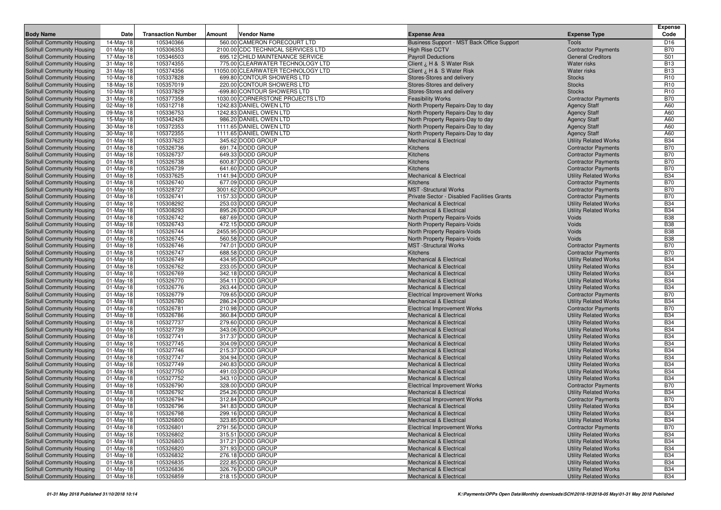| <b>Body Name</b>                                         | Date                         | <b>Transaction Number</b> | Vendor Name<br>Amount                  | <b>Expense Area</b>                            | <b>Expense Type</b>                                        | <b>Expense</b><br>Code   |
|----------------------------------------------------------|------------------------------|---------------------------|----------------------------------------|------------------------------------------------|------------------------------------------------------------|--------------------------|
| Solihull Community Housing                               | 14-May-18                    | 105340366                 | 560.00 CAMERON FORECOURT LTD           | Business Support - MST Back Office Support     | <b>Tools</b>                                               | D <sub>16</sub>          |
| Solihull Community Housing                               | 01-May-18                    | 105306353                 | 2100.00 CDC TECHNICAL SERVICES LTD     | <b>High Rise CCTV</b>                          | <b>Contractor Payments</b>                                 | <b>B70</b>               |
| Solihull Community Housing                               | 17-May-18                    | 105346503                 | 695.12 CHILD MAINTENANCE SERVICE       | <b>Payroll Deductions</b>                      | <b>General Creditors</b>                                   | S01                      |
| Solihull Community Housing                               | $31-May-18$                  | 105374355                 | 775.00 CLEARWATER TECHNOLOGY LTD       | Client ¿ H & S Water Risk                      | <b>Water risks</b>                                         | <b>B13</b>               |
| Solihull Community Housing                               | 31-May-18                    | 105374356                 | 11050.00 CLEARWATER TECHNOLOGY LTD     | Client ¿ H & S Water Risk                      | Water risks                                                | <b>B13</b>               |
| Solihull Community Housing                               | $10$ -May-18                 | 105337828                 | 699.80 CONTOUR SHOWERS LTD             | Stores-Stores and delivery                     | <b>Stocks</b>                                              | R <sub>10</sub>          |
| Solihull Community Housing                               | 18-May-18                    | 105357019                 | 220.00 CONTOUR SHOWERS LTD             | Stores-Stores and delivery                     | <b>Stocks</b>                                              | R <sub>10</sub>          |
| Solihull Community Housing                               | $10$ -May-18                 | 105337829                 | -699.80 CONTOUR SHOWERS LTD            | Stores-Stores and delivery                     | <b>Stocks</b>                                              | R <sub>10</sub>          |
| Solihull Community Housing                               | 31-May-18                    | 105377358                 | 1030.00 CORNERSTONE PROJECTS LTD       | <b>Feasibility Works</b>                       | <b>Contractor Payments</b>                                 | <b>B70</b>               |
| Solihull Community Housing                               | 02-May-18                    | 105312718                 | 1242.83 DANIEL OWEN LTD                | North Property Repairs-Day to day              | <b>Agency Staff</b>                                        | A60                      |
| Solihull Community Housing                               | 09-May-18                    | 105336753                 | 1242.83 DANIEL OWEN LTD                | North Property Repairs-Day to day              | <b>Agency Staff</b>                                        | A60                      |
| Solihull Community Housing                               | 15-May-18                    | 105342426                 | 986.20 DANIEL OWEN LTD                 | North Property Repairs-Day to day              | <b>Agency Staff</b>                                        | A60                      |
| Solihull Community Housing                               | 30-May-18                    | 105372353                 | 1111.65 DANIEL OWEN LTD                | North Property Repairs-Day to day              | <b>Agency Staff</b>                                        | A60                      |
| Solihull Community Housing                               | 30-May-18                    | 105372355                 | 1111.65 DANIEL OWEN LTD                | North Property Repairs-Day to day              | <b>Agency Staff</b>                                        | A60                      |
| Solihull Community Housing                               | $01$ -May-18                 | 105337623                 | 345.62 DODD GROUP                      | <b>Mechanical &amp; Electrical</b>             | <b>Utility Related Works</b>                               | <b>B34</b>               |
| Solihull Community Housing                               | 01-May-18                    | 105326736                 | 691.74 DODD GROUP                      | Kitchens                                       | <b>Contractor Payments</b>                                 | <b>B70</b>               |
| Solihull Community Housing                               | $01$ -May-18                 | 105326737                 | 649.33 DODD GROUP                      | Kitchens                                       | <b>Contractor Payments</b>                                 | <b>B70</b>               |
| Solihull Community Housing                               | $01$ -May-18                 | 105326738                 | 600.87 DODD GROUP                      | Kitchens                                       | <b>Contractor Payments</b>                                 | <b>B70</b>               |
| Solihull Community Housing                               | $01$ -May-18                 | 105326739                 | 641.60 DODD GROUP                      | Kitchens                                       | <b>Contractor Payments</b>                                 | <b>B70</b>               |
| Solihull Community Housing                               | $01$ -May-18                 | 105337625                 | 1141.94 DODD GROUP                     | <b>Mechanical &amp; Electrical</b>             | <b>Utility Related Works</b>                               | <b>B34</b>               |
| Solihull Community Housing                               | $01$ -May-18                 | 105326740                 | 677.09 DODD GROUP                      | Kitchens                                       | <b>Contractor Payments</b>                                 | <b>B70</b>               |
| Solihull Community Housing                               | $01$ -May-18                 | 105328727                 | 3001.62 DODD GROUP                     | <b>MST</b> -Structural Works                   | <b>Contractor Payments</b>                                 | <b>B70</b>               |
| Solihull Community Housing                               | $01-May-18$                  | 105326741                 | 1157.33 DODD GROUP                     | Private Sector - Disabled Facilities Grants    | <b>Contractor Payments</b>                                 | <b>B70</b>               |
| Solihull Community Housing                               | $01$ -May-18                 | 105308292                 | 253.03 DODD GROUP                      | <b>Mechanical &amp; Electrical</b>             | <b>Utility Related Works</b>                               | <b>B34</b>               |
| Solihull Community Housing                               | $01$ -May-18                 | 105308293                 | 895.26 DODD GROUP                      | <b>Mechanical &amp; Electrical</b>             | <b>Utility Related Works</b>                               | <b>B34</b>               |
| Solihull Community Housing                               | $01$ -May-18                 | 105326742                 | 687.69 DODD GROUP                      | North Property Repairs-Voids                   | Voids                                                      | <b>B38</b>               |
| Solihull Community Housing                               | 01-May-18                    | 105326743                 | 472.15 DODD GROUP                      | <b>North Property Repairs-Voids</b>            | Voids                                                      | <b>B38</b>               |
| Solihull Community Housing                               | $01$ -May-18                 | 105326744                 | 2455.95 DODD GROUP                     | North Property Repairs-Voids                   | Voids                                                      | <b>B38</b>               |
| Solihull Community Housing                               | $01$ -May-18                 | 105326745                 | 560.58 DODD GROUP                      | North Property Repairs-Voids                   | Voids                                                      | <b>B38</b>               |
| Solihull Community Housing                               | 01-May-18                    | 105326746                 | 747.01 DODD GROUP                      | <b>MST</b> -Structural Works                   | <b>Contractor Payments</b>                                 | <b>B70</b><br><b>B70</b> |
| Solihull Community Housing<br>Solihull Community Housing | $01$ -May-18                 | 105326747<br>105326749    | 688.58 DODD GROUP<br>434.95 DODD GROUP | Kitchens<br><b>Mechanical &amp; Electrical</b> | <b>Contractor Payments</b><br><b>Utility Related Works</b> | <b>B34</b>               |
| Solihull Community Housing                               | $01$ -May-18<br>$01$ -May-18 | 105326762                 | 233.05 DODD GROUP                      | <b>Mechanical &amp; Electrical</b>             | <b>Utility Related Works</b>                               | <b>B34</b>               |
| Solihull Community Housing                               | 01-May-18                    | 105326769                 | 342.18 DODD GROUP                      | <b>Mechanical &amp; Electrical</b>             | <b>Utility Related Works</b>                               | <b>B34</b>               |
| Solihull Community Housing                               | $01$ -May-18                 | 105326770                 | 354.11 DODD GROUP                      | <b>Mechanical &amp; Electrical</b>             | <b>Utility Related Works</b>                               | <b>B34</b>               |
| Solihull Community Housing                               | $01$ -May-18                 | 105326776                 | 263.44 DODD GROUP                      | <b>Mechanical &amp; Electrical</b>             | <b>Utility Related Works</b>                               | <b>B34</b>               |
| Solihull Community Housing                               | $01$ -May-18                 | 105326779                 | 709.65 DODD GROUP                      | <b>Electrical Improvement Works</b>            | <b>Contractor Payments</b>                                 | <b>B70</b>               |
| Solihull Community Housing                               | $01$ -May-18                 | 105326780                 | 286.24 DODD GROUP                      | <b>Mechanical &amp; Electrical</b>             | <b>Utility Related Works</b>                               | <b>B34</b>               |
| Solihull Community Housing                               | $01$ -May-18                 | 105326781                 | 210.98 DODD GROUP                      | <b>Electrical Improvement Works</b>            | <b>Contractor Payments</b>                                 | <b>B70</b>               |
| Solihull Community Housing                               | $01$ -May-18                 | 105326786                 | 360.84 DODD GROUP                      | <b>Mechanical &amp; Electrical</b>             | <b>Utility Related Works</b>                               | <b>B34</b>               |
| Solihull Community Housing                               | 01-May-18                    | 105327737                 | 279.60 DODD GROUP                      | <b>Mechanical &amp; Electrical</b>             | <b>Utility Related Works</b>                               | <b>B34</b>               |
| Solihull Community Housing                               | $01$ -May-18                 | 105327739                 | 343.06 DODD GROUP                      | <b>Mechanical &amp; Electrical</b>             | <b>Utility Related Works</b>                               | <b>B34</b>               |
| Solihull Community Housing                               | 01-May-18                    | 105327741                 | 317.37 DODD GROUP                      | <b>Mechanical &amp; Electrical</b>             | <b>Utility Related Works</b>                               | <b>B34</b>               |
| Solihull Community Housing                               | $01$ -May-18                 | 105327745                 | 304.09 DODD GROUP                      | <b>Mechanical &amp; Electrical</b>             | <b>Utility Related Works</b>                               | <b>B34</b>               |
| Solihull Community Housing                               | $01$ -May-18                 | 105327746                 | 215.37 DODD GROUP                      | <b>Mechanical &amp; Electrical</b>             | <b>Utility Related Works</b>                               | <b>B34</b>               |
| Solihull Community Housing                               | $01$ -May-18                 | 105327747                 | 304.94 DODD GROUP                      | <b>Mechanical &amp; Electrical</b>             | <b>Utility Related Works</b>                               | <b>B34</b>               |
| Solihull Community Housing                               | $01-May-18$                  | 105327749                 | 240.83 DODD GROUP                      | <b>Mechanical &amp; Electrical</b>             | <b>Utility Related Works</b>                               | <b>B34</b>               |
| <b>Solihull Community Housing</b>                        | $01$ -May-18                 | 105327750                 | 491.03 DODD GROUP                      | <b>Mechanical &amp; Electrical</b>             | <b>Utility Related Works</b>                               | <b>B34</b>               |
| Solihull Community Housing                               | $01$ -May-18                 | 105327752                 | 343.10 DODD GROUP                      | <b>Mechanical &amp; Electrical</b>             | <b>Utility Related Works</b>                               | <b>B34</b>               |
| Solihull Community Housing                               | $01$ -May-18                 | 105326790                 | 328.00 DODD GROUP                      | <b>Electrical Improvement Works</b>            | <b>Contractor Payments</b>                                 | <b>B70</b>               |
| Solihull Community Housing                               | $01$ -May-18                 | 105326792                 | 254.26 DODD GROUP                      | <b>Mechanical &amp; Electrical</b>             | <b>Utility Related Works</b>                               | <b>B34</b>               |
| Solihull Community Housing                               | $01$ -May-18                 | 105326794                 | 312.84 DODD GROUP                      | <b>Electrical Improvement Works</b>            | <b>Contractor Payments</b>                                 | <b>B70</b>               |
| Solihull Community Housing                               | 01-May-18                    | 105326796                 | 341.83 DODD GROUP                      | <b>Mechanical &amp; Electrical</b>             | <b>Utility Related Works</b>                               | <b>B34</b>               |
| Solihull Community Housing                               | 01-May-18                    | 105326798                 | 299.16 DODD GROUP                      | <b>Mechanical &amp; Electrical</b>             | <b>Utility Related Works</b>                               | <b>B34</b>               |
| Solihull Community Housing                               | 01-May-18                    | 105326800                 | 323.85 DODD GROUP                      | <b>Mechanical &amp; Electrical</b>             | <b>Utility Related Works</b>                               | <b>B34</b>               |
| Solihull Community Housing                               | 01-May-18                    | 105326801                 | 2791.56 DODD GROUP                     | <b>Electrical Improvement Works</b>            | <b>Contractor Payments</b>                                 | <b>B70</b>               |
| Solihull Community Housing                               | 01-May-18                    | 105326802                 | 315.51 DODD GROUP                      | <b>Mechanical &amp; Electrical</b>             | <b>Utility Related Works</b>                               | <b>B34</b>               |
| Solihull Community Housing                               | $01$ -May-18                 | 105326803                 | 317.21 DODD GROUP                      | <b>Mechanical &amp; Electrical</b>             | <b>Utility Related Works</b>                               | <b>B34</b>               |
| Solihull Community Housing                               | 01-May-18                    | 105326820                 | 371.93 DODD GROUP                      | <b>Mechanical &amp; Electrical</b>             | <b>Utility Related Works</b>                               | <b>B34</b>               |
| Solihull Community Housing                               | 01-May-18                    | 105326832                 | 276.18 DODD GROUP                      | <b>Mechanical &amp; Electrical</b>             | <b>Utility Related Works</b>                               | <b>B34</b>               |
| Solihull Community Housing                               | 01-May-18                    | 105326835                 | 222.85 DODD GROUP                      | <b>Mechanical &amp; Electrical</b>             | <b>Utility Related Works</b>                               | <b>B34</b>               |
| Solihull Community Housing                               | 01-May-18                    | 105326836                 | 326.76 DODD GROUP                      | <b>Mechanical &amp; Electrical</b>             | <b>Utility Related Works</b>                               | <b>B34</b>               |
| Solihull Community Housing                               | 01-May-18                    | 105326859                 | 218.15 DODD GROUP                      | <b>Mechanical &amp; Electrical</b>             | <b>Utility Related Works</b>                               | <b>B34</b>               |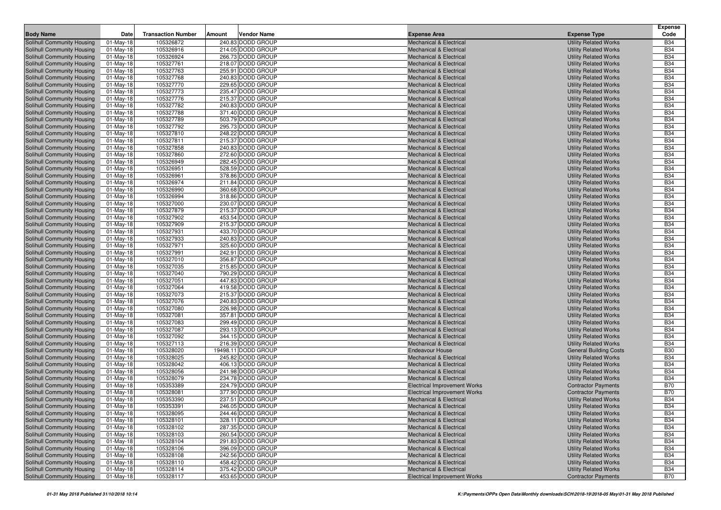|                                                          |                           |                           |        |                                        |                                                                          |                                                              | Expense                  |
|----------------------------------------------------------|---------------------------|---------------------------|--------|----------------------------------------|--------------------------------------------------------------------------|--------------------------------------------------------------|--------------------------|
| <b>Body Name</b>                                         | Date                      | <b>Transaction Number</b> | Amount | <b>Vendor Name</b>                     | <b>Expense Area</b>                                                      | <b>Expense Type</b>                                          | Code                     |
| Solihull Community Housing                               | $01$ -May-18              | 105326872                 |        | 240.83 DODD GROUP                      | <b>Mechanical &amp; Electrical</b>                                       | <b>Utility Related Works</b>                                 | <b>B34</b>               |
| Solihull Community Housing                               | 01-May-18                 | 105326916                 |        | 214.05 DODD GROUP                      | <b>Mechanical &amp; Electrical</b>                                       | <b>Utility Related Works</b>                                 | <b>B34</b>               |
| Solihull Community Housing                               | $01$ -May-18              | 105326924                 |        | 266.73 DODD GROUP                      | <b>Mechanical &amp; Electrical</b>                                       | <b>Utility Related Works</b>                                 | <b>B34</b>               |
| Solihull Community Housing<br>Solihull Community Housing | $01$ -May-18<br>01-May-18 | 105327761<br>105327763    |        | 218.07 DODD GROUP<br>255.91 DODD GROUP | <b>Mechanical &amp; Electrical</b><br>Mechanical & Electrical            | <b>Utility Related Works</b><br><b>Utility Related Works</b> | <b>B34</b><br><b>B34</b> |
| Solihull Community Housing                               | 01-May-18                 | 105327768                 |        | 240.83 DODD GROUP                      | <b>Mechanical &amp; Electrical</b>                                       | <b>Utility Related Works</b>                                 | <b>B34</b>               |
| Solihull Community Housing                               | $01$ -May-18              | 105327770                 |        | 229.65 DODD GROUP                      | <b>Mechanical &amp; Electrical</b>                                       | <b>Utility Related Works</b>                                 | <b>B34</b>               |
| <b>Solihull Community Housing</b>                        | $01$ -May-18              | 105327773                 |        | 235.47 DODD GROUP                      | <b>Mechanical &amp; Electrical</b>                                       | <b>Utility Related Works</b>                                 | <b>B34</b>               |
| Solihull Community Housing                               | 01-May-18                 | 105327776                 |        | 215.37 DODD GROUP                      | <b>Mechanical &amp; Electrical</b>                                       | <b>Utility Related Works</b>                                 | <b>B34</b>               |
| Solihull Community Housing                               | $01$ -May-18              | 105327782                 |        | 240.83 DODD GROUP                      | <b>Mechanical &amp; Electrical</b>                                       | <b>Utility Related Works</b>                                 | <b>B34</b>               |
| Solihull Community Housing                               | 01-May-18                 | 105327788                 |        | 371.40 DODD GROUP                      | <b>Mechanical &amp; Electrical</b>                                       | <b>Utility Related Works</b>                                 | <b>B34</b>               |
| Solihull Community Housing                               | 01-May-18                 | 105327789                 |        | 503.79 DODD GROUP                      | <b>Mechanical &amp; Electrical</b>                                       | <b>Utility Related Works</b>                                 | <b>B34</b>               |
| Solihull Community Housing                               | 01-May-18                 | 105327792                 |        | 295.73 DODD GROUP                      | <b>Mechanical &amp; Electrical</b>                                       | <b>Utility Related Works</b>                                 | <b>B34</b>               |
| Solihull Community Housing                               | 01-May-18                 | 105327810                 |        | 248.22 DODD GROUP                      | <b>Mechanical &amp; Electrical</b>                                       | <b>Utility Related Works</b>                                 | <b>B34</b>               |
| Solihull Community Housing                               | 01-May-18                 | 105327811                 |        | 215.37 DODD GROUP                      | <b>Mechanical &amp; Electrical</b>                                       | <b>Utility Related Works</b>                                 | <b>B34</b>               |
| Solihull Community Housing                               | 01-May-18                 | 105327858                 |        | 240.83 DODD GROUP                      | <b>Mechanical &amp; Electrical</b>                                       | <b>Utility Related Works</b>                                 | <b>B34</b>               |
| Solihull Community Housing                               | $01$ -May-18              | 105327860                 |        | 272.60 DODD GROUP                      | Mechanical & Electrical                                                  | <b>Utility Related Works</b>                                 | <b>B34</b>               |
| Solihull Community Housing                               | 01-May-18                 | 105326949                 |        | 282.45 DODD GROUP                      | <b>Mechanical &amp; Electrical</b>                                       | <b>Utility Related Works</b>                                 | <b>B34</b>               |
| Solihull Community Housing                               | 01-May-18                 | 105326951                 |        | 528.59 DODD GROUP                      | Mechanical & Electrical                                                  | <b>Utility Related Works</b>                                 | <b>B34</b>               |
| Solihull Community Housing                               | 01-May-18                 | 105326961                 |        | 378.86 DODD GROUP                      | <b>Mechanical &amp; Electrical</b>                                       | <b>Utility Related Works</b>                                 | <b>B34</b>               |
| Solihull Community Housing                               | $01$ -May-18              | 105326974                 |        | 211.84 DODD GROUP                      | <b>Mechanical &amp; Electrical</b>                                       | <b>Utility Related Works</b>                                 | <b>B34</b>               |
| Solihull Community Housing                               | 01-May-18                 | 105326990                 |        | 360.68 DODD GROUP                      | <b>Mechanical &amp; Electrical</b>                                       | <b>Utility Related Works</b>                                 | <b>B34</b>               |
| Solihull Community Housing                               | 01-May-18                 | 105326994                 |        | 318.86 DODD GROUP<br>230.07 DODD GROUP | <b>Mechanical &amp; Electrical</b>                                       | <b>Utility Related Works</b>                                 | <b>B34</b><br><b>B34</b> |
| Solihull Community Housing<br>Solihull Community Housing | 01-May-18                 | 105327000<br>105327879    |        | 215.37 DODD GROUP                      | <b>Mechanical &amp; Electrical</b><br><b>Mechanical &amp; Electrical</b> | <b>Utility Related Works</b><br><b>Utility Related Works</b> | <b>B34</b>               |
| Solihull Community Housing                               | 01-May-18<br>$01$ -May-18 | 105327902                 |        | 453.54 DODD GROUP                      | Mechanical & Electrical                                                  | <b>Utility Related Works</b>                                 | <b>B34</b>               |
| Solihull Community Housing                               | 01-May-18                 | 105327909                 |        | 215.37 DODD GROUP                      | <b>Mechanical &amp; Electrical</b>                                       | <b>Utility Related Works</b>                                 | <b>B34</b>               |
| Solihull Community Housing                               | $01$ -May-18              | 105327931                 |        | 433.70 DODD GROUP                      | <b>Mechanical &amp; Electrical</b>                                       | <b>Utility Related Works</b>                                 | <b>B34</b>               |
| Solihull Community Housing                               | 01-May-18                 | 105327933                 |        | 240.83 DODD GROUP                      | <b>Mechanical &amp; Electrical</b>                                       | <b>Utility Related Works</b>                                 | <b>B34</b>               |
| Solihull Community Housing                               | 01-May-18                 | 105327971                 |        | 325.60 DODD GROUP                      | <b>Mechanical &amp; Electrical</b>                                       | <b>Utility Related Works</b>                                 | <b>B34</b>               |
| Solihull Community Housing                               | 01-May-18                 | 105327991                 |        | 242.91 DODD GROUP                      | <b>Mechanical &amp; Electrical</b>                                       | <b>Utility Related Works</b>                                 | <b>B34</b>               |
| Solihull Community Housing                               | $01$ -May-18              | 105327010                 |        | 356.87 DODD GROUP                      | <b>Mechanical &amp; Electrical</b>                                       | <b>Utility Related Works</b>                                 | <b>B34</b>               |
| Solihull Community Housing                               | $01$ -May-18              | 105327035                 |        | 215.85 DODD GROUP                      | <b>Mechanical &amp; Electrical</b>                                       | <b>Utility Related Works</b>                                 | <b>B34</b>               |
| Solihull Community Housing                               | 01-May-18                 | 105327040                 |        | 790.29 DODD GROUP                      | <b>Mechanical &amp; Electrical</b>                                       | <b>Utility Related Works</b>                                 | <b>B34</b>               |
| Solihull Community Housing                               | $01$ -May-18              | 105327051                 |        | 447.83 DODD GROUP                      | <b>Mechanical &amp; Electrical</b>                                       | <b>Utility Related Works</b>                                 | <b>B34</b>               |
| Solihull Community Housing                               | 01-May-18                 | 105327064                 |        | 419.58 DODD GROUP                      | <b>Mechanical &amp; Electrical</b>                                       | <b>Utility Related Works</b>                                 | <b>B34</b>               |
| Solihull Community Housing                               | 01-May-18                 | 105327073                 |        | 215.37 DODD GROUP                      | <b>Mechanical &amp; Electrical</b>                                       | <b>Utility Related Works</b>                                 | <b>B34</b>               |
| Solihull Community Housing                               | 01-May-18                 | 105327076                 |        | 240.83 DODD GROUP                      | <b>Mechanical &amp; Electrical</b>                                       | <b>Utility Related Works</b>                                 | <b>B34</b>               |
| Solihull Community Housing                               | 01-May-18                 | 105327080                 |        | 226.98 DODD GROUP                      | <b>Mechanical &amp; Electrical</b>                                       | <b>Utility Related Works</b>                                 | <b>B34</b>               |
| Solihull Community Housing                               | $01$ -May-18              | 105327081<br>105327083    |        | 357.81 DODD GROUP<br>299.49 DODD GROUP | <b>Mechanical &amp; Electrical</b><br><b>Mechanical &amp; Electrical</b> | <b>Utility Related Works</b>                                 | <b>B34</b><br><b>B34</b> |
| Solihull Community Housing<br>Solihull Community Housing | 01-May-18<br>$01$ -May-18 | 105327087                 |        | 293.13 DODD GROUP                      | <b>Mechanical &amp; Electrical</b>                                       | <b>Utility Related Works</b><br><b>Utility Related Works</b> | <b>B34</b>               |
| Solihull Community Housing                               | 01-May-18                 | 105327092                 |        | 344.15 DODD GROUP                      | <b>Mechanical &amp; Electrical</b>                                       | <b>Utility Related Works</b>                                 | <b>B34</b>               |
| Solihull Community Housing                               | $01$ -May-18              | 105327113                 |        | 216.39 DODD GROUP                      | Mechanical & Electrical                                                  | <b>Utility Related Works</b>                                 | <b>B34</b>               |
| Solihull Community Housing                               | 01-May-18                 | 105328020                 |        | 19498.11 DODD GROUP                    | <b>Endeavour House</b>                                                   | <b>General Building Costs</b>                                | <b>B30</b>               |
| Solihull Community Housing                               | $01$ -May-18              | 105328025                 |        | 245.82 DODD GROUP                      | <b>Mechanical &amp; Electrical</b>                                       | <b>Utility Related Works</b>                                 | <b>B34</b>               |
| Solihull Community Housing                               | 01-May-18                 | 105328042                 |        | 406.13 DODD GROUP                      | <b>Mechanical &amp; Electrical</b>                                       | <b>Utility Related Works</b>                                 | <b>B34</b>               |
| Solihull Community Housing                               | 01-May-18                 | 105328056                 |        | 241.98 DODD GROUP                      | <b>Mechanical &amp; Electrical</b>                                       | <b>Utility Related Works</b>                                 | <b>B34</b>               |
| Solihull Community Housing                               | 01-May-18                 | 105328079                 |        | 234.78 DODD GROUP                      | <b>Mechanical &amp; Electrical</b>                                       | <b>Utility Related Works</b>                                 | <b>B34</b>               |
| Solihull Community Housing                               | 01-May-18                 | 105353389                 |        | 224.79 DODD GROUP                      | <b>Electrical Improvement Works</b>                                      | <b>Contractor Payments</b>                                   | <b>B70</b>               |
| Solihull Community Housing                               | 01-May-18                 | 105328081                 |        | 377.90 DODD GROUP                      | <b>Electrical Improvement Works</b>                                      | <b>Contractor Payments</b>                                   | <b>B70</b>               |
| Solihull Community Housing                               | 01-May-18                 | 105353390                 |        | 237.51 DODD GROUP                      | <b>Mechanical &amp; Electrical</b>                                       | <b>Utility Related Works</b>                                 | <b>B34</b>               |
| Solihull Community Housing                               | $01$ -May-18              | 105353391                 |        | 246.05 DODD GROUP                      | <b>Mechanical &amp; Electrical</b>                                       | <b>Utility Related Works</b>                                 | <b>B34</b>               |
| Solihull Community Housing                               | 01-May-18                 | 105328095                 |        | 244.46 DODD GROUP                      | Mechanical & Electrical                                                  | <b>Utility Related Works</b>                                 | <b>B34</b>               |
| Solihull Community Housing                               | 01-May-18                 | 105328101                 |        | 328.11 DODD GROUP                      | Mechanical & Electrical                                                  | <b>Utility Related Works</b>                                 | <b>B34</b>               |
| Solihull Community Housing                               | 01-May-18                 | 105328102                 |        | 287.35 DODD GROUP                      | <b>Mechanical &amp; Electrical</b>                                       | <b>Utility Related Works</b>                                 | <b>B34</b>               |
| <b>Solihull Community Housing</b>                        | $01$ -May-18              | 105328103                 |        | 260.54 DODD GROUP                      | Mechanical & Electrical                                                  | <b>Utility Related Works</b>                                 | <b>B34</b>               |
| Solihull Community Housing                               | 01-May-18                 | 105328104                 |        | 291.83 DODD GROUP                      | Mechanical & Electrical                                                  | <b>Utility Related Works</b>                                 | <b>B34</b>               |
| Solihull Community Housing                               | 01-May-18                 | 105328106                 |        | 396.09 DODD GROUP                      | Mechanical & Electrical                                                  | <b>Utility Related Works</b>                                 | <b>B34</b>               |
| Solihull Community Housing                               | 01-May-18                 | 105328108                 |        | 242.56 DODD GROUP                      | Mechanical & Electrical                                                  | <b>Utility Related Works</b>                                 | <b>B34</b>               |
| Solihull Community Housing                               | 01-May-18                 | 105328110                 |        | 458.42 DODD GROUP<br>375.42 DODD GROUP | Mechanical & Electrical                                                  | <b>Utility Related Works</b>                                 | <b>B34</b>               |
| Solihull Community Housing                               | 01-May-18                 | 105328114                 |        |                                        | Mechanical & Electrical                                                  | <b>Utility Related Works</b>                                 | <b>B34</b>               |
| Solihull Community Housing                               | 01-May-18                 | 105328117                 |        | 453.65 DODD GROUP                      | <b>Electrical Improvement Works</b>                                      | <b>Contractor Payments</b>                                   | <b>B70</b>               |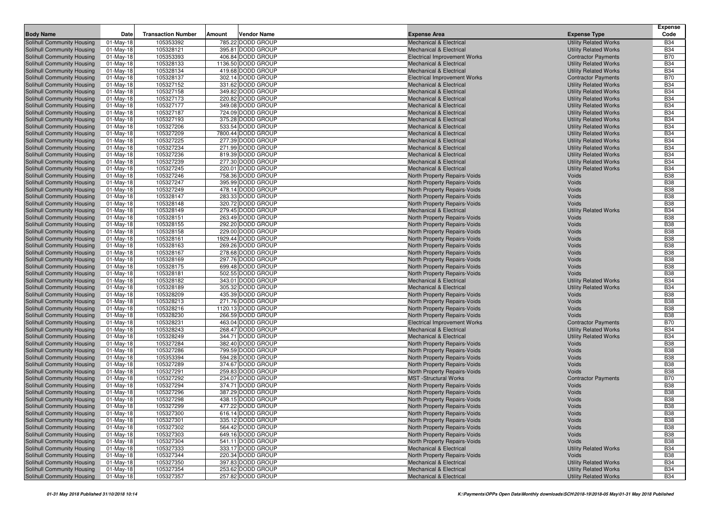|                                                          |                           |                           |        |                                        |                                                                    |                                                              | <b>Expense</b>           |
|----------------------------------------------------------|---------------------------|---------------------------|--------|----------------------------------------|--------------------------------------------------------------------|--------------------------------------------------------------|--------------------------|
| <b>Body Name</b>                                         | Date                      | <b>Transaction Number</b> | Amount | Vendor Name                            | <b>Expense Area</b>                                                | <b>Expense Type</b>                                          | Code                     |
| Solihull Community Housing                               | 01-May-18                 | 105353392                 |        | 785.22 DODD GROUP                      | <b>Mechanical &amp; Electrical</b>                                 | <b>Utility Related Works</b>                                 | <b>B34</b>               |
| Solihull Community Housing                               | $01$ -May-18              | 105328121                 |        | 395.81 DODD GROUP                      | <b>Mechanical &amp; Electrical</b>                                 | <b>Utility Related Works</b>                                 | <b>B34</b>               |
| Solihull Community Housing                               | $01$ -May-18              | 105353393                 |        | 406.84 DODD GROUP                      | <b>Electrical Improvement Works</b>                                | <b>Contractor Payments</b>                                   | <b>B70</b>               |
| Solihull Community Housing                               | $01$ -May-18              | 105328133                 |        | 1136.50 DODD GROUP                     | <b>Mechanical &amp; Electrical</b>                                 | <b>Utility Related Works</b>                                 | <b>B34</b>               |
| Solihull Community Housing                               | $01$ -May-18              | 105328134                 |        | 419.68 DODD GROUP                      | <b>Mechanical &amp; Electrical</b>                                 | <b>Utility Related Works</b>                                 | <b>B34</b>               |
| Solihull Community Housing                               | 01-May-18                 | 105328137                 |        | 302.14 DODD GROUP                      | <b>Electrical Improvement Works</b>                                | <b>Contractor Payments</b>                                   | <b>B70</b>               |
| Solihull Community Housing                               | $01$ -May-18              | 105327152                 |        | 331.62 DODD GROUP                      | <b>Mechanical &amp; Electrical</b>                                 | <b>Utility Related Works</b>                                 | <b>B34</b>               |
| Solihull Community Housing                               | $01$ -May-18              | 105327158                 |        | 349.82 DODD GROUP                      | <b>Mechanical &amp; Electrical</b>                                 | <b>Utility Related Works</b>                                 | <b>B34</b>               |
| Solihull Community Housing                               | $01$ -May-18              | 105327173                 |        | 220.82 DODD GROUP                      | <b>Mechanical &amp; Electrical</b>                                 | <b>Utility Related Works</b>                                 | <b>B34</b>               |
| Solihull Community Housing<br>Solihull Community Housing | 01-May-18                 | 105327177                 |        | 349.08 DODD GROUP                      | <b>Mechanical &amp; Electrical</b>                                 | <b>Utility Related Works</b>                                 | <b>B34</b>               |
| Solihull Community Housing                               | $01$ -May-18              | 105327187                 |        | 724.09 DODD GROUP<br>375.28 DODD GROUP | <b>Mechanical &amp; Electrical</b>                                 | <b>Utility Related Works</b>                                 | <b>B34</b><br><b>B34</b> |
| Solihull Community Housing                               | $01$ -May-18<br>01-May-18 | 105327193<br>105327206    |        | 533.54 DODD GROUP                      | <b>Mechanical &amp; Electrical</b><br>Mechanical & Electrical      | <b>Utility Related Works</b><br><b>Utility Related Works</b> | <b>B34</b>               |
| Solihull Community Housing                               | $01$ -May-18              | 105327209                 |        | 7800.44 DODD GROUP                     | <b>Mechanical &amp; Electrical</b>                                 | <b>Utility Related Works</b>                                 | <b>B34</b>               |
| Solihull Community Housing                               | $01$ -May-18              | 105327225                 |        | 277.39 DODD GROUP                      | <b>Mechanical &amp; Electrical</b>                                 | <b>Utility Related Works</b>                                 | <b>B34</b>               |
| Solihull Community Housing                               | $01$ -May-18              | 105327234                 |        | 271.99 DODD GROUP                      | <b>Mechanical &amp; Electrical</b>                                 | <b>Utility Related Works</b>                                 | <b>B34</b>               |
| Solihull Community Housing                               | 01-May-18                 | 105327236                 |        | 819.39 DODD GROUP                      | <b>Mechanical &amp; Electrical</b>                                 | <b>Utility Related Works</b>                                 | <b>B34</b>               |
| Solihull Community Housing                               | $01$ -May-18              | 105327239                 |        | 277.30 DODD GROUP                      | Mechanical & Electrical                                            | <b>Utility Related Works</b>                                 | <b>B34</b>               |
| Solihull Community Housing                               | 01-May-18                 | 105327245                 |        | 220.01 DODD GROUP                      | <b>Mechanical &amp; Electrical</b>                                 | <b>Utility Related Works</b>                                 | <b>B34</b>               |
| Solihull Community Housing                               | $01$ -May-18              | 105327246                 |        | 758.36 DODD GROUP                      | North Property Repairs-Voids                                       | Voids                                                        | <b>B38</b>               |
| Solihull Community Housing                               | $01$ -May-18              | 105327247                 |        | 395.99 DODD GROUP                      | North Property Repairs-Voids                                       | Voids                                                        | <b>B38</b>               |
| Solihull Community Housing                               | 01-May-18                 | 105327249                 |        | 478.14 DODD GROUP                      | North Property Repairs-Voids                                       | Voids                                                        | <b>B38</b>               |
| Solihull Community Housing                               | $01$ -May-18              | 105328147                 |        | 283.33 DODD GROUP                      | North Property Repairs-Voids                                       | Voids                                                        | <b>B38</b>               |
| Solihull Community Housing                               | 01-May-18                 | 105328148                 |        | 320.72 DODD GROUP                      | North Property Repairs-Voids                                       | Voids                                                        | <b>B38</b>               |
| <b>Solihull Community Housing</b>                        | $01$ -May-18              | 105328149                 |        | 279.45 DODD GROUP                      | <b>Mechanical &amp; Electrical</b>                                 | <b>Utility Related Works</b>                                 | <b>B34</b>               |
| Solihull Community Housing                               | $01$ -May-18              | 105328151                 |        | 263.49 DODD GROUP                      | North Property Repairs-Voids                                       | Voids                                                        | <b>B38</b>               |
| Solihull Community Housing                               | $01$ -May-18              | 105328155                 |        | 292.20 DODD GROUP                      | North Property Repairs-Voids                                       | Voids                                                        | <b>B38</b>               |
| Solihull Community Housing                               | 01-May-18                 | 105328158                 |        | 229.00 DODD GROUP                      | North Property Repairs-Voids                                       | Voids                                                        | <b>B38</b>               |
| Solihull Community Housing                               | $01$ -May-18              | 105328161                 |        | 1929.44 DODD GROUP                     | North Property Repairs-Voids                                       | Voids                                                        | <b>B38</b>               |
| Solihull Community Housing                               | $01$ -May-18              | 105328163                 |        | 269.26 DODD GROUP                      | North Property Repairs-Voids                                       | Voids                                                        | <b>B38</b>               |
| Solihull Community Housing                               | $01-May-18$               | 105328167                 |        | 278.68 DODD GROUP                      | North Property Repairs-Voids                                       | Voids                                                        | <b>B38</b>               |
| Solihull Community Housing                               | 01-May-18                 | 105328169                 |        | 297.76 DODD GROUP                      | North Property Repairs-Voids                                       | Voids                                                        | <b>B38</b>               |
| Solihull Community Housing                               | 01-May-18                 | 105328175                 |        | 699.48 DODD GROUP                      | North Property Repairs-Voids                                       | Voids                                                        | <b>B38</b>               |
| Solihull Community Housing                               | 01-May-18                 | 105328181                 |        | 502.55 DODD GROUP                      | North Property Repairs-Voids                                       | Voids                                                        | <b>B38</b>               |
| Solihull Community Housing<br>Solihull Community Housing | 01-May-18                 | 105328182<br>105328189    |        | 343.01 DODD GROUP<br>305.32 DODD GROUP | <b>Mechanical &amp; Electrical</b>                                 | <b>Utility Related Works</b>                                 | <b>B34</b><br><b>B34</b> |
| Solihull Community Housing                               | $01$ -May-18<br>01-May-18 | 105328209                 |        | 435.39 DODD GROUP                      | <b>Mechanical &amp; Electrical</b><br>North Property Repairs-Voids | <b>Utility Related Works</b><br>Voids                        | <b>B38</b>               |
| Solihull Community Housing                               | $01$ -May-18              | 105328213                 |        | 271.76 DODD GROUP                      | North Property Repairs-Voids                                       | Voids                                                        | <b>B38</b>               |
| Solihull Community Housing                               | 01-May-18                 | 105328216                 |        | 1120.13 DODD GROUP                     | North Property Repairs-Voids                                       | Voids                                                        | <b>B38</b>               |
| Solihull Community Housing                               | $01$ -May-18              | 105328230                 |        | 266.59 DODD GROUP                      | North Property Repairs-Voids                                       | Voids                                                        | <b>B38</b>               |
| Solihull Community Housing                               | $01$ -May-18              | 105328231                 |        | 463.04 DODD GROUP                      | <b>Electrical Improvement Works</b>                                | <b>Contractor Payments</b>                                   | <b>B70</b>               |
| Solihull Community Housing                               | $01$ -May-18              | 105328243                 |        | 268.47 DODD GROUP                      | <b>Mechanical &amp; Electrical</b>                                 | <b>Utility Related Works</b>                                 | <b>B34</b>               |
| Solihull Community Housing                               | $01$ -May-18              | 105328249                 |        | 344.71 DODD GROUP                      | <b>Mechanical &amp; Electrical</b>                                 | <b>Utility Related Works</b>                                 | <b>B34</b>               |
| Solihull Community Housing                               | 01-May-18                 | 105327284                 |        | 382.40 DODD GROUP                      | North Property Repairs-Voids                                       | Voids                                                        | <b>B38</b>               |
| Solihull Community Housing                               | $01$ -May-18              | 105327286                 |        | 799.59 DODD GROUP                      | North Property Repairs-Voids                                       | Voids                                                        | <b>B38</b>               |
| Solihull Community Housing                               | 01-May-18                 | 105353394                 |        | 594.28 DODD GROUP                      | <b>North Property Repairs-Voids</b>                                | Voids                                                        | <b>B38</b>               |
| Solihull Community Housing                               | 01-May-18                 | 105327289                 |        | 374.67 DODD GROUP                      | North Property Repairs-Voids                                       | Voids                                                        | <b>B38</b>               |
| Solihull Community Housing                               | 01-May-18                 | 105327291                 |        | 259.83 DODD GROUP                      | North Property Repairs-Voids                                       | Voids                                                        | <b>B38</b>               |
| Solihull Community Housing                               | 01-May-18                 | 105327292                 |        | 234.07 DODD GROUP                      | <b>MST</b> -Structural Works                                       | <b>Contractor Payments</b>                                   | <b>B70</b>               |
| Solihull Community Housing                               | $01$ -May-18              | 105327294                 |        | 374.71 DODD GROUP                      | North Property Repairs-Voids                                       | Voids                                                        | <b>B38</b>               |
| Solihull Community Housing                               | 01-May-18                 | 105327296                 |        | 387.29 DODD GROUP                      | North Property Repairs-Voids                                       | Voids                                                        | <b>B38</b>               |
| Solihull Community Housing                               | $01$ -May-18              | 105327298                 |        | 438.15 DODD GROUP                      | North Property Repairs-Voids                                       | Voids                                                        | <b>B38</b>               |
| Solihull Community Housing                               | 01-May-18                 | 105327299                 |        | 477.22 DODD GROUP                      | North Property Repairs-Voids                                       | Voids                                                        | <b>B38</b>               |
| Solihull Community Housing                               | $01$ -May-18              | 105327300                 |        | 616.14 DODD GROUP                      | North Property Repairs-Voids                                       | Voids                                                        | <b>B38</b>               |
| Solihull Community Housing                               | 01-May-18                 | 105327301                 |        | 335.12 DODD GROUP                      | North Property Repairs-Voids                                       | Voids                                                        | <b>B38</b>               |
| Solihull Community Housing                               | 01-May-18                 | 105327302                 |        | 564.42 DODD GROUP                      | North Property Repairs-Voids                                       | Voids                                                        | <b>B38</b>               |
| Solihull Community Housing                               | 01-May-18                 | 105327303                 |        | 649.16 DODD GROUP                      | North Property Repairs-Voids                                       | Voids                                                        | <b>B38</b>               |
| Solihull Community Housing                               | 01-May-18                 | 105327304                 |        | 541.11 DODD GROUP                      | North Property Repairs-Voids                                       | Voids                                                        | <b>B38</b>               |
| Solihull Community Housing<br>Solihull Community Housing | 01-May-18                 | 105327333<br>105327344    |        | 333.17 DODD GROUP<br>220.34 DODD GROUP | <b>Mechanical &amp; Electrical</b><br>North Property Repairs-Voids | <b>Utility Related Works</b><br>Voids                        | <b>B34</b><br><b>B38</b> |
| Solihull Community Housing                               | 01-May-18<br>01-May-18    | 105327350                 |        | 397.83 DODD GROUP                      | <b>Mechanical &amp; Electrical</b>                                 | <b>Utility Related Works</b>                                 | <b>B34</b>               |
| Solihull Community Housing                               | 01-May-18                 | 105327354                 |        | 253.62 DODD GROUP                      | <b>Mechanical &amp; Electrical</b>                                 | <b>Utility Related Works</b>                                 | <b>B34</b>               |
| Solihull Community Housing                               | 01-May-18                 | 105327357                 |        | 257.82 DODD GROUP                      | <b>Mechanical &amp; Electrical</b>                                 | <b>Utility Related Works</b>                                 | <b>B34</b>               |
|                                                          |                           |                           |        |                                        |                                                                    |                                                              |                          |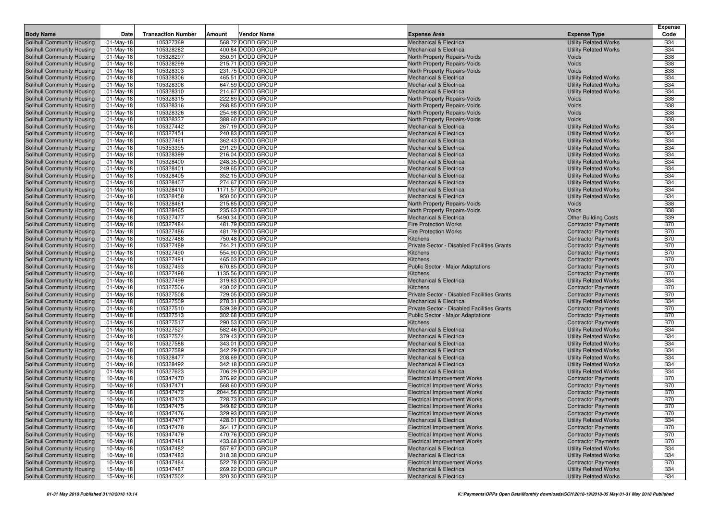| 105327369<br>568.72 DODD GROUP<br><b>Mechanical &amp; Electrical</b><br><b>Utility Related Works</b><br><b>B34</b><br>Solihull Community Housing<br>01-May-18<br>$01$ -May-18<br>105328282<br>400.84 DODD GROUP<br><b>Utility Related Works</b><br><b>B34</b><br>Solihull Community Housing<br><b>Mechanical &amp; Electrical</b><br>105328297<br>350.91 DODD GROUP<br><b>B38</b><br>Solihull Community Housing<br>$01$ -May-18<br>North Property Repairs-Voids<br>Voids<br>105328299<br>215.71 DODD GROUP<br>Voids<br><b>B38</b><br>Solihull Community Housing<br>$01$ -May-18<br>North Property Repairs-Voids<br><b>B38</b><br>105328303<br>231.75 DODD GROUP<br>Solihull Community Housing<br>01-May-18<br>North Property Repairs-Voids<br>Voids<br>105328306<br>465.51 DODD GROUP<br><b>B34</b><br>$01$ -May-18<br>Mechanical & Electrical<br><b>Utility Related Works</b><br>105328308<br><b>B34</b><br>647.59 DODD GROUP<br><b>Utility Related Works</b><br>01-May-18<br><b>Mechanical &amp; Electrical</b><br>105328310<br>214.67 DODD GROUP<br><b>B34</b><br>$01$ -May-18<br><b>Mechanical &amp; Electrical</b><br><b>Utility Related Works</b><br>105328315<br>222.89 DODD GROUP<br><b>B38</b><br>$01$ -May-18<br>North Property Repairs-Voids<br>Voids<br>105328316<br>268.85 DODD GROUP<br>Voids<br><b>B38</b><br>01-May-18<br>North Property Repairs-Voids<br>105328326<br>254.98 DODD GROUP<br>Voids<br><b>B38</b><br>$01$ -May-18<br>North Property Repairs-Voids<br>105328337<br>388.60 DODD GROUP<br>Voids<br><b>B38</b><br>$01$ -May-18<br>North Property Repairs-Voids<br>105327442<br>267.19 DODD GROUP<br><b>B34</b><br>Solihull Community Housing<br>$01$ -May-18<br>Mechanical & Electrical<br><b>Utility Related Works</b><br><b>B34</b><br>105327451<br>240.83 DODD GROUP<br><b>Utility Related Works</b><br>Solihull Community Housing<br>01-May-18<br><b>Mechanical &amp; Electrical</b><br>105327461<br>362.43 DODD GROUP<br><b>B34</b><br>Solihull Community Housing<br>$01$ -May-18<br><b>Mechanical &amp; Electrical</b><br><b>Utility Related Works</b><br>Solihull Community Housing<br>105353395<br>291.29 DODD GROUP<br><b>Utility Related Works</b><br><b>B34</b><br>01-May-18<br><b>Mechanical &amp; Electrical</b><br>105328399<br><b>B34</b><br>Solihull Community Housing<br>01-May-18<br>216.04 DODD GROUP<br><b>Mechanical &amp; Electrical</b><br><b>Utility Related Works</b><br>105328400<br>248.35 DODD GROUP<br><b>B34</b><br>Solihull Community Housing<br>01-May-18<br><b>Mechanical &amp; Electrical</b><br><b>Utility Related Works</b><br>105328401<br>249.65 DODD GROUP<br><b>B34</b><br>Solihull Community Housing<br>01-May-18<br><b>Mechanical &amp; Electrical</b><br><b>Utility Related Works</b><br>01-May-18<br>105328405<br>352.15 DODD GROUP<br><b>Utility Related Works</b><br><b>B34</b><br>Solihull Community Housing<br><b>Mechanical &amp; Electrical</b><br>105328407<br>274.67 DODD GROUP<br><b>Utility Related Works</b><br><b>B34</b><br>Solihull Community Housing<br>01-May-18<br><b>Mechanical &amp; Electrical</b><br>105328410<br>1171.57 DODD GROUP<br><b>B34</b><br>Solihull Community Housing<br>$01$ -May-18<br><b>Mechanical &amp; Electrical</b><br><b>Utility Related Works</b><br>105328458<br><b>B34</b><br>950.00 DODD GROUP<br>Solihull Community Housing<br>$01$ -May-18<br><b>Mechanical &amp; Electrical</b><br><b>Utility Related Works</b><br>Solihull Community Housing<br>105328461<br>215.85 DODD GROUP<br><b>B38</b><br>$01$ -May-18<br>North Property Repairs-Voids<br>Voids<br>105328465<br>235.63 DODD GROUP<br><b>B38</b><br>Solihull Community Housing<br>01-May-18<br>North Property Repairs-Voids<br>Voids<br>105327477<br>5490.34 DODD GROUP<br><b>B39</b><br>Solihull Community Housing<br>01-May-18<br><b>Mechanical &amp; Electrical</b><br><b>Other Building Costs</b><br>01-May-18<br>105327484<br>481.79 DODD GROUP<br><b>Fire Protection Works</b><br><b>Contractor Payments</b><br><b>B70</b><br>Solihull Community Housing<br><b>B70</b><br>105327486<br>481.79 DODD GROUP<br>Solihull Community Housing<br>01-May-18<br><b>Fire Protection Works</b><br><b>Contractor Payments</b><br>105327488<br>750.48 DODD GROUP<br><b>B70</b><br>Solihull Community Housing<br>$01$ -May-18<br>Kitchens<br><b>Contractor Payments</b><br>105327489<br>744.21 DODD GROUP<br><b>B70</b><br>Solihull Community Housing<br>01-May-18<br>Private Sector - Disabled Facilities Grants<br><b>Contractor Payments</b><br>105327490<br>554.90 DODD GROUP<br><b>B70</b><br>Solihull Community Housing<br>$01$ -May-18<br>Kitchens<br><b>Contractor Payments</b><br>105327491<br>465.03 DODD GROUP<br><b>B70</b><br>Solihull Community Housing<br>01-May-18<br>Kitchens<br><b>Contractor Payments</b><br>Solihull Community Housing<br>105327493<br>670.85 DODD GROUP<br><b>B70</b><br>$01$ -May-18<br><b>Public Sector - Major Adaptations</b><br><b>Contractor Payments</b><br>105327498<br>1135.56 DODD GROUP<br><b>B70</b><br>$01$ -May-18<br>Kitchens<br><b>Contractor Payments</b><br><b>B34</b><br>105327499<br>319.83 DODD GROUP<br>01-May-18<br><b>Mechanical &amp; Electrical</b><br><b>Utility Related Works</b><br>105327506<br>430.02 DODD GROUP<br><b>B70</b><br>$01$ -May-18<br><b>Kitchens</b><br><b>Contractor Payments</b><br>105327508<br>729.05 DODD GROUP<br><b>B70</b><br>01-May-18<br>Private Sector - Disabled Facilities Grants<br><b>Contractor Payments</b><br>01-May-18<br>105327509<br>278.31 DODD GROUP<br><b>Mechanical &amp; Electrical</b><br><b>B34</b><br><b>Utility Related Works</b><br>105327510<br>539.39 DODD GROUP<br><b>B70</b><br>01-May-18<br>Private Sector - Disabled Facilities Grants<br><b>Contractor Payments</b><br>105327513<br>302.68 DODD GROUP<br><b>B70</b><br>$01$ -May-18<br>Public Sector - Major Adaptations<br><b>Contractor Payments</b><br>105327517<br>290.53 DODD GROUP<br><b>B70</b><br>Solihull Community Housing<br><b>Contractor Payments</b><br>01-May-18<br>Kitchens<br>105327527<br>582.46 DODD GROUP<br><b>Utility Related Works</b><br><b>B34</b><br>$01$ -May-18<br><b>Mechanical &amp; Electrical</b><br>105327574<br>379.43 DODD GROUP<br><b>Utility Related Works</b><br><b>B34</b><br>Solihull Community Housing<br>01-May-18<br><b>Mechanical &amp; Electrical</b><br>105327588<br>343.01 DODD GROUP<br><b>B34</b><br>Solihull Community Housing<br>01-May-18<br><b>Mechanical &amp; Electrical</b><br><b>Utility Related Works</b><br>$01$ -May-18<br>105327589<br>342.29 DODD GROUP<br><b>Utility Related Works</b><br><b>B34</b><br>Solihull Community Housing<br><b>Mechanical &amp; Electrical</b><br>105328477<br>208.69 DODD GROUP<br><b>B34</b><br>Solihull Community Housing<br>01-May-18<br><b>Mechanical &amp; Electrical</b><br><b>Utility Related Works</b><br>105328492<br>342.18 DODD GROUP<br><b>B34</b><br>Solihull Community Housing<br>01-May-18<br><b>Mechanical &amp; Electrical</b><br><b>Utility Related Works</b><br>105327623<br><b>B34</b><br>706.29 DODD GROUP<br>Solihull Community Housing<br>01-May-18<br><b>Mechanical &amp; Electrical</b><br><b>Utility Related Works</b><br>Solihull Community Housing<br>105347470<br>376.92 DODD GROUP<br><b>B70</b><br>$10-May-18$<br><b>Electrical Improvement Works</b><br><b>Contractor Payments</b><br><b>Solihull Community Housing</b><br>105347471<br>568.60 DODD GROUP<br><b>B70</b><br><b>Electrical Improvement Works</b><br><b>Contractor Payments</b><br>10-May-18<br>105347472<br>2044.56 DODD GROUP<br><b>B70</b><br>Solihull Community Housing<br>10-May-18<br><b>Electrical Improvement Works</b><br><b>Contractor Payments</b><br>Solihull Community Housing<br>10-May-18<br>105347473<br>728.73 DODD GROUP<br><b>B70</b><br><b>Electrical Improvement Works</b><br><b>Contractor Payments</b><br>Solihull Community Housing<br><b>B70</b><br>10-May-18<br>105347475<br>349.82 DODD GROUP<br><b>Electrical Improvement Works</b><br><b>Contractor Payments</b><br>Solihull Community Housing<br>105347476<br>329.93 DODD GROUP<br><b>B70</b><br>10-May-18<br><b>Electrical Improvement Works</b><br><b>Contractor Payments</b><br>428.01 DODD GROUP<br>Solihull Community Housing<br>105347477<br>Mechanical & Electrical<br><b>Utility Related Works</b><br><b>B34</b><br>10-May-18<br>Solihull Community Housing<br>10-May-18<br>105347478<br>364.17 DODD GROUP<br><b>Contractor Payments</b><br><b>B70</b><br><b>Electrical Improvement Works</b><br>Solihull Community Housing<br>10-May-18<br>105347479<br>470.76 DODD GROUP<br><b>Contractor Payments</b><br><b>B70</b><br><b>Electrical Improvement Works</b><br>Solihull Community Housing<br>105347481<br>433.68 DODD GROUP<br><b>Electrical Improvement Works</b><br><b>Contractor Payments</b><br><b>B70</b><br>10-May-18<br>105347482<br>557.97 DODD GROUP<br>Solihull Community Housing<br>10-May-18<br>Mechanical & Electrical<br><b>Utility Related Works</b><br><b>B34</b><br>Solihull Community Housing<br>105347483<br>318.38 DODD GROUP<br><b>Utility Related Works</b><br><b>B34</b><br>10-May-18<br><b>Mechanical &amp; Electrical</b><br>522.78 DODD GROUP<br>Solihull Community Housing<br>105347484<br><b>Contractor Payments</b><br><b>B70</b><br>10-May-18<br><b>Electrical Improvement Works</b><br>269.22 DODD GROUP<br>105347487<br>Mechanical & Electrical<br><b>Utility Related Works</b><br><b>B34</b><br>15-May-18<br>320.30 DODD GROUP<br>15-May-18<br>105347502<br><b>Mechanical &amp; Electrical</b><br><b>Utility Related Works</b><br><b>B34</b> | <b>Body Name</b>           | Date | <b>Transaction Number</b> | Amount | Vendor Name | <b>Expense Area</b> | <b>Expense Type</b> | Expense<br>Code |
|---------------------------------------------------------------------------------------------------------------------------------------------------------------------------------------------------------------------------------------------------------------------------------------------------------------------------------------------------------------------------------------------------------------------------------------------------------------------------------------------------------------------------------------------------------------------------------------------------------------------------------------------------------------------------------------------------------------------------------------------------------------------------------------------------------------------------------------------------------------------------------------------------------------------------------------------------------------------------------------------------------------------------------------------------------------------------------------------------------------------------------------------------------------------------------------------------------------------------------------------------------------------------------------------------------------------------------------------------------------------------------------------------------------------------------------------------------------------------------------------------------------------------------------------------------------------------------------------------------------------------------------------------------------------------------------------------------------------------------------------------------------------------------------------------------------------------------------------------------------------------------------------------------------------------------------------------------------------------------------------------------------------------------------------------------------------------------------------------------------------------------------------------------------------------------------------------------------------------------------------------------------------------------------------------------------------------------------------------------------------------------------------------------------------------------------------------------------------------------------------------------------------------------------------------------------------------------------------------------------------------------------------------------------------------------------------------------------------------------------------------------------------------------------------------------------------------------------------------------------------------------------------------------------------------------------------------------------------------------------------------------------------------------------------------------------------------------------------------------------------------------------------------------------------------------------------------------------------------------------------------------------------------------------------------------------------------------------------------------------------------------------------------------------------------------------------------------------------------------------------------------------------------------------------------------------------------------------------------------------------------------------------------------------------------------------------------------------------------------------------------------------------------------------------------------------------------------------------------------------------------------------------------------------------------------------------------------------------------------------------------------------------------------------------------------------------------------------------------------------------------------------------------------------------------------------------------------------------------------------------------------------------------------------------------------------------------------------------------------------------------------------------------------------------------------------------------------------------------------------------------------------------------------------------------------------------------------------------------------------------------------------------------------------------------------------------------------------------------------------------------------------------------------------------------------------------------------------------------------------------------------------------------------------------------------------------------------------------------------------------------------------------------------------------------------------------------------------------------------------------------------------------------------------------------------------------------------------------------------------------------------------------------------------------------------------------------------------------------------------------------------------------------------------------------------------------------------------------------------------------------------------------------------------------------------------------------------------------------------------------------------------------------------------------------------------------------------------------------------------------------------------------------------------------------------------------------------------------------------------------------------------------------------------------------------------------------------------------------------------------------------------------------------------------------------------------------------------------------------------------------------------------------------------------------------------------------------------------------------------------------------------------------------------------------------------------------------------------------------------------------------------------------------------------------------------------------------------------------------------------------------------------------------------------------------------------------------------------------------------------------------------------------------------------------------------------------------------------------------------------------------------------------------------------------------------------------------------------------------------------------------------------------------------------------------------------------------------------------------------------------------------------------------------------------------------------------------------------------------------------------------------------------------------------------------------------------------------------------------------------------------------------------------------------------------------------------------------------------------------------------------------------------------------------------------------------------------------------------------------------------------------------------------------------------------------------------------------------------------------------------------------------------------------------------------------------------------------------------------------------------------------------------------------------------------------------------------------------------------------------------------------------------------------------------------------------------------------------------------------------------------------------------------------------------------------------------------------------------------------------------------------------------------------------------------------------------------------------------------------------------------------------------------------------------------------------------------------------------------------------------------------------------------------------------------------------------------------------------------------------------------------------------------------------------------------------------------------------------------------------------------------------------------------------------------------------------------------------------------------------------------------------------------------------------------------------------------------------------------------------------------------------------------------------------------------------------------------------------------------------------------------------------------------------------------------------------------------------------------------------------------------------------------------------------------------------------------------------------------------------------------------------------------------------------------------------------------------------------------------------------------------------------------------------------------------------------------------------------------------------------------------------------------------------------------------------------------------------------------|----------------------------|------|---------------------------|--------|-------------|---------------------|---------------------|-----------------|
|                                                                                                                                                                                                                                                                                                                                                                                                                                                                                                                                                                                                                                                                                                                                                                                                                                                                                                                                                                                                                                                                                                                                                                                                                                                                                                                                                                                                                                                                                                                                                                                                                                                                                                                                                                                                                                                                                                                                                                                                                                                                                                                                                                                                                                                                                                                                                                                                                                                                                                                                                                                                                                                                                                                                                                                                                                                                                                                                                                                                                                                                                                                                                                                                                                                                                                                                                                                                                                                                                                                                                                                                                                                                                                                                                                                                                                                                                                                                                                                                                                                                                                                                                                                                                                                                                                                                                                                                                                                                                                                                                                                                                                                                                                                                                                                                                                                                                                                                                                                                                                                                                                                                                                                                                                                                                                                                                                                                                                                                                                                                                                                                                                                                                                                                                                                                                                                                                                                                                                                                                                                                                                                                                                                                                                                                                                                                                                                                                                                                                                                                                                                                                                                                                                                                                                                                                                                                                                                                                                                                                                                                                                                                                                                                                                                                                                                                                                                                                                                                                                                                                                                                                                                                                                                                                                                                                                                                                                                                                                                                                                                                                                                                                                                                                                                                                                                                                                                                                                                                                                                                                                                                                                                                                                                                                                                                                                                                                                                                                                                                                                                                                                                                                                                                                                                                                                                                                                                                                                                                                                                                                                                                         |                            |      |                           |        |             |                     |                     |                 |
|                                                                                                                                                                                                                                                                                                                                                                                                                                                                                                                                                                                                                                                                                                                                                                                                                                                                                                                                                                                                                                                                                                                                                                                                                                                                                                                                                                                                                                                                                                                                                                                                                                                                                                                                                                                                                                                                                                                                                                                                                                                                                                                                                                                                                                                                                                                                                                                                                                                                                                                                                                                                                                                                                                                                                                                                                                                                                                                                                                                                                                                                                                                                                                                                                                                                                                                                                                                                                                                                                                                                                                                                                                                                                                                                                                                                                                                                                                                                                                                                                                                                                                                                                                                                                                                                                                                                                                                                                                                                                                                                                                                                                                                                                                                                                                                                                                                                                                                                                                                                                                                                                                                                                                                                                                                                                                                                                                                                                                                                                                                                                                                                                                                                                                                                                                                                                                                                                                                                                                                                                                                                                                                                                                                                                                                                                                                                                                                                                                                                                                                                                                                                                                                                                                                                                                                                                                                                                                                                                                                                                                                                                                                                                                                                                                                                                                                                                                                                                                                                                                                                                                                                                                                                                                                                                                                                                                                                                                                                                                                                                                                                                                                                                                                                                                                                                                                                                                                                                                                                                                                                                                                                                                                                                                                                                                                                                                                                                                                                                                                                                                                                                                                                                                                                                                                                                                                                                                                                                                                                                                                                                                                                         |                            |      |                           |        |             |                     |                     |                 |
|                                                                                                                                                                                                                                                                                                                                                                                                                                                                                                                                                                                                                                                                                                                                                                                                                                                                                                                                                                                                                                                                                                                                                                                                                                                                                                                                                                                                                                                                                                                                                                                                                                                                                                                                                                                                                                                                                                                                                                                                                                                                                                                                                                                                                                                                                                                                                                                                                                                                                                                                                                                                                                                                                                                                                                                                                                                                                                                                                                                                                                                                                                                                                                                                                                                                                                                                                                                                                                                                                                                                                                                                                                                                                                                                                                                                                                                                                                                                                                                                                                                                                                                                                                                                                                                                                                                                                                                                                                                                                                                                                                                                                                                                                                                                                                                                                                                                                                                                                                                                                                                                                                                                                                                                                                                                                                                                                                                                                                                                                                                                                                                                                                                                                                                                                                                                                                                                                                                                                                                                                                                                                                                                                                                                                                                                                                                                                                                                                                                                                                                                                                                                                                                                                                                                                                                                                                                                                                                                                                                                                                                                                                                                                                                                                                                                                                                                                                                                                                                                                                                                                                                                                                                                                                                                                                                                                                                                                                                                                                                                                                                                                                                                                                                                                                                                                                                                                                                                                                                                                                                                                                                                                                                                                                                                                                                                                                                                                                                                                                                                                                                                                                                                                                                                                                                                                                                                                                                                                                                                                                                                                                                                         |                            |      |                           |        |             |                     |                     |                 |
|                                                                                                                                                                                                                                                                                                                                                                                                                                                                                                                                                                                                                                                                                                                                                                                                                                                                                                                                                                                                                                                                                                                                                                                                                                                                                                                                                                                                                                                                                                                                                                                                                                                                                                                                                                                                                                                                                                                                                                                                                                                                                                                                                                                                                                                                                                                                                                                                                                                                                                                                                                                                                                                                                                                                                                                                                                                                                                                                                                                                                                                                                                                                                                                                                                                                                                                                                                                                                                                                                                                                                                                                                                                                                                                                                                                                                                                                                                                                                                                                                                                                                                                                                                                                                                                                                                                                                                                                                                                                                                                                                                                                                                                                                                                                                                                                                                                                                                                                                                                                                                                                                                                                                                                                                                                                                                                                                                                                                                                                                                                                                                                                                                                                                                                                                                                                                                                                                                                                                                                                                                                                                                                                                                                                                                                                                                                                                                                                                                                                                                                                                                                                                                                                                                                                                                                                                                                                                                                                                                                                                                                                                                                                                                                                                                                                                                                                                                                                                                                                                                                                                                                                                                                                                                                                                                                                                                                                                                                                                                                                                                                                                                                                                                                                                                                                                                                                                                                                                                                                                                                                                                                                                                                                                                                                                                                                                                                                                                                                                                                                                                                                                                                                                                                                                                                                                                                                                                                                                                                                                                                                                                                                         |                            |      |                           |        |             |                     |                     |                 |
|                                                                                                                                                                                                                                                                                                                                                                                                                                                                                                                                                                                                                                                                                                                                                                                                                                                                                                                                                                                                                                                                                                                                                                                                                                                                                                                                                                                                                                                                                                                                                                                                                                                                                                                                                                                                                                                                                                                                                                                                                                                                                                                                                                                                                                                                                                                                                                                                                                                                                                                                                                                                                                                                                                                                                                                                                                                                                                                                                                                                                                                                                                                                                                                                                                                                                                                                                                                                                                                                                                                                                                                                                                                                                                                                                                                                                                                                                                                                                                                                                                                                                                                                                                                                                                                                                                                                                                                                                                                                                                                                                                                                                                                                                                                                                                                                                                                                                                                                                                                                                                                                                                                                                                                                                                                                                                                                                                                                                                                                                                                                                                                                                                                                                                                                                                                                                                                                                                                                                                                                                                                                                                                                                                                                                                                                                                                                                                                                                                                                                                                                                                                                                                                                                                                                                                                                                                                                                                                                                                                                                                                                                                                                                                                                                                                                                                                                                                                                                                                                                                                                                                                                                                                                                                                                                                                                                                                                                                                                                                                                                                                                                                                                                                                                                                                                                                                                                                                                                                                                                                                                                                                                                                                                                                                                                                                                                                                                                                                                                                                                                                                                                                                                                                                                                                                                                                                                                                                                                                                                                                                                                                                                         |                            |      |                           |        |             |                     |                     |                 |
|                                                                                                                                                                                                                                                                                                                                                                                                                                                                                                                                                                                                                                                                                                                                                                                                                                                                                                                                                                                                                                                                                                                                                                                                                                                                                                                                                                                                                                                                                                                                                                                                                                                                                                                                                                                                                                                                                                                                                                                                                                                                                                                                                                                                                                                                                                                                                                                                                                                                                                                                                                                                                                                                                                                                                                                                                                                                                                                                                                                                                                                                                                                                                                                                                                                                                                                                                                                                                                                                                                                                                                                                                                                                                                                                                                                                                                                                                                                                                                                                                                                                                                                                                                                                                                                                                                                                                                                                                                                                                                                                                                                                                                                                                                                                                                                                                                                                                                                                                                                                                                                                                                                                                                                                                                                                                                                                                                                                                                                                                                                                                                                                                                                                                                                                                                                                                                                                                                                                                                                                                                                                                                                                                                                                                                                                                                                                                                                                                                                                                                                                                                                                                                                                                                                                                                                                                                                                                                                                                                                                                                                                                                                                                                                                                                                                                                                                                                                                                                                                                                                                                                                                                                                                                                                                                                                                                                                                                                                                                                                                                                                                                                                                                                                                                                                                                                                                                                                                                                                                                                                                                                                                                                                                                                                                                                                                                                                                                                                                                                                                                                                                                                                                                                                                                                                                                                                                                                                                                                                                                                                                                                                                         | Solihull Community Housing |      |                           |        |             |                     |                     |                 |
|                                                                                                                                                                                                                                                                                                                                                                                                                                                                                                                                                                                                                                                                                                                                                                                                                                                                                                                                                                                                                                                                                                                                                                                                                                                                                                                                                                                                                                                                                                                                                                                                                                                                                                                                                                                                                                                                                                                                                                                                                                                                                                                                                                                                                                                                                                                                                                                                                                                                                                                                                                                                                                                                                                                                                                                                                                                                                                                                                                                                                                                                                                                                                                                                                                                                                                                                                                                                                                                                                                                                                                                                                                                                                                                                                                                                                                                                                                                                                                                                                                                                                                                                                                                                                                                                                                                                                                                                                                                                                                                                                                                                                                                                                                                                                                                                                                                                                                                                                                                                                                                                                                                                                                                                                                                                                                                                                                                                                                                                                                                                                                                                                                                                                                                                                                                                                                                                                                                                                                                                                                                                                                                                                                                                                                                                                                                                                                                                                                                                                                                                                                                                                                                                                                                                                                                                                                                                                                                                                                                                                                                                                                                                                                                                                                                                                                                                                                                                                                                                                                                                                                                                                                                                                                                                                                                                                                                                                                                                                                                                                                                                                                                                                                                                                                                                                                                                                                                                                                                                                                                                                                                                                                                                                                                                                                                                                                                                                                                                                                                                                                                                                                                                                                                                                                                                                                                                                                                                                                                                                                                                                                                                         | Solihull Community Housing |      |                           |        |             |                     |                     |                 |
|                                                                                                                                                                                                                                                                                                                                                                                                                                                                                                                                                                                                                                                                                                                                                                                                                                                                                                                                                                                                                                                                                                                                                                                                                                                                                                                                                                                                                                                                                                                                                                                                                                                                                                                                                                                                                                                                                                                                                                                                                                                                                                                                                                                                                                                                                                                                                                                                                                                                                                                                                                                                                                                                                                                                                                                                                                                                                                                                                                                                                                                                                                                                                                                                                                                                                                                                                                                                                                                                                                                                                                                                                                                                                                                                                                                                                                                                                                                                                                                                                                                                                                                                                                                                                                                                                                                                                                                                                                                                                                                                                                                                                                                                                                                                                                                                                                                                                                                                                                                                                                                                                                                                                                                                                                                                                                                                                                                                                                                                                                                                                                                                                                                                                                                                                                                                                                                                                                                                                                                                                                                                                                                                                                                                                                                                                                                                                                                                                                                                                                                                                                                                                                                                                                                                                                                                                                                                                                                                                                                                                                                                                                                                                                                                                                                                                                                                                                                                                                                                                                                                                                                                                                                                                                                                                                                                                                                                                                                                                                                                                                                                                                                                                                                                                                                                                                                                                                                                                                                                                                                                                                                                                                                                                                                                                                                                                                                                                                                                                                                                                                                                                                                                                                                                                                                                                                                                                                                                                                                                                                                                                                                                         | Solihull Community Housing |      |                           |        |             |                     |                     |                 |
|                                                                                                                                                                                                                                                                                                                                                                                                                                                                                                                                                                                                                                                                                                                                                                                                                                                                                                                                                                                                                                                                                                                                                                                                                                                                                                                                                                                                                                                                                                                                                                                                                                                                                                                                                                                                                                                                                                                                                                                                                                                                                                                                                                                                                                                                                                                                                                                                                                                                                                                                                                                                                                                                                                                                                                                                                                                                                                                                                                                                                                                                                                                                                                                                                                                                                                                                                                                                                                                                                                                                                                                                                                                                                                                                                                                                                                                                                                                                                                                                                                                                                                                                                                                                                                                                                                                                                                                                                                                                                                                                                                                                                                                                                                                                                                                                                                                                                                                                                                                                                                                                                                                                                                                                                                                                                                                                                                                                                                                                                                                                                                                                                                                                                                                                                                                                                                                                                                                                                                                                                                                                                                                                                                                                                                                                                                                                                                                                                                                                                                                                                                                                                                                                                                                                                                                                                                                                                                                                                                                                                                                                                                                                                                                                                                                                                                                                                                                                                                                                                                                                                                                                                                                                                                                                                                                                                                                                                                                                                                                                                                                                                                                                                                                                                                                                                                                                                                                                                                                                                                                                                                                                                                                                                                                                                                                                                                                                                                                                                                                                                                                                                                                                                                                                                                                                                                                                                                                                                                                                                                                                                                                                         | Solihull Community Housing |      |                           |        |             |                     |                     |                 |
|                                                                                                                                                                                                                                                                                                                                                                                                                                                                                                                                                                                                                                                                                                                                                                                                                                                                                                                                                                                                                                                                                                                                                                                                                                                                                                                                                                                                                                                                                                                                                                                                                                                                                                                                                                                                                                                                                                                                                                                                                                                                                                                                                                                                                                                                                                                                                                                                                                                                                                                                                                                                                                                                                                                                                                                                                                                                                                                                                                                                                                                                                                                                                                                                                                                                                                                                                                                                                                                                                                                                                                                                                                                                                                                                                                                                                                                                                                                                                                                                                                                                                                                                                                                                                                                                                                                                                                                                                                                                                                                                                                                                                                                                                                                                                                                                                                                                                                                                                                                                                                                                                                                                                                                                                                                                                                                                                                                                                                                                                                                                                                                                                                                                                                                                                                                                                                                                                                                                                                                                                                                                                                                                                                                                                                                                                                                                                                                                                                                                                                                                                                                                                                                                                                                                                                                                                                                                                                                                                                                                                                                                                                                                                                                                                                                                                                                                                                                                                                                                                                                                                                                                                                                                                                                                                                                                                                                                                                                                                                                                                                                                                                                                                                                                                                                                                                                                                                                                                                                                                                                                                                                                                                                                                                                                                                                                                                                                                                                                                                                                                                                                                                                                                                                                                                                                                                                                                                                                                                                                                                                                                                                                         | Solihull Community Housing |      |                           |        |             |                     |                     |                 |
|                                                                                                                                                                                                                                                                                                                                                                                                                                                                                                                                                                                                                                                                                                                                                                                                                                                                                                                                                                                                                                                                                                                                                                                                                                                                                                                                                                                                                                                                                                                                                                                                                                                                                                                                                                                                                                                                                                                                                                                                                                                                                                                                                                                                                                                                                                                                                                                                                                                                                                                                                                                                                                                                                                                                                                                                                                                                                                                                                                                                                                                                                                                                                                                                                                                                                                                                                                                                                                                                                                                                                                                                                                                                                                                                                                                                                                                                                                                                                                                                                                                                                                                                                                                                                                                                                                                                                                                                                                                                                                                                                                                                                                                                                                                                                                                                                                                                                                                                                                                                                                                                                                                                                                                                                                                                                                                                                                                                                                                                                                                                                                                                                                                                                                                                                                                                                                                                                                                                                                                                                                                                                                                                                                                                                                                                                                                                                                                                                                                                                                                                                                                                                                                                                                                                                                                                                                                                                                                                                                                                                                                                                                                                                                                                                                                                                                                                                                                                                                                                                                                                                                                                                                                                                                                                                                                                                                                                                                                                                                                                                                                                                                                                                                                                                                                                                                                                                                                                                                                                                                                                                                                                                                                                                                                                                                                                                                                                                                                                                                                                                                                                                                                                                                                                                                                                                                                                                                                                                                                                                                                                                                                                         | Solihull Community Housing |      |                           |        |             |                     |                     |                 |
|                                                                                                                                                                                                                                                                                                                                                                                                                                                                                                                                                                                                                                                                                                                                                                                                                                                                                                                                                                                                                                                                                                                                                                                                                                                                                                                                                                                                                                                                                                                                                                                                                                                                                                                                                                                                                                                                                                                                                                                                                                                                                                                                                                                                                                                                                                                                                                                                                                                                                                                                                                                                                                                                                                                                                                                                                                                                                                                                                                                                                                                                                                                                                                                                                                                                                                                                                                                                                                                                                                                                                                                                                                                                                                                                                                                                                                                                                                                                                                                                                                                                                                                                                                                                                                                                                                                                                                                                                                                                                                                                                                                                                                                                                                                                                                                                                                                                                                                                                                                                                                                                                                                                                                                                                                                                                                                                                                                                                                                                                                                                                                                                                                                                                                                                                                                                                                                                                                                                                                                                                                                                                                                                                                                                                                                                                                                                                                                                                                                                                                                                                                                                                                                                                                                                                                                                                                                                                                                                                                                                                                                                                                                                                                                                                                                                                                                                                                                                                                                                                                                                                                                                                                                                                                                                                                                                                                                                                                                                                                                                                                                                                                                                                                                                                                                                                                                                                                                                                                                                                                                                                                                                                                                                                                                                                                                                                                                                                                                                                                                                                                                                                                                                                                                                                                                                                                                                                                                                                                                                                                                                                                                                         | Solihull Community Housing |      |                           |        |             |                     |                     |                 |
|                                                                                                                                                                                                                                                                                                                                                                                                                                                                                                                                                                                                                                                                                                                                                                                                                                                                                                                                                                                                                                                                                                                                                                                                                                                                                                                                                                                                                                                                                                                                                                                                                                                                                                                                                                                                                                                                                                                                                                                                                                                                                                                                                                                                                                                                                                                                                                                                                                                                                                                                                                                                                                                                                                                                                                                                                                                                                                                                                                                                                                                                                                                                                                                                                                                                                                                                                                                                                                                                                                                                                                                                                                                                                                                                                                                                                                                                                                                                                                                                                                                                                                                                                                                                                                                                                                                                                                                                                                                                                                                                                                                                                                                                                                                                                                                                                                                                                                                                                                                                                                                                                                                                                                                                                                                                                                                                                                                                                                                                                                                                                                                                                                                                                                                                                                                                                                                                                                                                                                                                                                                                                                                                                                                                                                                                                                                                                                                                                                                                                                                                                                                                                                                                                                                                                                                                                                                                                                                                                                                                                                                                                                                                                                                                                                                                                                                                                                                                                                                                                                                                                                                                                                                                                                                                                                                                                                                                                                                                                                                                                                                                                                                                                                                                                                                                                                                                                                                                                                                                                                                                                                                                                                                                                                                                                                                                                                                                                                                                                                                                                                                                                                                                                                                                                                                                                                                                                                                                                                                                                                                                                                                                         |                            |      |                           |        |             |                     |                     |                 |
|                                                                                                                                                                                                                                                                                                                                                                                                                                                                                                                                                                                                                                                                                                                                                                                                                                                                                                                                                                                                                                                                                                                                                                                                                                                                                                                                                                                                                                                                                                                                                                                                                                                                                                                                                                                                                                                                                                                                                                                                                                                                                                                                                                                                                                                                                                                                                                                                                                                                                                                                                                                                                                                                                                                                                                                                                                                                                                                                                                                                                                                                                                                                                                                                                                                                                                                                                                                                                                                                                                                                                                                                                                                                                                                                                                                                                                                                                                                                                                                                                                                                                                                                                                                                                                                                                                                                                                                                                                                                                                                                                                                                                                                                                                                                                                                                                                                                                                                                                                                                                                                                                                                                                                                                                                                                                                                                                                                                                                                                                                                                                                                                                                                                                                                                                                                                                                                                                                                                                                                                                                                                                                                                                                                                                                                                                                                                                                                                                                                                                                                                                                                                                                                                                                                                                                                                                                                                                                                                                                                                                                                                                                                                                                                                                                                                                                                                                                                                                                                                                                                                                                                                                                                                                                                                                                                                                                                                                                                                                                                                                                                                                                                                                                                                                                                                                                                                                                                                                                                                                                                                                                                                                                                                                                                                                                                                                                                                                                                                                                                                                                                                                                                                                                                                                                                                                                                                                                                                                                                                                                                                                                                                         |                            |      |                           |        |             |                     |                     |                 |
|                                                                                                                                                                                                                                                                                                                                                                                                                                                                                                                                                                                                                                                                                                                                                                                                                                                                                                                                                                                                                                                                                                                                                                                                                                                                                                                                                                                                                                                                                                                                                                                                                                                                                                                                                                                                                                                                                                                                                                                                                                                                                                                                                                                                                                                                                                                                                                                                                                                                                                                                                                                                                                                                                                                                                                                                                                                                                                                                                                                                                                                                                                                                                                                                                                                                                                                                                                                                                                                                                                                                                                                                                                                                                                                                                                                                                                                                                                                                                                                                                                                                                                                                                                                                                                                                                                                                                                                                                                                                                                                                                                                                                                                                                                                                                                                                                                                                                                                                                                                                                                                                                                                                                                                                                                                                                                                                                                                                                                                                                                                                                                                                                                                                                                                                                                                                                                                                                                                                                                                                                                                                                                                                                                                                                                                                                                                                                                                                                                                                                                                                                                                                                                                                                                                                                                                                                                                                                                                                                                                                                                                                                                                                                                                                                                                                                                                                                                                                                                                                                                                                                                                                                                                                                                                                                                                                                                                                                                                                                                                                                                                                                                                                                                                                                                                                                                                                                                                                                                                                                                                                                                                                                                                                                                                                                                                                                                                                                                                                                                                                                                                                                                                                                                                                                                                                                                                                                                                                                                                                                                                                                                                                         |                            |      |                           |        |             |                     |                     |                 |
|                                                                                                                                                                                                                                                                                                                                                                                                                                                                                                                                                                                                                                                                                                                                                                                                                                                                                                                                                                                                                                                                                                                                                                                                                                                                                                                                                                                                                                                                                                                                                                                                                                                                                                                                                                                                                                                                                                                                                                                                                                                                                                                                                                                                                                                                                                                                                                                                                                                                                                                                                                                                                                                                                                                                                                                                                                                                                                                                                                                                                                                                                                                                                                                                                                                                                                                                                                                                                                                                                                                                                                                                                                                                                                                                                                                                                                                                                                                                                                                                                                                                                                                                                                                                                                                                                                                                                                                                                                                                                                                                                                                                                                                                                                                                                                                                                                                                                                                                                                                                                                                                                                                                                                                                                                                                                                                                                                                                                                                                                                                                                                                                                                                                                                                                                                                                                                                                                                                                                                                                                                                                                                                                                                                                                                                                                                                                                                                                                                                                                                                                                                                                                                                                                                                                                                                                                                                                                                                                                                                                                                                                                                                                                                                                                                                                                                                                                                                                                                                                                                                                                                                                                                                                                                                                                                                                                                                                                                                                                                                                                                                                                                                                                                                                                                                                                                                                                                                                                                                                                                                                                                                                                                                                                                                                                                                                                                                                                                                                                                                                                                                                                                                                                                                                                                                                                                                                                                                                                                                                                                                                                                                                         |                            |      |                           |        |             |                     |                     |                 |
|                                                                                                                                                                                                                                                                                                                                                                                                                                                                                                                                                                                                                                                                                                                                                                                                                                                                                                                                                                                                                                                                                                                                                                                                                                                                                                                                                                                                                                                                                                                                                                                                                                                                                                                                                                                                                                                                                                                                                                                                                                                                                                                                                                                                                                                                                                                                                                                                                                                                                                                                                                                                                                                                                                                                                                                                                                                                                                                                                                                                                                                                                                                                                                                                                                                                                                                                                                                                                                                                                                                                                                                                                                                                                                                                                                                                                                                                                                                                                                                                                                                                                                                                                                                                                                                                                                                                                                                                                                                                                                                                                                                                                                                                                                                                                                                                                                                                                                                                                                                                                                                                                                                                                                                                                                                                                                                                                                                                                                                                                                                                                                                                                                                                                                                                                                                                                                                                                                                                                                                                                                                                                                                                                                                                                                                                                                                                                                                                                                                                                                                                                                                                                                                                                                                                                                                                                                                                                                                                                                                                                                                                                                                                                                                                                                                                                                                                                                                                                                                                                                                                                                                                                                                                                                                                                                                                                                                                                                                                                                                                                                                                                                                                                                                                                                                                                                                                                                                                                                                                                                                                                                                                                                                                                                                                                                                                                                                                                                                                                                                                                                                                                                                                                                                                                                                                                                                                                                                                                                                                                                                                                                                                         |                            |      |                           |        |             |                     |                     |                 |
|                                                                                                                                                                                                                                                                                                                                                                                                                                                                                                                                                                                                                                                                                                                                                                                                                                                                                                                                                                                                                                                                                                                                                                                                                                                                                                                                                                                                                                                                                                                                                                                                                                                                                                                                                                                                                                                                                                                                                                                                                                                                                                                                                                                                                                                                                                                                                                                                                                                                                                                                                                                                                                                                                                                                                                                                                                                                                                                                                                                                                                                                                                                                                                                                                                                                                                                                                                                                                                                                                                                                                                                                                                                                                                                                                                                                                                                                                                                                                                                                                                                                                                                                                                                                                                                                                                                                                                                                                                                                                                                                                                                                                                                                                                                                                                                                                                                                                                                                                                                                                                                                                                                                                                                                                                                                                                                                                                                                                                                                                                                                                                                                                                                                                                                                                                                                                                                                                                                                                                                                                                                                                                                                                                                                                                                                                                                                                                                                                                                                                                                                                                                                                                                                                                                                                                                                                                                                                                                                                                                                                                                                                                                                                                                                                                                                                                                                                                                                                                                                                                                                                                                                                                                                                                                                                                                                                                                                                                                                                                                                                                                                                                                                                                                                                                                                                                                                                                                                                                                                                                                                                                                                                                                                                                                                                                                                                                                                                                                                                                                                                                                                                                                                                                                                                                                                                                                                                                                                                                                                                                                                                                                                         |                            |      |                           |        |             |                     |                     |                 |
|                                                                                                                                                                                                                                                                                                                                                                                                                                                                                                                                                                                                                                                                                                                                                                                                                                                                                                                                                                                                                                                                                                                                                                                                                                                                                                                                                                                                                                                                                                                                                                                                                                                                                                                                                                                                                                                                                                                                                                                                                                                                                                                                                                                                                                                                                                                                                                                                                                                                                                                                                                                                                                                                                                                                                                                                                                                                                                                                                                                                                                                                                                                                                                                                                                                                                                                                                                                                                                                                                                                                                                                                                                                                                                                                                                                                                                                                                                                                                                                                                                                                                                                                                                                                                                                                                                                                                                                                                                                                                                                                                                                                                                                                                                                                                                                                                                                                                                                                                                                                                                                                                                                                                                                                                                                                                                                                                                                                                                                                                                                                                                                                                                                                                                                                                                                                                                                                                                                                                                                                                                                                                                                                                                                                                                                                                                                                                                                                                                                                                                                                                                                                                                                                                                                                                                                                                                                                                                                                                                                                                                                                                                                                                                                                                                                                                                                                                                                                                                                                                                                                                                                                                                                                                                                                                                                                                                                                                                                                                                                                                                                                                                                                                                                                                                                                                                                                                                                                                                                                                                                                                                                                                                                                                                                                                                                                                                                                                                                                                                                                                                                                                                                                                                                                                                                                                                                                                                                                                                                                                                                                                                                                         |                            |      |                           |        |             |                     |                     |                 |
|                                                                                                                                                                                                                                                                                                                                                                                                                                                                                                                                                                                                                                                                                                                                                                                                                                                                                                                                                                                                                                                                                                                                                                                                                                                                                                                                                                                                                                                                                                                                                                                                                                                                                                                                                                                                                                                                                                                                                                                                                                                                                                                                                                                                                                                                                                                                                                                                                                                                                                                                                                                                                                                                                                                                                                                                                                                                                                                                                                                                                                                                                                                                                                                                                                                                                                                                                                                                                                                                                                                                                                                                                                                                                                                                                                                                                                                                                                                                                                                                                                                                                                                                                                                                                                                                                                                                                                                                                                                                                                                                                                                                                                                                                                                                                                                                                                                                                                                                                                                                                                                                                                                                                                                                                                                                                                                                                                                                                                                                                                                                                                                                                                                                                                                                                                                                                                                                                                                                                                                                                                                                                                                                                                                                                                                                                                                                                                                                                                                                                                                                                                                                                                                                                                                                                                                                                                                                                                                                                                                                                                                                                                                                                                                                                                                                                                                                                                                                                                                                                                                                                                                                                                                                                                                                                                                                                                                                                                                                                                                                                                                                                                                                                                                                                                                                                                                                                                                                                                                                                                                                                                                                                                                                                                                                                                                                                                                                                                                                                                                                                                                                                                                                                                                                                                                                                                                                                                                                                                                                                                                                                                                                         |                            |      |                           |        |             |                     |                     |                 |
|                                                                                                                                                                                                                                                                                                                                                                                                                                                                                                                                                                                                                                                                                                                                                                                                                                                                                                                                                                                                                                                                                                                                                                                                                                                                                                                                                                                                                                                                                                                                                                                                                                                                                                                                                                                                                                                                                                                                                                                                                                                                                                                                                                                                                                                                                                                                                                                                                                                                                                                                                                                                                                                                                                                                                                                                                                                                                                                                                                                                                                                                                                                                                                                                                                                                                                                                                                                                                                                                                                                                                                                                                                                                                                                                                                                                                                                                                                                                                                                                                                                                                                                                                                                                                                                                                                                                                                                                                                                                                                                                                                                                                                                                                                                                                                                                                                                                                                                                                                                                                                                                                                                                                                                                                                                                                                                                                                                                                                                                                                                                                                                                                                                                                                                                                                                                                                                                                                                                                                                                                                                                                                                                                                                                                                                                                                                                                                                                                                                                                                                                                                                                                                                                                                                                                                                                                                                                                                                                                                                                                                                                                                                                                                                                                                                                                                                                                                                                                                                                                                                                                                                                                                                                                                                                                                                                                                                                                                                                                                                                                                                                                                                                                                                                                                                                                                                                                                                                                                                                                                                                                                                                                                                                                                                                                                                                                                                                                                                                                                                                                                                                                                                                                                                                                                                                                                                                                                                                                                                                                                                                                                                                         |                            |      |                           |        |             |                     |                     |                 |
|                                                                                                                                                                                                                                                                                                                                                                                                                                                                                                                                                                                                                                                                                                                                                                                                                                                                                                                                                                                                                                                                                                                                                                                                                                                                                                                                                                                                                                                                                                                                                                                                                                                                                                                                                                                                                                                                                                                                                                                                                                                                                                                                                                                                                                                                                                                                                                                                                                                                                                                                                                                                                                                                                                                                                                                                                                                                                                                                                                                                                                                                                                                                                                                                                                                                                                                                                                                                                                                                                                                                                                                                                                                                                                                                                                                                                                                                                                                                                                                                                                                                                                                                                                                                                                                                                                                                                                                                                                                                                                                                                                                                                                                                                                                                                                                                                                                                                                                                                                                                                                                                                                                                                                                                                                                                                                                                                                                                                                                                                                                                                                                                                                                                                                                                                                                                                                                                                                                                                                                                                                                                                                                                                                                                                                                                                                                                                                                                                                                                                                                                                                                                                                                                                                                                                                                                                                                                                                                                                                                                                                                                                                                                                                                                                                                                                                                                                                                                                                                                                                                                                                                                                                                                                                                                                                                                                                                                                                                                                                                                                                                                                                                                                                                                                                                                                                                                                                                                                                                                                                                                                                                                                                                                                                                                                                                                                                                                                                                                                                                                                                                                                                                                                                                                                                                                                                                                                                                                                                                                                                                                                                                                         |                            |      |                           |        |             |                     |                     |                 |
|                                                                                                                                                                                                                                                                                                                                                                                                                                                                                                                                                                                                                                                                                                                                                                                                                                                                                                                                                                                                                                                                                                                                                                                                                                                                                                                                                                                                                                                                                                                                                                                                                                                                                                                                                                                                                                                                                                                                                                                                                                                                                                                                                                                                                                                                                                                                                                                                                                                                                                                                                                                                                                                                                                                                                                                                                                                                                                                                                                                                                                                                                                                                                                                                                                                                                                                                                                                                                                                                                                                                                                                                                                                                                                                                                                                                                                                                                                                                                                                                                                                                                                                                                                                                                                                                                                                                                                                                                                                                                                                                                                                                                                                                                                                                                                                                                                                                                                                                                                                                                                                                                                                                                                                                                                                                                                                                                                                                                                                                                                                                                                                                                                                                                                                                                                                                                                                                                                                                                                                                                                                                                                                                                                                                                                                                                                                                                                                                                                                                                                                                                                                                                                                                                                                                                                                                                                                                                                                                                                                                                                                                                                                                                                                                                                                                                                                                                                                                                                                                                                                                                                                                                                                                                                                                                                                                                                                                                                                                                                                                                                                                                                                                                                                                                                                                                                                                                                                                                                                                                                                                                                                                                                                                                                                                                                                                                                                                                                                                                                                                                                                                                                                                                                                                                                                                                                                                                                                                                                                                                                                                                                                                         |                            |      |                           |        |             |                     |                     |                 |
|                                                                                                                                                                                                                                                                                                                                                                                                                                                                                                                                                                                                                                                                                                                                                                                                                                                                                                                                                                                                                                                                                                                                                                                                                                                                                                                                                                                                                                                                                                                                                                                                                                                                                                                                                                                                                                                                                                                                                                                                                                                                                                                                                                                                                                                                                                                                                                                                                                                                                                                                                                                                                                                                                                                                                                                                                                                                                                                                                                                                                                                                                                                                                                                                                                                                                                                                                                                                                                                                                                                                                                                                                                                                                                                                                                                                                                                                                                                                                                                                                                                                                                                                                                                                                                                                                                                                                                                                                                                                                                                                                                                                                                                                                                                                                                                                                                                                                                                                                                                                                                                                                                                                                                                                                                                                                                                                                                                                                                                                                                                                                                                                                                                                                                                                                                                                                                                                                                                                                                                                                                                                                                                                                                                                                                                                                                                                                                                                                                                                                                                                                                                                                                                                                                                                                                                                                                                                                                                                                                                                                                                                                                                                                                                                                                                                                                                                                                                                                                                                                                                                                                                                                                                                                                                                                                                                                                                                                                                                                                                                                                                                                                                                                                                                                                                                                                                                                                                                                                                                                                                                                                                                                                                                                                                                                                                                                                                                                                                                                                                                                                                                                                                                                                                                                                                                                                                                                                                                                                                                                                                                                                                                         |                            |      |                           |        |             |                     |                     |                 |
|                                                                                                                                                                                                                                                                                                                                                                                                                                                                                                                                                                                                                                                                                                                                                                                                                                                                                                                                                                                                                                                                                                                                                                                                                                                                                                                                                                                                                                                                                                                                                                                                                                                                                                                                                                                                                                                                                                                                                                                                                                                                                                                                                                                                                                                                                                                                                                                                                                                                                                                                                                                                                                                                                                                                                                                                                                                                                                                                                                                                                                                                                                                                                                                                                                                                                                                                                                                                                                                                                                                                                                                                                                                                                                                                                                                                                                                                                                                                                                                                                                                                                                                                                                                                                                                                                                                                                                                                                                                                                                                                                                                                                                                                                                                                                                                                                                                                                                                                                                                                                                                                                                                                                                                                                                                                                                                                                                                                                                                                                                                                                                                                                                                                                                                                                                                                                                                                                                                                                                                                                                                                                                                                                                                                                                                                                                                                                                                                                                                                                                                                                                                                                                                                                                                                                                                                                                                                                                                                                                                                                                                                                                                                                                                                                                                                                                                                                                                                                                                                                                                                                                                                                                                                                                                                                                                                                                                                                                                                                                                                                                                                                                                                                                                                                                                                                                                                                                                                                                                                                                                                                                                                                                                                                                                                                                                                                                                                                                                                                                                                                                                                                                                                                                                                                                                                                                                                                                                                                                                                                                                                                                                                         |                            |      |                           |        |             |                     |                     |                 |
|                                                                                                                                                                                                                                                                                                                                                                                                                                                                                                                                                                                                                                                                                                                                                                                                                                                                                                                                                                                                                                                                                                                                                                                                                                                                                                                                                                                                                                                                                                                                                                                                                                                                                                                                                                                                                                                                                                                                                                                                                                                                                                                                                                                                                                                                                                                                                                                                                                                                                                                                                                                                                                                                                                                                                                                                                                                                                                                                                                                                                                                                                                                                                                                                                                                                                                                                                                                                                                                                                                                                                                                                                                                                                                                                                                                                                                                                                                                                                                                                                                                                                                                                                                                                                                                                                                                                                                                                                                                                                                                                                                                                                                                                                                                                                                                                                                                                                                                                                                                                                                                                                                                                                                                                                                                                                                                                                                                                                                                                                                                                                                                                                                                                                                                                                                                                                                                                                                                                                                                                                                                                                                                                                                                                                                                                                                                                                                                                                                                                                                                                                                                                                                                                                                                                                                                                                                                                                                                                                                                                                                                                                                                                                                                                                                                                                                                                                                                                                                                                                                                                                                                                                                                                                                                                                                                                                                                                                                                                                                                                                                                                                                                                                                                                                                                                                                                                                                                                                                                                                                                                                                                                                                                                                                                                                                                                                                                                                                                                                                                                                                                                                                                                                                                                                                                                                                                                                                                                                                                                                                                                                                                                         |                            |      |                           |        |             |                     |                     |                 |
|                                                                                                                                                                                                                                                                                                                                                                                                                                                                                                                                                                                                                                                                                                                                                                                                                                                                                                                                                                                                                                                                                                                                                                                                                                                                                                                                                                                                                                                                                                                                                                                                                                                                                                                                                                                                                                                                                                                                                                                                                                                                                                                                                                                                                                                                                                                                                                                                                                                                                                                                                                                                                                                                                                                                                                                                                                                                                                                                                                                                                                                                                                                                                                                                                                                                                                                                                                                                                                                                                                                                                                                                                                                                                                                                                                                                                                                                                                                                                                                                                                                                                                                                                                                                                                                                                                                                                                                                                                                                                                                                                                                                                                                                                                                                                                                                                                                                                                                                                                                                                                                                                                                                                                                                                                                                                                                                                                                                                                                                                                                                                                                                                                                                                                                                                                                                                                                                                                                                                                                                                                                                                                                                                                                                                                                                                                                                                                                                                                                                                                                                                                                                                                                                                                                                                                                                                                                                                                                                                                                                                                                                                                                                                                                                                                                                                                                                                                                                                                                                                                                                                                                                                                                                                                                                                                                                                                                                                                                                                                                                                                                                                                                                                                                                                                                                                                                                                                                                                                                                                                                                                                                                                                                                                                                                                                                                                                                                                                                                                                                                                                                                                                                                                                                                                                                                                                                                                                                                                                                                                                                                                                                                         |                            |      |                           |        |             |                     |                     |                 |
|                                                                                                                                                                                                                                                                                                                                                                                                                                                                                                                                                                                                                                                                                                                                                                                                                                                                                                                                                                                                                                                                                                                                                                                                                                                                                                                                                                                                                                                                                                                                                                                                                                                                                                                                                                                                                                                                                                                                                                                                                                                                                                                                                                                                                                                                                                                                                                                                                                                                                                                                                                                                                                                                                                                                                                                                                                                                                                                                                                                                                                                                                                                                                                                                                                                                                                                                                                                                                                                                                                                                                                                                                                                                                                                                                                                                                                                                                                                                                                                                                                                                                                                                                                                                                                                                                                                                                                                                                                                                                                                                                                                                                                                                                                                                                                                                                                                                                                                                                                                                                                                                                                                                                                                                                                                                                                                                                                                                                                                                                                                                                                                                                                                                                                                                                                                                                                                                                                                                                                                                                                                                                                                                                                                                                                                                                                                                                                                                                                                                                                                                                                                                                                                                                                                                                                                                                                                                                                                                                                                                                                                                                                                                                                                                                                                                                                                                                                                                                                                                                                                                                                                                                                                                                                                                                                                                                                                                                                                                                                                                                                                                                                                                                                                                                                                                                                                                                                                                                                                                                                                                                                                                                                                                                                                                                                                                                                                                                                                                                                                                                                                                                                                                                                                                                                                                                                                                                                                                                                                                                                                                                                                                         |                            |      |                           |        |             |                     |                     |                 |
|                                                                                                                                                                                                                                                                                                                                                                                                                                                                                                                                                                                                                                                                                                                                                                                                                                                                                                                                                                                                                                                                                                                                                                                                                                                                                                                                                                                                                                                                                                                                                                                                                                                                                                                                                                                                                                                                                                                                                                                                                                                                                                                                                                                                                                                                                                                                                                                                                                                                                                                                                                                                                                                                                                                                                                                                                                                                                                                                                                                                                                                                                                                                                                                                                                                                                                                                                                                                                                                                                                                                                                                                                                                                                                                                                                                                                                                                                                                                                                                                                                                                                                                                                                                                                                                                                                                                                                                                                                                                                                                                                                                                                                                                                                                                                                                                                                                                                                                                                                                                                                                                                                                                                                                                                                                                                                                                                                                                                                                                                                                                                                                                                                                                                                                                                                                                                                                                                                                                                                                                                                                                                                                                                                                                                                                                                                                                                                                                                                                                                                                                                                                                                                                                                                                                                                                                                                                                                                                                                                                                                                                                                                                                                                                                                                                                                                                                                                                                                                                                                                                                                                                                                                                                                                                                                                                                                                                                                                                                                                                                                                                                                                                                                                                                                                                                                                                                                                                                                                                                                                                                                                                                                                                                                                                                                                                                                                                                                                                                                                                                                                                                                                                                                                                                                                                                                                                                                                                                                                                                                                                                                                                                         |                            |      |                           |        |             |                     |                     |                 |
|                                                                                                                                                                                                                                                                                                                                                                                                                                                                                                                                                                                                                                                                                                                                                                                                                                                                                                                                                                                                                                                                                                                                                                                                                                                                                                                                                                                                                                                                                                                                                                                                                                                                                                                                                                                                                                                                                                                                                                                                                                                                                                                                                                                                                                                                                                                                                                                                                                                                                                                                                                                                                                                                                                                                                                                                                                                                                                                                                                                                                                                                                                                                                                                                                                                                                                                                                                                                                                                                                                                                                                                                                                                                                                                                                                                                                                                                                                                                                                                                                                                                                                                                                                                                                                                                                                                                                                                                                                                                                                                                                                                                                                                                                                                                                                                                                                                                                                                                                                                                                                                                                                                                                                                                                                                                                                                                                                                                                                                                                                                                                                                                                                                                                                                                                                                                                                                                                                                                                                                                                                                                                                                                                                                                                                                                                                                                                                                                                                                                                                                                                                                                                                                                                                                                                                                                                                                                                                                                                                                                                                                                                                                                                                                                                                                                                                                                                                                                                                                                                                                                                                                                                                                                                                                                                                                                                                                                                                                                                                                                                                                                                                                                                                                                                                                                                                                                                                                                                                                                                                                                                                                                                                                                                                                                                                                                                                                                                                                                                                                                                                                                                                                                                                                                                                                                                                                                                                                                                                                                                                                                                                                                         |                            |      |                           |        |             |                     |                     |                 |
|                                                                                                                                                                                                                                                                                                                                                                                                                                                                                                                                                                                                                                                                                                                                                                                                                                                                                                                                                                                                                                                                                                                                                                                                                                                                                                                                                                                                                                                                                                                                                                                                                                                                                                                                                                                                                                                                                                                                                                                                                                                                                                                                                                                                                                                                                                                                                                                                                                                                                                                                                                                                                                                                                                                                                                                                                                                                                                                                                                                                                                                                                                                                                                                                                                                                                                                                                                                                                                                                                                                                                                                                                                                                                                                                                                                                                                                                                                                                                                                                                                                                                                                                                                                                                                                                                                                                                                                                                                                                                                                                                                                                                                                                                                                                                                                                                                                                                                                                                                                                                                                                                                                                                                                                                                                                                                                                                                                                                                                                                                                                                                                                                                                                                                                                                                                                                                                                                                                                                                                                                                                                                                                                                                                                                                                                                                                                                                                                                                                                                                                                                                                                                                                                                                                                                                                                                                                                                                                                                                                                                                                                                                                                                                                                                                                                                                                                                                                                                                                                                                                                                                                                                                                                                                                                                                                                                                                                                                                                                                                                                                                                                                                                                                                                                                                                                                                                                                                                                                                                                                                                                                                                                                                                                                                                                                                                                                                                                                                                                                                                                                                                                                                                                                                                                                                                                                                                                                                                                                                                                                                                                                                                         |                            |      |                           |        |             |                     |                     |                 |
|                                                                                                                                                                                                                                                                                                                                                                                                                                                                                                                                                                                                                                                                                                                                                                                                                                                                                                                                                                                                                                                                                                                                                                                                                                                                                                                                                                                                                                                                                                                                                                                                                                                                                                                                                                                                                                                                                                                                                                                                                                                                                                                                                                                                                                                                                                                                                                                                                                                                                                                                                                                                                                                                                                                                                                                                                                                                                                                                                                                                                                                                                                                                                                                                                                                                                                                                                                                                                                                                                                                                                                                                                                                                                                                                                                                                                                                                                                                                                                                                                                                                                                                                                                                                                                                                                                                                                                                                                                                                                                                                                                                                                                                                                                                                                                                                                                                                                                                                                                                                                                                                                                                                                                                                                                                                                                                                                                                                                                                                                                                                                                                                                                                                                                                                                                                                                                                                                                                                                                                                                                                                                                                                                                                                                                                                                                                                                                                                                                                                                                                                                                                                                                                                                                                                                                                                                                                                                                                                                                                                                                                                                                                                                                                                                                                                                                                                                                                                                                                                                                                                                                                                                                                                                                                                                                                                                                                                                                                                                                                                                                                                                                                                                                                                                                                                                                                                                                                                                                                                                                                                                                                                                                                                                                                                                                                                                                                                                                                                                                                                                                                                                                                                                                                                                                                                                                                                                                                                                                                                                                                                                                                                         |                            |      |                           |        |             |                     |                     |                 |
|                                                                                                                                                                                                                                                                                                                                                                                                                                                                                                                                                                                                                                                                                                                                                                                                                                                                                                                                                                                                                                                                                                                                                                                                                                                                                                                                                                                                                                                                                                                                                                                                                                                                                                                                                                                                                                                                                                                                                                                                                                                                                                                                                                                                                                                                                                                                                                                                                                                                                                                                                                                                                                                                                                                                                                                                                                                                                                                                                                                                                                                                                                                                                                                                                                                                                                                                                                                                                                                                                                                                                                                                                                                                                                                                                                                                                                                                                                                                                                                                                                                                                                                                                                                                                                                                                                                                                                                                                                                                                                                                                                                                                                                                                                                                                                                                                                                                                                                                                                                                                                                                                                                                                                                                                                                                                                                                                                                                                                                                                                                                                                                                                                                                                                                                                                                                                                                                                                                                                                                                                                                                                                                                                                                                                                                                                                                                                                                                                                                                                                                                                                                                                                                                                                                                                                                                                                                                                                                                                                                                                                                                                                                                                                                                                                                                                                                                                                                                                                                                                                                                                                                                                                                                                                                                                                                                                                                                                                                                                                                                                                                                                                                                                                                                                                                                                                                                                                                                                                                                                                                                                                                                                                                                                                                                                                                                                                                                                                                                                                                                                                                                                                                                                                                                                                                                                                                                                                                                                                                                                                                                                                                                         | Solihull Community Housing |      |                           |        |             |                     |                     |                 |
|                                                                                                                                                                                                                                                                                                                                                                                                                                                                                                                                                                                                                                                                                                                                                                                                                                                                                                                                                                                                                                                                                                                                                                                                                                                                                                                                                                                                                                                                                                                                                                                                                                                                                                                                                                                                                                                                                                                                                                                                                                                                                                                                                                                                                                                                                                                                                                                                                                                                                                                                                                                                                                                                                                                                                                                                                                                                                                                                                                                                                                                                                                                                                                                                                                                                                                                                                                                                                                                                                                                                                                                                                                                                                                                                                                                                                                                                                                                                                                                                                                                                                                                                                                                                                                                                                                                                                                                                                                                                                                                                                                                                                                                                                                                                                                                                                                                                                                                                                                                                                                                                                                                                                                                                                                                                                                                                                                                                                                                                                                                                                                                                                                                                                                                                                                                                                                                                                                                                                                                                                                                                                                                                                                                                                                                                                                                                                                                                                                                                                                                                                                                                                                                                                                                                                                                                                                                                                                                                                                                                                                                                                                                                                                                                                                                                                                                                                                                                                                                                                                                                                                                                                                                                                                                                                                                                                                                                                                                                                                                                                                                                                                                                                                                                                                                                                                                                                                                                                                                                                                                                                                                                                                                                                                                                                                                                                                                                                                                                                                                                                                                                                                                                                                                                                                                                                                                                                                                                                                                                                                                                                                                                         | Solihull Community Housing |      |                           |        |             |                     |                     |                 |
|                                                                                                                                                                                                                                                                                                                                                                                                                                                                                                                                                                                                                                                                                                                                                                                                                                                                                                                                                                                                                                                                                                                                                                                                                                                                                                                                                                                                                                                                                                                                                                                                                                                                                                                                                                                                                                                                                                                                                                                                                                                                                                                                                                                                                                                                                                                                                                                                                                                                                                                                                                                                                                                                                                                                                                                                                                                                                                                                                                                                                                                                                                                                                                                                                                                                                                                                                                                                                                                                                                                                                                                                                                                                                                                                                                                                                                                                                                                                                                                                                                                                                                                                                                                                                                                                                                                                                                                                                                                                                                                                                                                                                                                                                                                                                                                                                                                                                                                                                                                                                                                                                                                                                                                                                                                                                                                                                                                                                                                                                                                                                                                                                                                                                                                                                                                                                                                                                                                                                                                                                                                                                                                                                                                                                                                                                                                                                                                                                                                                                                                                                                                                                                                                                                                                                                                                                                                                                                                                                                                                                                                                                                                                                                                                                                                                                                                                                                                                                                                                                                                                                                                                                                                                                                                                                                                                                                                                                                                                                                                                                                                                                                                                                                                                                                                                                                                                                                                                                                                                                                                                                                                                                                                                                                                                                                                                                                                                                                                                                                                                                                                                                                                                                                                                                                                                                                                                                                                                                                                                                                                                                                                                         | Solihull Community Housing |      |                           |        |             |                     |                     |                 |
|                                                                                                                                                                                                                                                                                                                                                                                                                                                                                                                                                                                                                                                                                                                                                                                                                                                                                                                                                                                                                                                                                                                                                                                                                                                                                                                                                                                                                                                                                                                                                                                                                                                                                                                                                                                                                                                                                                                                                                                                                                                                                                                                                                                                                                                                                                                                                                                                                                                                                                                                                                                                                                                                                                                                                                                                                                                                                                                                                                                                                                                                                                                                                                                                                                                                                                                                                                                                                                                                                                                                                                                                                                                                                                                                                                                                                                                                                                                                                                                                                                                                                                                                                                                                                                                                                                                                                                                                                                                                                                                                                                                                                                                                                                                                                                                                                                                                                                                                                                                                                                                                                                                                                                                                                                                                                                                                                                                                                                                                                                                                                                                                                                                                                                                                                                                                                                                                                                                                                                                                                                                                                                                                                                                                                                                                                                                                                                                                                                                                                                                                                                                                                                                                                                                                                                                                                                                                                                                                                                                                                                                                                                                                                                                                                                                                                                                                                                                                                                                                                                                                                                                                                                                                                                                                                                                                                                                                                                                                                                                                                                                                                                                                                                                                                                                                                                                                                                                                                                                                                                                                                                                                                                                                                                                                                                                                                                                                                                                                                                                                                                                                                                                                                                                                                                                                                                                                                                                                                                                                                                                                                                                                         | Solihull Community Housing |      |                           |        |             |                     |                     |                 |
|                                                                                                                                                                                                                                                                                                                                                                                                                                                                                                                                                                                                                                                                                                                                                                                                                                                                                                                                                                                                                                                                                                                                                                                                                                                                                                                                                                                                                                                                                                                                                                                                                                                                                                                                                                                                                                                                                                                                                                                                                                                                                                                                                                                                                                                                                                                                                                                                                                                                                                                                                                                                                                                                                                                                                                                                                                                                                                                                                                                                                                                                                                                                                                                                                                                                                                                                                                                                                                                                                                                                                                                                                                                                                                                                                                                                                                                                                                                                                                                                                                                                                                                                                                                                                                                                                                                                                                                                                                                                                                                                                                                                                                                                                                                                                                                                                                                                                                                                                                                                                                                                                                                                                                                                                                                                                                                                                                                                                                                                                                                                                                                                                                                                                                                                                                                                                                                                                                                                                                                                                                                                                                                                                                                                                                                                                                                                                                                                                                                                                                                                                                                                                                                                                                                                                                                                                                                                                                                                                                                                                                                                                                                                                                                                                                                                                                                                                                                                                                                                                                                                                                                                                                                                                                                                                                                                                                                                                                                                                                                                                                                                                                                                                                                                                                                                                                                                                                                                                                                                                                                                                                                                                                                                                                                                                                                                                                                                                                                                                                                                                                                                                                                                                                                                                                                                                                                                                                                                                                                                                                                                                                                                         | Solihull Community Housing |      |                           |        |             |                     |                     |                 |
|                                                                                                                                                                                                                                                                                                                                                                                                                                                                                                                                                                                                                                                                                                                                                                                                                                                                                                                                                                                                                                                                                                                                                                                                                                                                                                                                                                                                                                                                                                                                                                                                                                                                                                                                                                                                                                                                                                                                                                                                                                                                                                                                                                                                                                                                                                                                                                                                                                                                                                                                                                                                                                                                                                                                                                                                                                                                                                                                                                                                                                                                                                                                                                                                                                                                                                                                                                                                                                                                                                                                                                                                                                                                                                                                                                                                                                                                                                                                                                                                                                                                                                                                                                                                                                                                                                                                                                                                                                                                                                                                                                                                                                                                                                                                                                                                                                                                                                                                                                                                                                                                                                                                                                                                                                                                                                                                                                                                                                                                                                                                                                                                                                                                                                                                                                                                                                                                                                                                                                                                                                                                                                                                                                                                                                                                                                                                                                                                                                                                                                                                                                                                                                                                                                                                                                                                                                                                                                                                                                                                                                                                                                                                                                                                                                                                                                                                                                                                                                                                                                                                                                                                                                                                                                                                                                                                                                                                                                                                                                                                                                                                                                                                                                                                                                                                                                                                                                                                                                                                                                                                                                                                                                                                                                                                                                                                                                                                                                                                                                                                                                                                                                                                                                                                                                                                                                                                                                                                                                                                                                                                                                                                         | Solihull Community Housing |      |                           |        |             |                     |                     |                 |
|                                                                                                                                                                                                                                                                                                                                                                                                                                                                                                                                                                                                                                                                                                                                                                                                                                                                                                                                                                                                                                                                                                                                                                                                                                                                                                                                                                                                                                                                                                                                                                                                                                                                                                                                                                                                                                                                                                                                                                                                                                                                                                                                                                                                                                                                                                                                                                                                                                                                                                                                                                                                                                                                                                                                                                                                                                                                                                                                                                                                                                                                                                                                                                                                                                                                                                                                                                                                                                                                                                                                                                                                                                                                                                                                                                                                                                                                                                                                                                                                                                                                                                                                                                                                                                                                                                                                                                                                                                                                                                                                                                                                                                                                                                                                                                                                                                                                                                                                                                                                                                                                                                                                                                                                                                                                                                                                                                                                                                                                                                                                                                                                                                                                                                                                                                                                                                                                                                                                                                                                                                                                                                                                                                                                                                                                                                                                                                                                                                                                                                                                                                                                                                                                                                                                                                                                                                                                                                                                                                                                                                                                                                                                                                                                                                                                                                                                                                                                                                                                                                                                                                                                                                                                                                                                                                                                                                                                                                                                                                                                                                                                                                                                                                                                                                                                                                                                                                                                                                                                                                                                                                                                                                                                                                                                                                                                                                                                                                                                                                                                                                                                                                                                                                                                                                                                                                                                                                                                                                                                                                                                                                                                         | Solihull Community Housing |      |                           |        |             |                     |                     |                 |
|                                                                                                                                                                                                                                                                                                                                                                                                                                                                                                                                                                                                                                                                                                                                                                                                                                                                                                                                                                                                                                                                                                                                                                                                                                                                                                                                                                                                                                                                                                                                                                                                                                                                                                                                                                                                                                                                                                                                                                                                                                                                                                                                                                                                                                                                                                                                                                                                                                                                                                                                                                                                                                                                                                                                                                                                                                                                                                                                                                                                                                                                                                                                                                                                                                                                                                                                                                                                                                                                                                                                                                                                                                                                                                                                                                                                                                                                                                                                                                                                                                                                                                                                                                                                                                                                                                                                                                                                                                                                                                                                                                                                                                                                                                                                                                                                                                                                                                                                                                                                                                                                                                                                                                                                                                                                                                                                                                                                                                                                                                                                                                                                                                                                                                                                                                                                                                                                                                                                                                                                                                                                                                                                                                                                                                                                                                                                                                                                                                                                                                                                                                                                                                                                                                                                                                                                                                                                                                                                                                                                                                                                                                                                                                                                                                                                                                                                                                                                                                                                                                                                                                                                                                                                                                                                                                                                                                                                                                                                                                                                                                                                                                                                                                                                                                                                                                                                                                                                                                                                                                                                                                                                                                                                                                                                                                                                                                                                                                                                                                                                                                                                                                                                                                                                                                                                                                                                                                                                                                                                                                                                                                                                         |                            |      |                           |        |             |                     |                     |                 |
|                                                                                                                                                                                                                                                                                                                                                                                                                                                                                                                                                                                                                                                                                                                                                                                                                                                                                                                                                                                                                                                                                                                                                                                                                                                                                                                                                                                                                                                                                                                                                                                                                                                                                                                                                                                                                                                                                                                                                                                                                                                                                                                                                                                                                                                                                                                                                                                                                                                                                                                                                                                                                                                                                                                                                                                                                                                                                                                                                                                                                                                                                                                                                                                                                                                                                                                                                                                                                                                                                                                                                                                                                                                                                                                                                                                                                                                                                                                                                                                                                                                                                                                                                                                                                                                                                                                                                                                                                                                                                                                                                                                                                                                                                                                                                                                                                                                                                                                                                                                                                                                                                                                                                                                                                                                                                                                                                                                                                                                                                                                                                                                                                                                                                                                                                                                                                                                                                                                                                                                                                                                                                                                                                                                                                                                                                                                                                                                                                                                                                                                                                                                                                                                                                                                                                                                                                                                                                                                                                                                                                                                                                                                                                                                                                                                                                                                                                                                                                                                                                                                                                                                                                                                                                                                                                                                                                                                                                                                                                                                                                                                                                                                                                                                                                                                                                                                                                                                                                                                                                                                                                                                                                                                                                                                                                                                                                                                                                                                                                                                                                                                                                                                                                                                                                                                                                                                                                                                                                                                                                                                                                                                                         | Solihull Community Housing |      |                           |        |             |                     |                     |                 |
|                                                                                                                                                                                                                                                                                                                                                                                                                                                                                                                                                                                                                                                                                                                                                                                                                                                                                                                                                                                                                                                                                                                                                                                                                                                                                                                                                                                                                                                                                                                                                                                                                                                                                                                                                                                                                                                                                                                                                                                                                                                                                                                                                                                                                                                                                                                                                                                                                                                                                                                                                                                                                                                                                                                                                                                                                                                                                                                                                                                                                                                                                                                                                                                                                                                                                                                                                                                                                                                                                                                                                                                                                                                                                                                                                                                                                                                                                                                                                                                                                                                                                                                                                                                                                                                                                                                                                                                                                                                                                                                                                                                                                                                                                                                                                                                                                                                                                                                                                                                                                                                                                                                                                                                                                                                                                                                                                                                                                                                                                                                                                                                                                                                                                                                                                                                                                                                                                                                                                                                                                                                                                                                                                                                                                                                                                                                                                                                                                                                                                                                                                                                                                                                                                                                                                                                                                                                                                                                                                                                                                                                                                                                                                                                                                                                                                                                                                                                                                                                                                                                                                                                                                                                                                                                                                                                                                                                                                                                                                                                                                                                                                                                                                                                                                                                                                                                                                                                                                                                                                                                                                                                                                                                                                                                                                                                                                                                                                                                                                                                                                                                                                                                                                                                                                                                                                                                                                                                                                                                                                                                                                                                                         |                            |      |                           |        |             |                     |                     |                 |
|                                                                                                                                                                                                                                                                                                                                                                                                                                                                                                                                                                                                                                                                                                                                                                                                                                                                                                                                                                                                                                                                                                                                                                                                                                                                                                                                                                                                                                                                                                                                                                                                                                                                                                                                                                                                                                                                                                                                                                                                                                                                                                                                                                                                                                                                                                                                                                                                                                                                                                                                                                                                                                                                                                                                                                                                                                                                                                                                                                                                                                                                                                                                                                                                                                                                                                                                                                                                                                                                                                                                                                                                                                                                                                                                                                                                                                                                                                                                                                                                                                                                                                                                                                                                                                                                                                                                                                                                                                                                                                                                                                                                                                                                                                                                                                                                                                                                                                                                                                                                                                                                                                                                                                                                                                                                                                                                                                                                                                                                                                                                                                                                                                                                                                                                                                                                                                                                                                                                                                                                                                                                                                                                                                                                                                                                                                                                                                                                                                                                                                                                                                                                                                                                                                                                                                                                                                                                                                                                                                                                                                                                                                                                                                                                                                                                                                                                                                                                                                                                                                                                                                                                                                                                                                                                                                                                                                                                                                                                                                                                                                                                                                                                                                                                                                                                                                                                                                                                                                                                                                                                                                                                                                                                                                                                                                                                                                                                                                                                                                                                                                                                                                                                                                                                                                                                                                                                                                                                                                                                                                                                                                                                         |                            |      |                           |        |             |                     |                     |                 |
|                                                                                                                                                                                                                                                                                                                                                                                                                                                                                                                                                                                                                                                                                                                                                                                                                                                                                                                                                                                                                                                                                                                                                                                                                                                                                                                                                                                                                                                                                                                                                                                                                                                                                                                                                                                                                                                                                                                                                                                                                                                                                                                                                                                                                                                                                                                                                                                                                                                                                                                                                                                                                                                                                                                                                                                                                                                                                                                                                                                                                                                                                                                                                                                                                                                                                                                                                                                                                                                                                                                                                                                                                                                                                                                                                                                                                                                                                                                                                                                                                                                                                                                                                                                                                                                                                                                                                                                                                                                                                                                                                                                                                                                                                                                                                                                                                                                                                                                                                                                                                                                                                                                                                                                                                                                                                                                                                                                                                                                                                                                                                                                                                                                                                                                                                                                                                                                                                                                                                                                                                                                                                                                                                                                                                                                                                                                                                                                                                                                                                                                                                                                                                                                                                                                                                                                                                                                                                                                                                                                                                                                                                                                                                                                                                                                                                                                                                                                                                                                                                                                                                                                                                                                                                                                                                                                                                                                                                                                                                                                                                                                                                                                                                                                                                                                                                                                                                                                                                                                                                                                                                                                                                                                                                                                                                                                                                                                                                                                                                                                                                                                                                                                                                                                                                                                                                                                                                                                                                                                                                                                                                                                                         |                            |      |                           |        |             |                     |                     |                 |
|                                                                                                                                                                                                                                                                                                                                                                                                                                                                                                                                                                                                                                                                                                                                                                                                                                                                                                                                                                                                                                                                                                                                                                                                                                                                                                                                                                                                                                                                                                                                                                                                                                                                                                                                                                                                                                                                                                                                                                                                                                                                                                                                                                                                                                                                                                                                                                                                                                                                                                                                                                                                                                                                                                                                                                                                                                                                                                                                                                                                                                                                                                                                                                                                                                                                                                                                                                                                                                                                                                                                                                                                                                                                                                                                                                                                                                                                                                                                                                                                                                                                                                                                                                                                                                                                                                                                                                                                                                                                                                                                                                                                                                                                                                                                                                                                                                                                                                                                                                                                                                                                                                                                                                                                                                                                                                                                                                                                                                                                                                                                                                                                                                                                                                                                                                                                                                                                                                                                                                                                                                                                                                                                                                                                                                                                                                                                                                                                                                                                                                                                                                                                                                                                                                                                                                                                                                                                                                                                                                                                                                                                                                                                                                                                                                                                                                                                                                                                                                                                                                                                                                                                                                                                                                                                                                                                                                                                                                                                                                                                                                                                                                                                                                                                                                                                                                                                                                                                                                                                                                                                                                                                                                                                                                                                                                                                                                                                                                                                                                                                                                                                                                                                                                                                                                                                                                                                                                                                                                                                                                                                                                                                         |                            |      |                           |        |             |                     |                     |                 |
|                                                                                                                                                                                                                                                                                                                                                                                                                                                                                                                                                                                                                                                                                                                                                                                                                                                                                                                                                                                                                                                                                                                                                                                                                                                                                                                                                                                                                                                                                                                                                                                                                                                                                                                                                                                                                                                                                                                                                                                                                                                                                                                                                                                                                                                                                                                                                                                                                                                                                                                                                                                                                                                                                                                                                                                                                                                                                                                                                                                                                                                                                                                                                                                                                                                                                                                                                                                                                                                                                                                                                                                                                                                                                                                                                                                                                                                                                                                                                                                                                                                                                                                                                                                                                                                                                                                                                                                                                                                                                                                                                                                                                                                                                                                                                                                                                                                                                                                                                                                                                                                                                                                                                                                                                                                                                                                                                                                                                                                                                                                                                                                                                                                                                                                                                                                                                                                                                                                                                                                                                                                                                                                                                                                                                                                                                                                                                                                                                                                                                                                                                                                                                                                                                                                                                                                                                                                                                                                                                                                                                                                                                                                                                                                                                                                                                                                                                                                                                                                                                                                                                                                                                                                                                                                                                                                                                                                                                                                                                                                                                                                                                                                                                                                                                                                                                                                                                                                                                                                                                                                                                                                                                                                                                                                                                                                                                                                                                                                                                                                                                                                                                                                                                                                                                                                                                                                                                                                                                                                                                                                                                                                                         |                            |      |                           |        |             |                     |                     |                 |
|                                                                                                                                                                                                                                                                                                                                                                                                                                                                                                                                                                                                                                                                                                                                                                                                                                                                                                                                                                                                                                                                                                                                                                                                                                                                                                                                                                                                                                                                                                                                                                                                                                                                                                                                                                                                                                                                                                                                                                                                                                                                                                                                                                                                                                                                                                                                                                                                                                                                                                                                                                                                                                                                                                                                                                                                                                                                                                                                                                                                                                                                                                                                                                                                                                                                                                                                                                                                                                                                                                                                                                                                                                                                                                                                                                                                                                                                                                                                                                                                                                                                                                                                                                                                                                                                                                                                                                                                                                                                                                                                                                                                                                                                                                                                                                                                                                                                                                                                                                                                                                                                                                                                                                                                                                                                                                                                                                                                                                                                                                                                                                                                                                                                                                                                                                                                                                                                                                                                                                                                                                                                                                                                                                                                                                                                                                                                                                                                                                                                                                                                                                                                                                                                                                                                                                                                                                                                                                                                                                                                                                                                                                                                                                                                                                                                                                                                                                                                                                                                                                                                                                                                                                                                                                                                                                                                                                                                                                                                                                                                                                                                                                                                                                                                                                                                                                                                                                                                                                                                                                                                                                                                                                                                                                                                                                                                                                                                                                                                                                                                                                                                                                                                                                                                                                                                                                                                                                                                                                                                                                                                                                                                         |                            |      |                           |        |             |                     |                     |                 |
|                                                                                                                                                                                                                                                                                                                                                                                                                                                                                                                                                                                                                                                                                                                                                                                                                                                                                                                                                                                                                                                                                                                                                                                                                                                                                                                                                                                                                                                                                                                                                                                                                                                                                                                                                                                                                                                                                                                                                                                                                                                                                                                                                                                                                                                                                                                                                                                                                                                                                                                                                                                                                                                                                                                                                                                                                                                                                                                                                                                                                                                                                                                                                                                                                                                                                                                                                                                                                                                                                                                                                                                                                                                                                                                                                                                                                                                                                                                                                                                                                                                                                                                                                                                                                                                                                                                                                                                                                                                                                                                                                                                                                                                                                                                                                                                                                                                                                                                                                                                                                                                                                                                                                                                                                                                                                                                                                                                                                                                                                                                                                                                                                                                                                                                                                                                                                                                                                                                                                                                                                                                                                                                                                                                                                                                                                                                                                                                                                                                                                                                                                                                                                                                                                                                                                                                                                                                                                                                                                                                                                                                                                                                                                                                                                                                                                                                                                                                                                                                                                                                                                                                                                                                                                                                                                                                                                                                                                                                                                                                                                                                                                                                                                                                                                                                                                                                                                                                                                                                                                                                                                                                                                                                                                                                                                                                                                                                                                                                                                                                                                                                                                                                                                                                                                                                                                                                                                                                                                                                                                                                                                                                                         |                            |      |                           |        |             |                     |                     |                 |
|                                                                                                                                                                                                                                                                                                                                                                                                                                                                                                                                                                                                                                                                                                                                                                                                                                                                                                                                                                                                                                                                                                                                                                                                                                                                                                                                                                                                                                                                                                                                                                                                                                                                                                                                                                                                                                                                                                                                                                                                                                                                                                                                                                                                                                                                                                                                                                                                                                                                                                                                                                                                                                                                                                                                                                                                                                                                                                                                                                                                                                                                                                                                                                                                                                                                                                                                                                                                                                                                                                                                                                                                                                                                                                                                                                                                                                                                                                                                                                                                                                                                                                                                                                                                                                                                                                                                                                                                                                                                                                                                                                                                                                                                                                                                                                                                                                                                                                                                                                                                                                                                                                                                                                                                                                                                                                                                                                                                                                                                                                                                                                                                                                                                                                                                                                                                                                                                                                                                                                                                                                                                                                                                                                                                                                                                                                                                                                                                                                                                                                                                                                                                                                                                                                                                                                                                                                                                                                                                                                                                                                                                                                                                                                                                                                                                                                                                                                                                                                                                                                                                                                                                                                                                                                                                                                                                                                                                                                                                                                                                                                                                                                                                                                                                                                                                                                                                                                                                                                                                                                                                                                                                                                                                                                                                                                                                                                                                                                                                                                                                                                                                                                                                                                                                                                                                                                                                                                                                                                                                                                                                                                                                         |                            |      |                           |        |             |                     |                     |                 |
|                                                                                                                                                                                                                                                                                                                                                                                                                                                                                                                                                                                                                                                                                                                                                                                                                                                                                                                                                                                                                                                                                                                                                                                                                                                                                                                                                                                                                                                                                                                                                                                                                                                                                                                                                                                                                                                                                                                                                                                                                                                                                                                                                                                                                                                                                                                                                                                                                                                                                                                                                                                                                                                                                                                                                                                                                                                                                                                                                                                                                                                                                                                                                                                                                                                                                                                                                                                                                                                                                                                                                                                                                                                                                                                                                                                                                                                                                                                                                                                                                                                                                                                                                                                                                                                                                                                                                                                                                                                                                                                                                                                                                                                                                                                                                                                                                                                                                                                                                                                                                                                                                                                                                                                                                                                                                                                                                                                                                                                                                                                                                                                                                                                                                                                                                                                                                                                                                                                                                                                                                                                                                                                                                                                                                                                                                                                                                                                                                                                                                                                                                                                                                                                                                                                                                                                                                                                                                                                                                                                                                                                                                                                                                                                                                                                                                                                                                                                                                                                                                                                                                                                                                                                                                                                                                                                                                                                                                                                                                                                                                                                                                                                                                                                                                                                                                                                                                                                                                                                                                                                                                                                                                                                                                                                                                                                                                                                                                                                                                                                                                                                                                                                                                                                                                                                                                                                                                                                                                                                                                                                                                                                                         |                            |      |                           |        |             |                     |                     |                 |
|                                                                                                                                                                                                                                                                                                                                                                                                                                                                                                                                                                                                                                                                                                                                                                                                                                                                                                                                                                                                                                                                                                                                                                                                                                                                                                                                                                                                                                                                                                                                                                                                                                                                                                                                                                                                                                                                                                                                                                                                                                                                                                                                                                                                                                                                                                                                                                                                                                                                                                                                                                                                                                                                                                                                                                                                                                                                                                                                                                                                                                                                                                                                                                                                                                                                                                                                                                                                                                                                                                                                                                                                                                                                                                                                                                                                                                                                                                                                                                                                                                                                                                                                                                                                                                                                                                                                                                                                                                                                                                                                                                                                                                                                                                                                                                                                                                                                                                                                                                                                                                                                                                                                                                                                                                                                                                                                                                                                                                                                                                                                                                                                                                                                                                                                                                                                                                                                                                                                                                                                                                                                                                                                                                                                                                                                                                                                                                                                                                                                                                                                                                                                                                                                                                                                                                                                                                                                                                                                                                                                                                                                                                                                                                                                                                                                                                                                                                                                                                                                                                                                                                                                                                                                                                                                                                                                                                                                                                                                                                                                                                                                                                                                                                                                                                                                                                                                                                                                                                                                                                                                                                                                                                                                                                                                                                                                                                                                                                                                                                                                                                                                                                                                                                                                                                                                                                                                                                                                                                                                                                                                                                                                         |                            |      |                           |        |             |                     |                     |                 |
|                                                                                                                                                                                                                                                                                                                                                                                                                                                                                                                                                                                                                                                                                                                                                                                                                                                                                                                                                                                                                                                                                                                                                                                                                                                                                                                                                                                                                                                                                                                                                                                                                                                                                                                                                                                                                                                                                                                                                                                                                                                                                                                                                                                                                                                                                                                                                                                                                                                                                                                                                                                                                                                                                                                                                                                                                                                                                                                                                                                                                                                                                                                                                                                                                                                                                                                                                                                                                                                                                                                                                                                                                                                                                                                                                                                                                                                                                                                                                                                                                                                                                                                                                                                                                                                                                                                                                                                                                                                                                                                                                                                                                                                                                                                                                                                                                                                                                                                                                                                                                                                                                                                                                                                                                                                                                                                                                                                                                                                                                                                                                                                                                                                                                                                                                                                                                                                                                                                                                                                                                                                                                                                                                                                                                                                                                                                                                                                                                                                                                                                                                                                                                                                                                                                                                                                                                                                                                                                                                                                                                                                                                                                                                                                                                                                                                                                                                                                                                                                                                                                                                                                                                                                                                                                                                                                                                                                                                                                                                                                                                                                                                                                                                                                                                                                                                                                                                                                                                                                                                                                                                                                                                                                                                                                                                                                                                                                                                                                                                                                                                                                                                                                                                                                                                                                                                                                                                                                                                                                                                                                                                                                                         |                            |      |                           |        |             |                     |                     |                 |
|                                                                                                                                                                                                                                                                                                                                                                                                                                                                                                                                                                                                                                                                                                                                                                                                                                                                                                                                                                                                                                                                                                                                                                                                                                                                                                                                                                                                                                                                                                                                                                                                                                                                                                                                                                                                                                                                                                                                                                                                                                                                                                                                                                                                                                                                                                                                                                                                                                                                                                                                                                                                                                                                                                                                                                                                                                                                                                                                                                                                                                                                                                                                                                                                                                                                                                                                                                                                                                                                                                                                                                                                                                                                                                                                                                                                                                                                                                                                                                                                                                                                                                                                                                                                                                                                                                                                                                                                                                                                                                                                                                                                                                                                                                                                                                                                                                                                                                                                                                                                                                                                                                                                                                                                                                                                                                                                                                                                                                                                                                                                                                                                                                                                                                                                                                                                                                                                                                                                                                                                                                                                                                                                                                                                                                                                                                                                                                                                                                                                                                                                                                                                                                                                                                                                                                                                                                                                                                                                                                                                                                                                                                                                                                                                                                                                                                                                                                                                                                                                                                                                                                                                                                                                                                                                                                                                                                                                                                                                                                                                                                                                                                                                                                                                                                                                                                                                                                                                                                                                                                                                                                                                                                                                                                                                                                                                                                                                                                                                                                                                                                                                                                                                                                                                                                                                                                                                                                                                                                                                                                                                                                                                         |                            |      |                           |        |             |                     |                     |                 |
|                                                                                                                                                                                                                                                                                                                                                                                                                                                                                                                                                                                                                                                                                                                                                                                                                                                                                                                                                                                                                                                                                                                                                                                                                                                                                                                                                                                                                                                                                                                                                                                                                                                                                                                                                                                                                                                                                                                                                                                                                                                                                                                                                                                                                                                                                                                                                                                                                                                                                                                                                                                                                                                                                                                                                                                                                                                                                                                                                                                                                                                                                                                                                                                                                                                                                                                                                                                                                                                                                                                                                                                                                                                                                                                                                                                                                                                                                                                                                                                                                                                                                                                                                                                                                                                                                                                                                                                                                                                                                                                                                                                                                                                                                                                                                                                                                                                                                                                                                                                                                                                                                                                                                                                                                                                                                                                                                                                                                                                                                                                                                                                                                                                                                                                                                                                                                                                                                                                                                                                                                                                                                                                                                                                                                                                                                                                                                                                                                                                                                                                                                                                                                                                                                                                                                                                                                                                                                                                                                                                                                                                                                                                                                                                                                                                                                                                                                                                                                                                                                                                                                                                                                                                                                                                                                                                                                                                                                                                                                                                                                                                                                                                                                                                                                                                                                                                                                                                                                                                                                                                                                                                                                                                                                                                                                                                                                                                                                                                                                                                                                                                                                                                                                                                                                                                                                                                                                                                                                                                                                                                                                                                                         |                            |      |                           |        |             |                     |                     |                 |
|                                                                                                                                                                                                                                                                                                                                                                                                                                                                                                                                                                                                                                                                                                                                                                                                                                                                                                                                                                                                                                                                                                                                                                                                                                                                                                                                                                                                                                                                                                                                                                                                                                                                                                                                                                                                                                                                                                                                                                                                                                                                                                                                                                                                                                                                                                                                                                                                                                                                                                                                                                                                                                                                                                                                                                                                                                                                                                                                                                                                                                                                                                                                                                                                                                                                                                                                                                                                                                                                                                                                                                                                                                                                                                                                                                                                                                                                                                                                                                                                                                                                                                                                                                                                                                                                                                                                                                                                                                                                                                                                                                                                                                                                                                                                                                                                                                                                                                                                                                                                                                                                                                                                                                                                                                                                                                                                                                                                                                                                                                                                                                                                                                                                                                                                                                                                                                                                                                                                                                                                                                                                                                                                                                                                                                                                                                                                                                                                                                                                                                                                                                                                                                                                                                                                                                                                                                                                                                                                                                                                                                                                                                                                                                                                                                                                                                                                                                                                                                                                                                                                                                                                                                                                                                                                                                                                                                                                                                                                                                                                                                                                                                                                                                                                                                                                                                                                                                                                                                                                                                                                                                                                                                                                                                                                                                                                                                                                                                                                                                                                                                                                                                                                                                                                                                                                                                                                                                                                                                                                                                                                                                                                         |                            |      |                           |        |             |                     |                     |                 |
|                                                                                                                                                                                                                                                                                                                                                                                                                                                                                                                                                                                                                                                                                                                                                                                                                                                                                                                                                                                                                                                                                                                                                                                                                                                                                                                                                                                                                                                                                                                                                                                                                                                                                                                                                                                                                                                                                                                                                                                                                                                                                                                                                                                                                                                                                                                                                                                                                                                                                                                                                                                                                                                                                                                                                                                                                                                                                                                                                                                                                                                                                                                                                                                                                                                                                                                                                                                                                                                                                                                                                                                                                                                                                                                                                                                                                                                                                                                                                                                                                                                                                                                                                                                                                                                                                                                                                                                                                                                                                                                                                                                                                                                                                                                                                                                                                                                                                                                                                                                                                                                                                                                                                                                                                                                                                                                                                                                                                                                                                                                                                                                                                                                                                                                                                                                                                                                                                                                                                                                                                                                                                                                                                                                                                                                                                                                                                                                                                                                                                                                                                                                                                                                                                                                                                                                                                                                                                                                                                                                                                                                                                                                                                                                                                                                                                                                                                                                                                                                                                                                                                                                                                                                                                                                                                                                                                                                                                                                                                                                                                                                                                                                                                                                                                                                                                                                                                                                                                                                                                                                                                                                                                                                                                                                                                                                                                                                                                                                                                                                                                                                                                                                                                                                                                                                                                                                                                                                                                                                                                                                                                                                                         |                            |      |                           |        |             |                     |                     |                 |
|                                                                                                                                                                                                                                                                                                                                                                                                                                                                                                                                                                                                                                                                                                                                                                                                                                                                                                                                                                                                                                                                                                                                                                                                                                                                                                                                                                                                                                                                                                                                                                                                                                                                                                                                                                                                                                                                                                                                                                                                                                                                                                                                                                                                                                                                                                                                                                                                                                                                                                                                                                                                                                                                                                                                                                                                                                                                                                                                                                                                                                                                                                                                                                                                                                                                                                                                                                                                                                                                                                                                                                                                                                                                                                                                                                                                                                                                                                                                                                                                                                                                                                                                                                                                                                                                                                                                                                                                                                                                                                                                                                                                                                                                                                                                                                                                                                                                                                                                                                                                                                                                                                                                                                                                                                                                                                                                                                                                                                                                                                                                                                                                                                                                                                                                                                                                                                                                                                                                                                                                                                                                                                                                                                                                                                                                                                                                                                                                                                                                                                                                                                                                                                                                                                                                                                                                                                                                                                                                                                                                                                                                                                                                                                                                                                                                                                                                                                                                                                                                                                                                                                                                                                                                                                                                                                                                                                                                                                                                                                                                                                                                                                                                                                                                                                                                                                                                                                                                                                                                                                                                                                                                                                                                                                                                                                                                                                                                                                                                                                                                                                                                                                                                                                                                                                                                                                                                                                                                                                                                                                                                                                                                         |                            |      |                           |        |             |                     |                     |                 |
|                                                                                                                                                                                                                                                                                                                                                                                                                                                                                                                                                                                                                                                                                                                                                                                                                                                                                                                                                                                                                                                                                                                                                                                                                                                                                                                                                                                                                                                                                                                                                                                                                                                                                                                                                                                                                                                                                                                                                                                                                                                                                                                                                                                                                                                                                                                                                                                                                                                                                                                                                                                                                                                                                                                                                                                                                                                                                                                                                                                                                                                                                                                                                                                                                                                                                                                                                                                                                                                                                                                                                                                                                                                                                                                                                                                                                                                                                                                                                                                                                                                                                                                                                                                                                                                                                                                                                                                                                                                                                                                                                                                                                                                                                                                                                                                                                                                                                                                                                                                                                                                                                                                                                                                                                                                                                                                                                                                                                                                                                                                                                                                                                                                                                                                                                                                                                                                                                                                                                                                                                                                                                                                                                                                                                                                                                                                                                                                                                                                                                                                                                                                                                                                                                                                                                                                                                                                                                                                                                                                                                                                                                                                                                                                                                                                                                                                                                                                                                                                                                                                                                                                                                                                                                                                                                                                                                                                                                                                                                                                                                                                                                                                                                                                                                                                                                                                                                                                                                                                                                                                                                                                                                                                                                                                                                                                                                                                                                                                                                                                                                                                                                                                                                                                                                                                                                                                                                                                                                                                                                                                                                                                                         |                            |      |                           |        |             |                     |                     |                 |
|                                                                                                                                                                                                                                                                                                                                                                                                                                                                                                                                                                                                                                                                                                                                                                                                                                                                                                                                                                                                                                                                                                                                                                                                                                                                                                                                                                                                                                                                                                                                                                                                                                                                                                                                                                                                                                                                                                                                                                                                                                                                                                                                                                                                                                                                                                                                                                                                                                                                                                                                                                                                                                                                                                                                                                                                                                                                                                                                                                                                                                                                                                                                                                                                                                                                                                                                                                                                                                                                                                                                                                                                                                                                                                                                                                                                                                                                                                                                                                                                                                                                                                                                                                                                                                                                                                                                                                                                                                                                                                                                                                                                                                                                                                                                                                                                                                                                                                                                                                                                                                                                                                                                                                                                                                                                                                                                                                                                                                                                                                                                                                                                                                                                                                                                                                                                                                                                                                                                                                                                                                                                                                                                                                                                                                                                                                                                                                                                                                                                                                                                                                                                                                                                                                                                                                                                                                                                                                                                                                                                                                                                                                                                                                                                                                                                                                                                                                                                                                                                                                                                                                                                                                                                                                                                                                                                                                                                                                                                                                                                                                                                                                                                                                                                                                                                                                                                                                                                                                                                                                                                                                                                                                                                                                                                                                                                                                                                                                                                                                                                                                                                                                                                                                                                                                                                                                                                                                                                                                                                                                                                                                                                         |                            |      |                           |        |             |                     |                     |                 |
|                                                                                                                                                                                                                                                                                                                                                                                                                                                                                                                                                                                                                                                                                                                                                                                                                                                                                                                                                                                                                                                                                                                                                                                                                                                                                                                                                                                                                                                                                                                                                                                                                                                                                                                                                                                                                                                                                                                                                                                                                                                                                                                                                                                                                                                                                                                                                                                                                                                                                                                                                                                                                                                                                                                                                                                                                                                                                                                                                                                                                                                                                                                                                                                                                                                                                                                                                                                                                                                                                                                                                                                                                                                                                                                                                                                                                                                                                                                                                                                                                                                                                                                                                                                                                                                                                                                                                                                                                                                                                                                                                                                                                                                                                                                                                                                                                                                                                                                                                                                                                                                                                                                                                                                                                                                                                                                                                                                                                                                                                                                                                                                                                                                                                                                                                                                                                                                                                                                                                                                                                                                                                                                                                                                                                                                                                                                                                                                                                                                                                                                                                                                                                                                                                                                                                                                                                                                                                                                                                                                                                                                                                                                                                                                                                                                                                                                                                                                                                                                                                                                                                                                                                                                                                                                                                                                                                                                                                                                                                                                                                                                                                                                                                                                                                                                                                                                                                                                                                                                                                                                                                                                                                                                                                                                                                                                                                                                                                                                                                                                                                                                                                                                                                                                                                                                                                                                                                                                                                                                                                                                                                                                                         | Solihull Community Housing |      |                           |        |             |                     |                     |                 |
|                                                                                                                                                                                                                                                                                                                                                                                                                                                                                                                                                                                                                                                                                                                                                                                                                                                                                                                                                                                                                                                                                                                                                                                                                                                                                                                                                                                                                                                                                                                                                                                                                                                                                                                                                                                                                                                                                                                                                                                                                                                                                                                                                                                                                                                                                                                                                                                                                                                                                                                                                                                                                                                                                                                                                                                                                                                                                                                                                                                                                                                                                                                                                                                                                                                                                                                                                                                                                                                                                                                                                                                                                                                                                                                                                                                                                                                                                                                                                                                                                                                                                                                                                                                                                                                                                                                                                                                                                                                                                                                                                                                                                                                                                                                                                                                                                                                                                                                                                                                                                                                                                                                                                                                                                                                                                                                                                                                                                                                                                                                                                                                                                                                                                                                                                                                                                                                                                                                                                                                                                                                                                                                                                                                                                                                                                                                                                                                                                                                                                                                                                                                                                                                                                                                                                                                                                                                                                                                                                                                                                                                                                                                                                                                                                                                                                                                                                                                                                                                                                                                                                                                                                                                                                                                                                                                                                                                                                                                                                                                                                                                                                                                                                                                                                                                                                                                                                                                                                                                                                                                                                                                                                                                                                                                                                                                                                                                                                                                                                                                                                                                                                                                                                                                                                                                                                                                                                                                                                                                                                                                                                                                                         | Solihull Community Housing |      |                           |        |             |                     |                     |                 |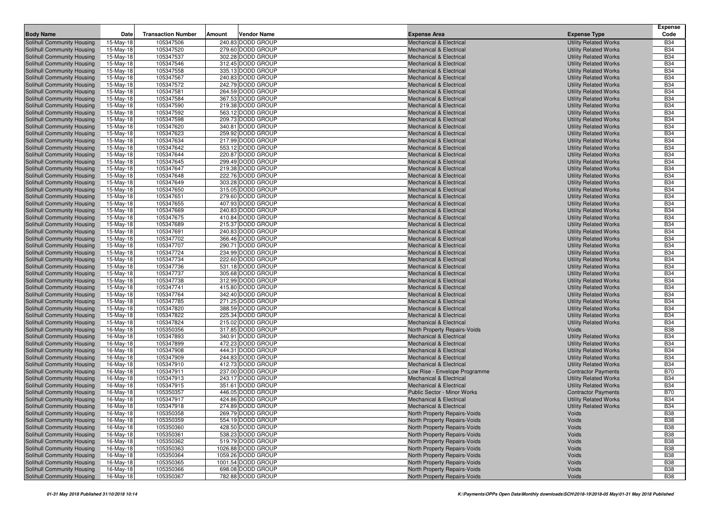|                                                          |                        |                           |        |                                        |                                                                          |                                                              | <b>Expense</b>           |
|----------------------------------------------------------|------------------------|---------------------------|--------|----------------------------------------|--------------------------------------------------------------------------|--------------------------------------------------------------|--------------------------|
| <b>Body Name</b>                                         | Date                   | <b>Transaction Number</b> | Amount | <b>Vendor Name</b>                     | <b>Expense Area</b>                                                      | <b>Expense Type</b>                                          | Code                     |
| Solihull Community Housing                               | 15-May-18              | 105347506                 |        | 240.83 DODD GROUP                      | <b>Mechanical &amp; Electrical</b>                                       | <b>Utility Related Works</b>                                 | <b>B34</b>               |
| Solihull Community Housing                               | 15-May-18              | 105347520                 |        | 279.60 DODD GROUP                      | <b>Mechanical &amp; Electrical</b>                                       | <b>Utility Related Works</b>                                 | <b>B34</b>               |
| Solihull Community Housing                               | 15-May-18              | 105347537                 |        | 302.28 DODD GROUP                      | <b>Mechanical &amp; Electrical</b>                                       | <b>Utility Related Works</b>                                 | <b>B34</b>               |
| Solihull Community Housing                               | 15-May-18              | 105347546                 |        | 312.45 DODD GROUP                      | <b>Mechanical &amp; Electrical</b>                                       | <b>Utility Related Works</b>                                 | <b>B34</b>               |
| Solihull Community Housing                               | 15-May-18              | 105347558                 |        | 335.13 DODD GROUP                      | <b>Mechanical &amp; Electrical</b>                                       | <b>Utility Related Works</b>                                 | <b>B34</b>               |
| Solihull Community Housing                               | 15-May-18              | 105347567                 |        | 240.83 DODD GROUP                      | <b>Mechanical &amp; Electrical</b>                                       | <b>Utility Related Works</b>                                 | <b>B34</b>               |
| Solihull Community Housing                               | 15-May-18              | 105347572                 |        | 242.79 DODD GROUP                      | <b>Mechanical &amp; Electrical</b>                                       | <b>Utility Related Works</b>                                 | <b>B34</b>               |
| Solihull Community Housing                               | 15-May-18              | 105347581                 |        | 264.59 DODD GROUP                      | <b>Mechanical &amp; Electrical</b>                                       | <b>Utility Related Works</b>                                 | <b>B34</b>               |
| Solihull Community Housing                               | 15-May-18              | 105347584                 |        | 367.53 DODD GROUP                      | <b>Mechanical &amp; Electrical</b>                                       | <b>Utility Related Works</b>                                 | <b>B34</b>               |
| Solihull Community Housing                               | 15-May-18              | 105347590                 |        | 219.38 DODD GROUP                      | <b>Mechanical &amp; Electrical</b>                                       | <b>Utility Related Works</b>                                 | <b>B34</b>               |
| Solihull Community Housing                               | 15-May-18              | 105347592                 |        | 563.12 DODD GROUP                      | <b>Mechanical &amp; Electrical</b>                                       | <b>Utility Related Works</b>                                 | <b>B34</b>               |
| Solihull Community Housing                               | 15-May-18              | 105347598                 |        | 209.73 DODD GROUP                      | <b>Mechanical &amp; Electrical</b>                                       | <b>Utility Related Works</b>                                 | <b>B34</b>               |
| Solihull Community Housing                               | 15-May-18              | 105347620                 |        | 340.81 DODD GROUP                      | <b>Mechanical &amp; Electrical</b>                                       | <b>Utility Related Works</b>                                 | <b>B34</b>               |
| Solihull Community Housing                               | 15-May-18              | 105347623                 |        | 259.92 DODD GROUP                      | <b>Mechanical &amp; Electrical</b>                                       | <b>Utility Related Works</b>                                 | <b>B34</b>               |
| Solihull Community Housing                               | 15-May-18              | 105347634                 |        | 217.99 DODD GROUP                      | <b>Mechanical &amp; Electrical</b>                                       | <b>Utility Related Works</b>                                 | <b>B34</b>               |
| Solihull Community Housing                               | 15-May-18              | 105347642                 |        | 553.12 DODD GROUP                      | <b>Mechanical &amp; Electrical</b>                                       | <b>Utility Related Works</b>                                 | <b>B34</b>               |
| Solihull Community Housing                               | 15-May-18              | 105347644                 |        | 220.87 DODD GROUP                      | <b>Mechanical &amp; Electrical</b>                                       | <b>Utility Related Works</b>                                 | <b>B34</b>               |
| Solihull Community Housing                               | 15-May-18              | 105347645                 |        | 299.49 DODD GROUP                      | <b>Mechanical &amp; Electrical</b>                                       | <b>Utility Related Works</b>                                 | <b>B34</b>               |
| Solihull Community Housing                               | 15-May-18              | 105347647                 |        | 219.38 DODD GROUP                      | <b>Mechanical &amp; Electrical</b>                                       | <b>Utility Related Works</b>                                 | <b>B34</b>               |
| Solihull Community Housing                               | 15-May-18              | 105347648                 |        | 222.76 DODD GROUP                      | <b>Mechanical &amp; Electrical</b>                                       | <b>Utility Related Works</b>                                 | <b>B34</b>               |
| Solihull Community Housing                               | 15-May-18              | 105347649                 |        | 303.28 DODD GROUP                      | <b>Mechanical &amp; Electrical</b>                                       | <b>Utility Related Works</b>                                 | <b>B34</b>               |
| Solihull Community Housing                               | 15-May-18              | 105347650                 |        | 315.05 DODD GROUP                      | <b>Mechanical &amp; Electrical</b>                                       | <b>Utility Related Works</b>                                 | <b>B34</b>               |
| Solihull Community Housing                               | 15-May-18              | 105347651                 |        | 279.60 DODD GROUP                      | <b>Mechanical &amp; Electrical</b>                                       | <b>Utility Related Works</b>                                 | <b>B34</b>               |
| Solihull Community Housing                               | 15-May-18              | 105347655                 |        | 407.93 DODD GROUP                      | <b>Mechanical &amp; Electrical</b>                                       | <b>Utility Related Works</b>                                 | <b>B34</b>               |
| Solihull Community Housing                               | 15-May-18              | 105347669                 |        | 240.83 DODD GROUP                      | <b>Mechanical &amp; Electrical</b>                                       | <b>Utility Related Works</b>                                 | <b>B34</b><br><b>B34</b> |
| Solihull Community Housing                               | 15-May-18<br>15-May-18 | 105347675<br>105347689    |        | 410.84 DODD GROUP<br>215.37 DODD GROUP | <b>Mechanical &amp; Electrical</b><br><b>Mechanical &amp; Electrical</b> | <b>Utility Related Works</b><br><b>Utility Related Works</b> | <b>B34</b>               |
| Solihull Community Housing<br>Solihull Community Housing | 15-May-18              | 105347691                 |        | 240.83 DODD GROUP                      | <b>Mechanical &amp; Electrical</b>                                       | <b>Utility Related Works</b>                                 | <b>B34</b>               |
| Solihull Community Housing                               | 15-May-18              | 105347702                 |        | 366.46 DODD GROUP                      | <b>Mechanical &amp; Electrical</b>                                       | <b>Utility Related Works</b>                                 | <b>B34</b>               |
| Solihull Community Housing                               | 15-May-18              | 105347707                 |        | 290.71 DODD GROUP                      | <b>Mechanical &amp; Electrical</b>                                       | <b>Utility Related Works</b>                                 | <b>B34</b>               |
| Solihull Community Housing                               | 15-May-18              | 105347724                 |        | 234.99 DODD GROUP                      | <b>Mechanical &amp; Electrical</b>                                       | <b>Utility Related Works</b>                                 | <b>B34</b>               |
| Solihull Community Housing                               | 15-May-18              | 105347734                 |        | 222.60 DODD GROUP                      | <b>Mechanical &amp; Electrical</b>                                       | <b>Utility Related Works</b>                                 | <b>B34</b>               |
| Solihull Community Housing                               | 15-May-18              | 105347736                 |        | 531.18 DODD GROUP                      | <b>Mechanical &amp; Electrical</b>                                       | <b>Utility Related Works</b>                                 | <b>B34</b>               |
| Solihull Community Housing                               | 15-May-18              | 105347737                 |        | 305.68 DODD GROUP                      | <b>Mechanical &amp; Electrical</b>                                       | <b>Utility Related Works</b>                                 | <b>B34</b>               |
| Solihull Community Housing                               | 15-May-18              | 105347738                 |        | 312.99 DODD GROUP                      | <b>Mechanical &amp; Electrical</b>                                       | <b>Utility Related Works</b>                                 | <b>B34</b>               |
| Solihull Community Housing                               | 15-May-18              | 105347741                 |        | 415.80 DODD GROUP                      | <b>Mechanical &amp; Electrical</b>                                       | <b>Utility Related Works</b>                                 | <b>B34</b>               |
| Solihull Community Housing                               | 15-May-18              | 105347764                 |        | 342.40 DODD GROUP                      | <b>Mechanical &amp; Electrical</b>                                       | <b>Utility Related Works</b>                                 | <b>B34</b>               |
| Solihull Community Housing                               | 15-May-18              | 105347785                 |        | 271.25 DODD GROUP                      | <b>Mechanical &amp; Electrical</b>                                       | <b>Utility Related Works</b>                                 | <b>B34</b>               |
| Solihull Community Housing                               | 15-May-18              | 105347820                 |        | 388.59 DODD GROUP                      | <b>Mechanical &amp; Electrical</b>                                       | <b>Utility Related Works</b>                                 | <b>B34</b>               |
| Solihull Community Housing                               | 15-May-18              | 105347822                 |        | 225.34 DODD GROUP                      | <b>Mechanical &amp; Electrical</b>                                       | <b>Utility Related Works</b>                                 | <b>B34</b>               |
| Solihull Community Housing                               | 15-May-18              | 105347824                 |        | 215.02 DODD GROUP                      | <b>Mechanical &amp; Electrical</b>                                       | <b>Utility Related Works</b>                                 | <b>B34</b>               |
| Solihull Community Housing                               | 16-May-18              | 105350356                 |        | 317.85 DODD GROUP                      | North Property Repairs-Voids                                             | Voids                                                        | <b>B38</b>               |
| Solihull Community Housing                               | 16-May-18              | 105347893                 |        | 340.91 DODD GROUP                      | Mechanical & Electrical                                                  | <b>Utility Related Works</b>                                 | <b>B34</b>               |
| Solihull Community Housing                               | 16-May-18              | 105347899                 |        | 472.23 DODD GROUP                      | <b>Mechanical &amp; Electrical</b>                                       | <b>Utility Related Works</b>                                 | <b>B34</b>               |
| Solihull Community Housing                               | 16-May-18              | 105347908                 |        | 444.31 DODD GROUP                      | <b>Mechanical &amp; Electrical</b>                                       | <b>Utility Related Works</b>                                 | <b>B34</b>               |
| Solihull Community Housing                               | 16-May-18              | 105347909                 |        | 244.83 DODD GROUP                      | <b>Mechanical &amp; Electrical</b>                                       | <b>Utility Related Works</b>                                 | <b>B34</b>               |
| Solihull Community Housing                               | 16-May-18              | 105347910                 |        | 412.73 DODD GROUP                      | <b>Mechanical &amp; Electrical</b>                                       | <b>Utility Related Works</b>                                 | <b>B34</b><br><b>B70</b> |
| Solihull Community Housing                               | 16-May-18              | 105347911                 |        | 237.00 DODD GROUP                      | Low Rise - Envelope Programme                                            | <b>Contractor Payments</b>                                   |                          |
| Solihull Community Housing<br>Solihull Community Housing | 16-May-18              | 105347913                 |        | 243.17 DODD GROUP<br>351.61 DODD GROUP | <b>Mechanical &amp; Electrical</b><br><b>Mechanical &amp; Electrical</b> | <b>Utility Related Works</b>                                 | <b>B34</b><br><b>B34</b> |
| Solihull Community Housing                               | 16-May-18<br>16-May-18 | 105347915<br>105350357    |        | 446.05 DODD GROUP                      | <b>Public Sector - Minor Works</b>                                       | <b>Utility Related Works</b><br><b>Contractor Payments</b>   | <b>B70</b>               |
| Solihull Community Housing                               | 16-May-18              | 105347917                 |        | 424.86 DODD GROUP                      | <b>Mechanical &amp; Electrical</b>                                       | <b>Utility Related Works</b>                                 | <b>B34</b>               |
| Solihull Community Housing                               | 16-May-18              | 105347918                 |        | 274.89 DODD GROUP                      | <b>Mechanical &amp; Electrical</b>                                       | <b>Utility Related Works</b>                                 | <b>B34</b>               |
| Solihull Community Housing                               | 16-May-18              | 105350358                 |        | 269.79 DODD GROUP                      | North Property Repairs-Voids                                             | Voids                                                        | <b>B38</b>               |
| Solihull Community Housing                               | 16-May-18              | 105350359                 |        | 554.19 DODD GROUP                      | North Property Repairs-Voids                                             | Voids                                                        | <b>B38</b>               |
| Solihull Community Housing                               | 16-May-18              | 105350360                 |        | 428.50 DODD GROUP                      | North Property Repairs-Voids                                             | Voids                                                        | <b>B38</b>               |
| Solihull Community Housing                               | 16-May-18              | 105350361                 |        | 538.23 DODD GROUP                      | North Property Repairs-Voids                                             | Voids                                                        | <b>B38</b>               |
| Solihull Community Housing                               | 16-May-18              | 105350362                 |        | 519.79 DODD GROUP                      | North Property Repairs-Voids                                             | Voids                                                        | <b>B38</b>               |
| Solihull Community Housing                               | 16-May-18              | 105350363                 |        | 1026.88 DODD GROUP                     | North Property Repairs-Voids                                             | Voids                                                        | <b>B38</b>               |
| Solihull Community Housing                               | 16-May-18              | 105350364                 |        | 1059.26 DODD GROUP                     | North Property Repairs-Voids                                             | Voids                                                        | <b>B38</b>               |
| Solihull Community Housing                               | 16-May-18              | 105350365                 |        | 1001.54 DODD GROUP                     | North Property Repairs-Voids                                             | Voids                                                        | <b>B38</b>               |
| Solihull Community Housing                               | 16-May-18              | 105350366                 |        | 698.08 DODD GROUP                      | North Property Repairs-Voids                                             | Voids                                                        | <b>B38</b>               |
| Solihull Community Housing                               | 16-May-18              | 105350367                 |        | 782.88 DODD GROUP                      | North Property Repairs-Voids                                             | Voids                                                        | <b>B38</b>               |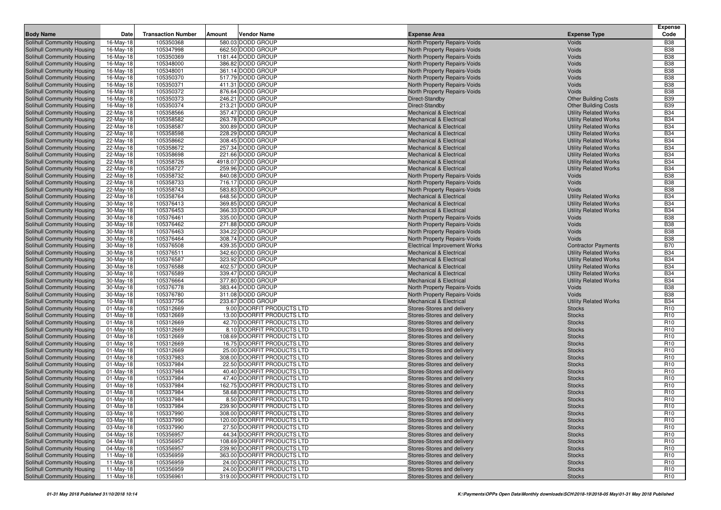| <b>Body Name</b>                                         | Date                   | <b>Transaction Number</b> | Amount | <b>Vendor Name</b>                                         | <b>Expense Area</b>                                                      | <b>Expense Type</b>                                          | <b>Expense</b><br>Code             |
|----------------------------------------------------------|------------------------|---------------------------|--------|------------------------------------------------------------|--------------------------------------------------------------------------|--------------------------------------------------------------|------------------------------------|
| Solihull Community Housing                               | 16-May-18              | 105350368                 |        | 580.03 DODD GROUP                                          | North Property Repairs-Voids                                             | Voids                                                        | <b>B38</b>                         |
| Solihull Community Housing                               | 16-May-18              | 105347998                 |        | 662.50 DODD GROUP                                          | North Property Repairs-Voids                                             | Voids                                                        | <b>B38</b>                         |
| Solihull Community Housing                               | 16-May-18              | 105350369                 |        | 1181.44 DODD GROUP                                         | North Property Repairs-Voids                                             | Voids                                                        | <b>B38</b>                         |
| Solihull Community Housing                               | 16-May-18              | 105348000                 |        | 386.82 DODD GROUP                                          | North Property Repairs-Voids                                             | Voids                                                        | <b>B38</b>                         |
| Solihull Community Housing                               | 16-May-18              | 105348001                 |        | 361.14 DODD GROUP                                          | North Property Repairs-Voids                                             | Voids                                                        | <b>B38</b>                         |
| Solihull Community Housing                               | 16-May-18              | 105350370                 |        | 517.79 DODD GROUP                                          | North Property Repairs-Voids                                             | Voids                                                        | <b>B38</b>                         |
| Solihull Community Housing                               | 16-May-18              | 105350371                 |        | 411.31 DODD GROUP                                          | North Property Repairs-Voids                                             | Voids                                                        | <b>B38</b>                         |
| Solihull Community Housing                               | 16-May-18              | 105350372                 |        | 876.64 DODD GROUP                                          | North Property Repairs-Voids                                             | Voids                                                        | <b>B38</b>                         |
| Solihull Community Housing                               | 16-May-18              | 105350373                 |        | 246.21 DODD GROUP                                          | Direct-Standby                                                           | <b>Other Building Costs</b>                                  | <b>B39</b>                         |
| Solihull Community Housing                               | 16-May-18              | 105350374                 |        | 213.21 DODD GROUP                                          | Direct-Standby                                                           | <b>Other Building Costs</b>                                  | <b>B39</b>                         |
| Solihull Community Housing                               | 22-May-18              | 105358566                 |        | 357.47 DODD GROUP                                          | <b>Mechanical &amp; Electrical</b>                                       | <b>Utility Related Works</b>                                 | <b>B34</b>                         |
| Solihull Community Housing                               | 22-May-18              | 105358582                 |        | 263.78 DODD GROUP                                          | <b>Mechanical &amp; Electrical</b>                                       | <b>Utility Related Works</b>                                 | <b>B34</b>                         |
| Solihull Community Housing                               | 22-May-18              | 105358587                 |        | 300.89 DODD GROUP                                          | <b>Mechanical &amp; Electrical</b>                                       | <b>Utility Related Works</b>                                 | <b>B34</b>                         |
| Solihull Community Housing                               | 22-May-18              | 105358598                 |        | 228.29 DODD GROUP                                          | <b>Mechanical &amp; Electrical</b>                                       | <b>Utility Related Works</b>                                 | <b>B34</b>                         |
| Solihull Community Housing                               | 22-May-18              | 105358662                 |        | 308.45 DODD GROUP                                          | <b>Mechanical &amp; Electrical</b>                                       | <b>Utility Related Works</b>                                 | <b>B34</b>                         |
| Solihull Community Housing                               | 22-May-18              | 105358672<br>105358698    |        | 257.34 DODD GROUP<br>221.66 DODD GROUP                     | <b>Mechanical &amp; Electrical</b>                                       | <b>Utility Related Works</b>                                 | <b>B34</b><br><b>B34</b>           |
| Solihull Community Housing<br>Solihull Community Housing | 22-May-18              | 105358726                 |        | 4918.07 DODD GROUP                                         | <b>Mechanical &amp; Electrical</b><br><b>Mechanical &amp; Electrical</b> | <b>Utility Related Works</b><br><b>Utility Related Works</b> | <b>B34</b>                         |
| Solihull Community Housing                               | 22-May-18<br>22-May-18 | 105358727                 |        | 259.96 DODD GROUP                                          | <b>Mechanical &amp; Electrical</b>                                       | <b>Utility Related Works</b>                                 | <b>B34</b>                         |
| Solihull Community Housing                               | 22-May-18              | 105358732                 |        | 840.08 DODD GROUP                                          | North Property Repairs-Voids                                             | Voids                                                        | <b>B38</b>                         |
| Solihull Community Housing                               | 22-May-18              | 105358733                 |        | 716.17 DODD GROUP                                          | North Property Repairs-Voids                                             | Voids                                                        | <b>B38</b>                         |
| Solihull Community Housing                               | 22-May-18              | 105358743                 |        | 583.83 DODD GROUP                                          | North Property Repairs-Voids                                             | Voids                                                        | <b>B38</b>                         |
| Solihull Community Housing                               | 22-May-18              | 105358764                 |        | 648.56 DODD GROUP                                          | <b>Mechanical &amp; Electrical</b>                                       | <b>Utility Related Works</b>                                 | <b>B34</b>                         |
| Solihull Community Housing                               | 30-May-18              | 105376413                 |        | 369.85 DODD GROUP                                          | <b>Mechanical &amp; Electrical</b>                                       | <b>Utility Related Works</b>                                 | <b>B34</b>                         |
| Solihull Community Housing                               | 30-May-18              | 105376453                 |        | 366.33 DODD GROUP                                          | <b>Mechanical &amp; Electrical</b>                                       | <b>Utility Related Works</b>                                 | <b>B34</b>                         |
| Solihull Community Housing                               | 30-May-18              | 105376461                 |        | 335.00 DODD GROUP                                          | North Property Repairs-Voids                                             | Voids                                                        | <b>B38</b>                         |
| Solihull Community Housing                               | 30-May-18              | 105376462                 |        | 271.88 DODD GROUP                                          | North Property Repairs-Voids                                             | Voids                                                        | <b>B38</b>                         |
| Solihull Community Housing                               | 30-May-18              | 105376463                 |        | 334.22 DODD GROUP                                          | North Property Repairs-Voids                                             | Voids                                                        | <b>B38</b>                         |
| Solihull Community Housing                               | 30-May-18              | 105376464                 |        | 308.74 DODD GROUP                                          | North Property Repairs-Voids                                             | Voids                                                        | <b>B38</b>                         |
| Solihull Community Housing                               | 30-May-18              | 105376508                 |        | 439.35 DODD GROUP                                          | <b>Electrical Improvement Works</b>                                      | <b>Contractor Payments</b>                                   | <b>B70</b>                         |
| Solihull Community Housing                               | 30-May-18              | 105376511                 |        | 342.60 DODD GROUP                                          | <b>Mechanical &amp; Electrical</b>                                       | <b>Utility Related Works</b>                                 | <b>B34</b>                         |
| Solihull Community Housing                               | 30-May-18              | 105376587                 |        | 323.92 DODD GROUP                                          | <b>Mechanical &amp; Electrical</b>                                       | <b>Utility Related Works</b>                                 | <b>B34</b>                         |
| Solihull Community Housing                               | 30-May-18              | 105376588                 |        | 402.57 DODD GROUP                                          | <b>Mechanical &amp; Electrical</b>                                       | <b>Utility Related Works</b>                                 | <b>B34</b>                         |
| Solihull Community Housing                               | 30-May-18              | 105376589                 |        | 339.47 DODD GROUP                                          | <b>Mechanical &amp; Electrical</b>                                       | <b>Utility Related Works</b>                                 | <b>B34</b>                         |
| Solihull Community Housing                               | 30-May-18              | 105376664                 |        | 377.80 DODD GROUP<br>383.44 DODD GROUP                     | <b>Mechanical &amp; Electrical</b>                                       | <b>Utility Related Works</b>                                 | <b>B34</b><br><b>B38</b>           |
| Solihull Community Housing<br>Solihull Community Housing | 30-May-18<br>30-May-18 | 105376778<br>105376780    |        | 311.08 DODD GROUP                                          | North Property Repairs-Voids<br>North Property Repairs-Voids             | Voids<br>Voids                                               | <b>B38</b>                         |
| Solihull Community Housing                               | 10-May-18              | 105337756                 |        | 233.67 DODD GROUP                                          | <b>Mechanical &amp; Electrical</b>                                       | <b>Utility Related Works</b>                                 | <b>B34</b>                         |
| Solihull Community Housing                               | 01-May-18              | 105312669                 |        | 9.00 DOORFIT PRODUCTS LTD                                  | Stores-Stores and delivery                                               | <b>Stocks</b>                                                | R <sub>10</sub>                    |
| Solihull Community Housing                               | 01-May-18              | 105312669                 |        | 13.00 DOORFIT PRODUCTS LTD                                 | Stores-Stores and delivery                                               | <b>Stocks</b>                                                | R <sub>10</sub>                    |
| Solihull Community Housing                               | 01-May-18              | 105312669                 |        | 42.70 DOORFIT PRODUCTS LTD                                 | Stores-Stores and delivery                                               | <b>Stocks</b>                                                | R <sub>10</sub>                    |
| Solihull Community Housing                               | $01$ -May-18           | 105312669                 |        | 8.10 DOORFIT PRODUCTS LTD                                  | Stores-Stores and delivery                                               | <b>Stocks</b>                                                | R <sub>10</sub>                    |
| Solihull Community Housing                               | 01-May-18              | 105312669                 |        | 108.69 DOORFIT PRODUCTS LTD                                | Stores-Stores and delivery                                               | <b>Stocks</b>                                                | R <sub>10</sub>                    |
| Solihull Community Housing                               | $01$ -May-18           | 105312669                 |        | 16.75 DOORFIT PRODUCTS LTD                                 | Stores-Stores and delivery                                               | <b>Stocks</b>                                                | R <sub>10</sub>                    |
| Solihull Community Housing                               | 01-May-18              | 105312669                 |        | 25.00 DOORFIT PRODUCTS LTD                                 | Stores-Stores and delivery                                               | <b>Stocks</b>                                                | R <sub>10</sub>                    |
| Solihull Community Housing                               | $01$ -May-18           | 105337983                 |        | 308.00 DOORFIT PRODUCTS LTD                                | Stores-Stores and delivery                                               | <b>Stocks</b>                                                | R <sub>10</sub>                    |
| Solihull Community Housing                               | 01-May-18              | 105337984                 |        | 22.50 DOORFIT PRODUCTS LTD                                 | Stores-Stores and delivery                                               | <b>Stocks</b>                                                | R <sub>10</sub>                    |
| Solihull Community Housing                               | 01-May-18              | 105337984                 |        | 40.40 DOORFIT PRODUCTS LTD                                 | Stores-Stores and delivery                                               | <b>Stocks</b>                                                | R <sub>10</sub>                    |
| Solihull Community Housing                               | $01$ -May-18           | 105337984                 |        | 47.40 DOORFIT PRODUCTS LTD                                 | Stores-Stores and delivery                                               | <b>Stocks</b>                                                | R <sub>10</sub>                    |
| Solihull Community Housing                               | $01$ -May-18           | 105337984                 |        | 162.75 DOORFIT PRODUCTS LTD                                | Stores-Stores and delivery                                               | <b>Stocks</b>                                                | R <sub>10</sub>                    |
| Solihull Community Housing                               | 01-May-18              | 105337984                 |        | 58.68 DOORFIT PRODUCTS LTD                                 | Stores-Stores and delivery                                               | <b>Stocks</b>                                                | R <sub>10</sub>                    |
| Solihull Community Housing                               | 01-May-18              | 105337984                 |        | 8.50 DOORFIT PRODUCTS LTD                                  | Stores-Stores and delivery                                               | <b>Stocks</b>                                                | R <sub>10</sub>                    |
| Solihull Community Housing<br>Solihull Community Housing | 01-May-18              | 105337984                 |        | 239.90 DOORFIT PRODUCTS LTD                                | Stores-Stores and delivery<br>Stores-Stores and delivery                 | <b>Stocks</b>                                                | R <sub>10</sub>                    |
| Solihull Community Housing                               | 03-May-18              | 105337990                 |        | 308.00 DOORFIT PRODUCTS LTD<br>120.00 DOORFIT PRODUCTS LTD | Stores-Stores and delivery                                               | <b>Stocks</b>                                                | R <sub>10</sub><br>R <sub>10</sub> |
| Solihull Community Housing                               | 03-May-18<br>03-May-18 | 105337990<br>105337990    |        | 27.50 DOORFIT PRODUCTS LTD                                 | Stores-Stores and delivery                                               | <b>Stocks</b><br><b>Stocks</b>                               | R <sub>10</sub>                    |
| Solihull Community Housing                               | 04-May-18              | 105356957                 |        | 44.34 DOORFIT PRODUCTS LTD                                 | Stores-Stores and delivery                                               | <b>Stocks</b>                                                | R <sub>10</sub>                    |
| Solihull Community Housing                               | 04-May-18              | 105356957                 |        | 108.69 DOORFIT PRODUCTS LTD                                | Stores-Stores and delivery                                               | <b>Stocks</b>                                                | R <sub>10</sub>                    |
| Solihull Community Housing                               | 04-May-18              | 105356957                 |        | 239.90 DOORFIT PRODUCTS LTD                                | Stores-Stores and delivery                                               | <b>Stocks</b>                                                | R <sub>10</sub>                    |
| Solihull Community Housing                               | $11-May-18$            | 105356959                 |        | 363.00 DOORFIT PRODUCTS LTD                                | Stores-Stores and delivery                                               | <b>Stocks</b>                                                | R <sub>10</sub>                    |
| Solihull Community Housing                               | 11-May-18              | 105356959                 |        | 24.00 DOORFIT PRODUCTS LTD                                 | Stores-Stores and delivery                                               | <b>Stocks</b>                                                | R <sub>10</sub>                    |
| Solihull Community Housing                               | 11-May-18              | 105356959                 |        | 24.00 DOORFIT PRODUCTS LTD                                 | Stores-Stores and delivery                                               | <b>Stocks</b>                                                | R <sub>10</sub>                    |
| Solihull Community Housing                               | 11-May-18              | 105356961                 |        | 319.00 DOORFIT PRODUCTS LTD                                | Stores-Stores and delivery                                               | <b>Stocks</b>                                                | R <sub>10</sub>                    |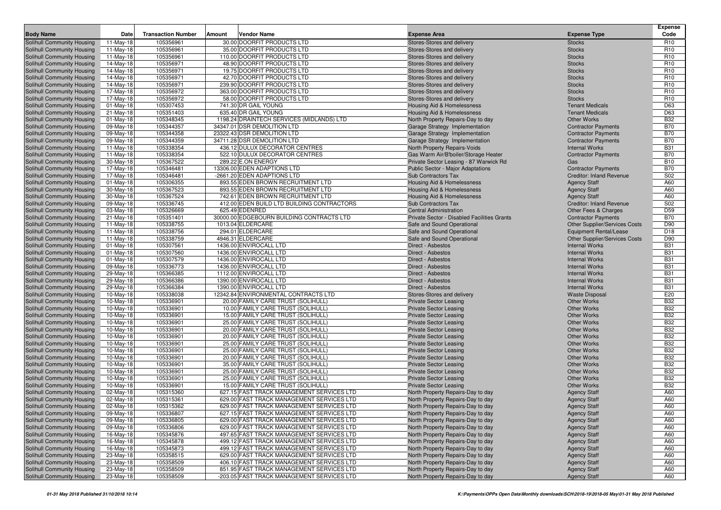| <b>Body Name</b>                                         | Date                   | <b>Transaction Number</b> | Amount | Vendor Name                                                            | <b>Expense Area</b>                                         | <b>Expense Type</b>                                                | <b>Expense</b><br>Code |
|----------------------------------------------------------|------------------------|---------------------------|--------|------------------------------------------------------------------------|-------------------------------------------------------------|--------------------------------------------------------------------|------------------------|
| Solihull Community Housing                               | 11-May-18              | 105356961                 |        | 30.00 DOORFIT PRODUCTS LTD                                             | Stores-Stores and delivery                                  | <b>Stocks</b>                                                      | R <sub>10</sub>        |
| Solihull Community Housing                               | 11-May-18              | 105356961                 |        | 35.00 DOORFIT PRODUCTS LTD                                             | Stores-Stores and delivery                                  | <b>Stocks</b>                                                      | R <sub>10</sub>        |
| Solihull Community Housing                               | 11-May-18              | 105356961                 |        | 110.00 DOORFIT PRODUCTS LTD                                            | Stores-Stores and delivery                                  | <b>Stocks</b>                                                      | R <sub>10</sub>        |
| Solihull Community Housing                               | 14-May-18              | 105356971                 |        | 48.90 DOORFIT PRODUCTS LTD                                             | Stores-Stores and delivery                                  | <b>Stocks</b>                                                      | R <sub>10</sub>        |
| Solihull Community Housing                               | 14-May-18              | 105356971                 |        | 19.75 DOORFIT PRODUCTS LTD                                             | Stores-Stores and delivery                                  | <b>Stocks</b>                                                      | R <sub>10</sub>        |
| Solihull Community Housing                               | 14-May-18              | 105356971                 |        | 42.70 DOORFIT PRODUCTS LTD                                             | Stores-Stores and delivery                                  | <b>Stocks</b>                                                      | R <sub>10</sub>        |
| Solihull Community Housing                               | 14-May-18              | 105356971                 |        | 239.90 DOORFIT PRODUCTS LTD                                            | Stores-Stores and delivery                                  | <b>Stocks</b>                                                      | R <sub>10</sub>        |
| Solihull Community Housing                               | 17-May-18              | 105356972                 |        | 363.00 DOORFIT PRODUCTS LTD                                            | Stores-Stores and delivery                                  | <b>Stocks</b>                                                      | R <sub>10</sub>        |
| Solihull Community Housing                               | 17-May-18              | 105356972                 |        | 58.00 DOORFIT PRODUCTS LTD                                             | Stores-Stores and delivery                                  | <b>Stocks</b>                                                      | R <sub>10</sub>        |
| Solihull Community Housing                               | $01$ -May-18           | 105307453                 |        | 741.30 DR GAIL YOUNG                                                   | Housing Aid & Homelessness                                  | <b>Tenant Medicals</b>                                             | D63                    |
| Solihull Community Housing                               | 21-May-18              | 105351403                 |        | 635.40 DR GAIL YOUNG                                                   | Housing Aid & Homelessness                                  | <b>Tenant Medicals</b>                                             | D63                    |
| Solihull Community Housing                               | $01$ -May-18           | 105348345                 |        | 1198.24 DRAINTECH SERVICES (MIDLANDS) LTD                              | North Property Repairs-Day to day                           | <b>Other Works</b>                                                 | <b>B32</b>             |
| Solihull Community Housing                               | 09-May-18              | 105344357                 |        | 34347.01 DSR DEMOLITION LTD                                            | Garage Strategy Implementation                              | <b>Contractor Payments</b>                                         | <b>B70</b>             |
| Solihull Community Housing                               | 09-May-18              | 105344358                 |        | 23322.43 DSR DEMOLITION LTD                                            | Garage Strategy Implementation                              | <b>Contractor Payments</b>                                         | <b>B70</b>             |
| Solihull Community Housing                               | 09-May-18              | 105344359                 |        | 34711.28 DSR DEMOLITION LTD                                            | Garage Strategy Implementation                              | <b>Contractor Payments</b>                                         | <b>B70</b>             |
| Solihull Community Housing                               | 11-May-18              | 105338354                 |        | 436.12 DULUX DECORATOR CENTRES                                         | North Property Repairs-Voids                                | <b>Internal Works</b>                                              | <b>B31</b>             |
| Solihull Community Housing                               | 11-May-18              | 105338354                 |        | 522.10 DULUX DECORATOR CENTRES                                         | Gas Warm Air/B'boiler/Storage Heater                        | <b>Contractor Payments</b>                                         | <b>B70</b>             |
| Solihull Community Housing                               | 30-May-18              | 105367522                 |        | 289.22 E.ON ENERGY                                                     | Private Sector Leasing - 87 Warwick Rd                      | Gas                                                                | <b>B10</b>             |
| Solihull Community Housing                               | 17-May-18              | 105346481                 |        | 13306.00 EDEN ADAPTIONS LTD                                            | Public Sector - Major Adaptations                           | <b>Contractor Payments</b>                                         | <b>B70</b>             |
| Solihull Community Housing                               | 17-May-18              | 105346481                 |        | -2661.20 EDEN ADAPTIONS LTD                                            | <b>Sub Contractors Tax</b>                                  | <b>Creditor: Inland Revenue</b>                                    | S <sub>02</sub>        |
| Solihull Community Housing                               | $01$ -May-18           | 105306355                 |        | 893.55 EDEN BROWN RECRUITMENT LTD                                      | Housing Aid & Homelessness                                  | <b>Agency Staff</b>                                                | A60                    |
| Solihull Community Housing                               | 30-May-18              | 105367523                 |        | 893.55 EDEN BROWN RECRUITMENT LTD<br>742.61 EDEN BROWN RECRUITMENT LTD | <b>Housing Aid &amp; Homelessness</b>                       | <b>Agency Staff</b>                                                | A60                    |
| Solihull Community Housing                               | 30-May-18              | 105367524                 |        |                                                                        | Housing Aid & Homelessness                                  | <b>Agency Staff</b>                                                | A60                    |
| Solihull Community Housing                               | 09-May-18              | 105336745                 |        | 412.00 EDEN BUILD LTD BUILDING CONTRACTORS                             | <b>Sub Contractors Tax</b><br><b>Central Administration</b> | <b>Creditor: Inland Revenue</b>                                    | S <sub>02</sub>        |
| Solihull Community Housing                               | 03-May-18<br>21-May-18 | 105326669<br>105351401    |        | 625.49 EDENRED<br>30000.00 EDGEBOURN BUILDING CONTRACTS LTD            | Private Sector - Disabled Facilities Grants                 | Other Fees & Charges                                               | D59<br><b>B70</b>      |
| Solihull Community Housing<br>Solihull Community Housing | 11-May-18              | 105338755                 |        | 1013.04 ELDERCARE                                                      | Safe and Sound Operational                                  | <b>Contractor Payments</b><br><b>Other Supplier/Services Costs</b> | D90                    |
| Solihull Community Housing                               | $11-May-18$            | 105338756                 |        | 294.01 ELDERCARE                                                       | Safe and Sound Operational                                  | <b>Equipment Rental/Lease</b>                                      | D <sub>18</sub>        |
| Solihull Community Housing                               | 11-May-18              | 105338759                 |        | 4946.31 ELDERCARE                                                      | Safe and Sound Operational                                  | <b>Other Supplier/Services Costs</b>                               | D90                    |
| Solihull Community Housing                               | 01-May-18              | 105307561                 |        | 1436.00 ENVIROCALL LTD                                                 | Direct - Asbestos                                           | <b>Internal Works</b>                                              | <b>B31</b>             |
| Solihull Community Housing                               | $01$ -May-18           | 105307560                 |        | 1436.00 ENVIROCALL LTD                                                 | Direct - Asbestos                                           | <b>Internal Works</b>                                              | <b>B31</b>             |
| Solihull Community Housing                               | 01-May-18              | 105307579                 |        | 1436.00 ENVIROCALL LTD                                                 | Direct - Asbestos                                           | <b>Internal Works</b>                                              | <b>B31</b>             |
| Solihull Community Housing                               | 09-May-18              | 105336773                 |        | 1436.00 ENVIROCALL LTD                                                 | <b>Direct - Asbestos</b>                                    | <b>Internal Works</b>                                              | <b>B31</b>             |
| Solihull Community Housing                               | 29-May-18              | 105366385                 |        | 1112.00 ENVIROCALL LTD                                                 | <b>Direct - Asbestos</b>                                    | <b>Internal Works</b>                                              | <b>B31</b>             |
| Solihull Community Housing                               | 29-May-18              | 105366386                 |        | 1390.00 ENVIROCALL LTD                                                 | <b>Direct - Asbestos</b>                                    | <b>Internal Works</b>                                              | <b>B31</b>             |
| Solihull Community Housing                               | 29-May-18              | 105366384                 |        | 1390.00 ENVIROCALL LTD                                                 | <b>Direct - Asbestos</b>                                    | <b>Internal Works</b>                                              | <b>B31</b>             |
| Solihull Community Housing                               | 10-May-18              | 105338038                 |        | 12342.84 ENVIRONMENTAL CONTRACTS LTD                                   | Stores-Stores and delivery                                  | <b>Waste Disposal</b>                                              | E20                    |
| Solihull Community Housing                               | 10-May-18              | 105336901                 |        | 20.00 FAMILY CARE TRUST (SOLIHULL)                                     | <b>Private Sector Leasing</b>                               | <b>Other Works</b>                                                 | <b>B32</b>             |
| Solihull Community Housing                               | 10-May-18              | 105336901                 |        | 10.00 FAMILY CARE TRUST (SOLIHULL)                                     | <b>Private Sector Leasing</b>                               | <b>Other Works</b>                                                 | <b>B32</b>             |
| Solihull Community Housing                               | 10-May-18              | 105336901                 |        | 15.00 FAMILY CARE TRUST (SOLIHULL)                                     | <b>Private Sector Leasing</b>                               | <b>Other Works</b>                                                 | <b>B32</b>             |
| Solihull Community Housing                               | 10-May-18              | 105336901                 |        | 25.00 FAMILY CARE TRUST (SOLIHULL)                                     | <b>Private Sector Leasing</b>                               | <b>Other Works</b>                                                 | <b>B32</b>             |
| Solihull Community Housing                               | $10$ -May-18           | 105336901                 |        | 20.00 FAMILY CARE TRUST (SOLIHULL)                                     | <b>Private Sector Leasing</b>                               | <b>Other Works</b>                                                 | <b>B32</b>             |
| Solihull Community Housing                               | 10-May-18              | 105336901                 |        | 20.00 FAMILY CARE TRUST (SOLIHULL)                                     | <b>Private Sector Leasing</b>                               | <b>Other Works</b>                                                 | <b>B32</b>             |
| Solihull Community Housing                               | 10-May-18              | 105336901                 |        | 25.00 FAMILY CARE TRUST (SOLIHULL)                                     | <b>Private Sector Leasing</b>                               | <b>Other Works</b>                                                 | <b>B32</b>             |
| Solihull Community Housing                               | 10-May-18              | 105336901                 |        | 25.00 FAMILY CARE TRUST (SOLIHULL)                                     | <b>Private Sector Leasing</b>                               | <b>Other Works</b>                                                 | <b>B32</b>             |
| Solihull Community Housing                               | 10-May-18              | 105336901                 |        | 20.00 FAMILY CARE TRUST (SOLIHULL)                                     | <b>Private Sector Leasing</b>                               | <b>Other Works</b>                                                 | <b>B32</b>             |
| Solihull Community Housing                               | 10-May-18              | 105336901                 |        | 35.00 FAMILY CARE TRUST (SOLIHULL)                                     | <b>Private Sector Leasing</b>                               | <b>Other Works</b>                                                 | <b>B32</b>             |
| Solihull Community Housing                               | 10-May-18              | 105336901                 |        | 25.00 FAMILY CARE TRUST (SOLIHULL)                                     | <b>Private Sector Leasing</b>                               | <b>Other Works</b>                                                 | <b>B32</b>             |
| Solihull Community Housing                               | $10$ -May-18           | 105336901                 |        | 25.00 FAMILY CARE TRUST (SOLIHULL)                                     | <b>Private Sector Leasing</b>                               | <b>Other Works</b>                                                 | <b>B32</b>             |
| Solihull Community Housing                               | $10$ -May-18           | 105336901                 |        | 15.00 FAMILY CARE TRUST (SOLIHULL)                                     | <b>Private Sector Leasing</b>                               | <b>Other Works</b>                                                 | <b>B32</b>             |
| Solihull Community Housing                               | 02-May-18              | 105315360                 |        | 627.15 FAST TRACK MANAGEMENT SERVICES LTD                              | North Property Repairs-Day to day                           | <b>Agency Staff</b>                                                | A60                    |
| Solihull Community Housing                               | 02-May-18              | 105315361                 |        | 629.00 FAST TRACK MANAGEMENT SERVICES LTD                              | North Property Repairs-Day to day                           | <b>Agency Staff</b>                                                | A60                    |
| Solihull Community Housing                               | 02-May-18              | 105315362                 |        | 629.00 FAST TRACK MANAGEMENT SERVICES LTD                              | North Property Repairs-Day to day                           | <b>Agency Staff</b>                                                | A60                    |
| Solihull Community Housing                               | 09-May-18              | 105336807                 |        | 627.15 FAST TRACK MANAGEMENT SERVICES LTD                              | North Property Repairs-Day to day                           | <b>Agency Staff</b>                                                | A60                    |
| Solihull Community Housing                               | 09-May-18              | 105336805                 |        | 629.00 FAST TRACK MANAGEMENT SERVICES LTD                              | North Property Repairs-Day to day                           | <b>Agency Staff</b>                                                | A60                    |
| Solihull Community Housing                               | 09-May-18              | 105336806                 |        | 629.00 FAST TRACK MANAGEMENT SERVICES LTD                              | North Property Repairs-Day to day                           | <b>Agency Staff</b>                                                | A60                    |
| Solihull Community Housing                               | 16-May-18              | 105345876                 |        | 497.65 FAST TRACK MANAGEMENT SERVICES LTD                              | North Property Repairs-Day to day                           | <b>Agency Staff</b>                                                | A60                    |
| Solihull Community Housing                               | 16-May-18              | 105345878                 |        | 499.12 FAST TRACK MANAGEMENT SERVICES LTD                              | North Property Repairs-Day to day                           | <b>Agency Staff</b>                                                | A60                    |
| Solihull Community Housing                               | 16-May-18              | 105345873                 |        | 499.12 FAST TRACK MANAGEMENT SERVICES LTD                              | North Property Repairs-Day to day                           | <b>Agency Staff</b>                                                | A60                    |
| Solihull Community Housing                               | 23-May-18              | 105358515                 |        | 629.00 FAST TRACK MANAGEMENT SERVICES LTD                              | North Property Repairs-Day to day                           | <b>Agency Staff</b>                                                | A60                    |
| Solihull Community Housing                               | 23-May-18              | 105358509                 |        | 406.10 FAST TRACK MANAGEMENT SERVICES LTD                              | North Property Repairs-Day to day                           | <b>Agency Staff</b>                                                | A60                    |
| Solihull Community Housing                               | 23-May-18              | 105358509                 |        | 851.95 FAST TRACK MANAGEMENT SERVICES LTD                              | North Property Repairs-Day to day                           | <b>Agency Staff</b>                                                | A60                    |
| <b>Solihull Community Housing</b>                        | 23-May-18              | 105358509                 |        | -203.05 FAST TRACK MANAGEMENT SERVICES LTD                             | North Property Repairs-Day to day                           | <b>Agency Staff</b>                                                | A60                    |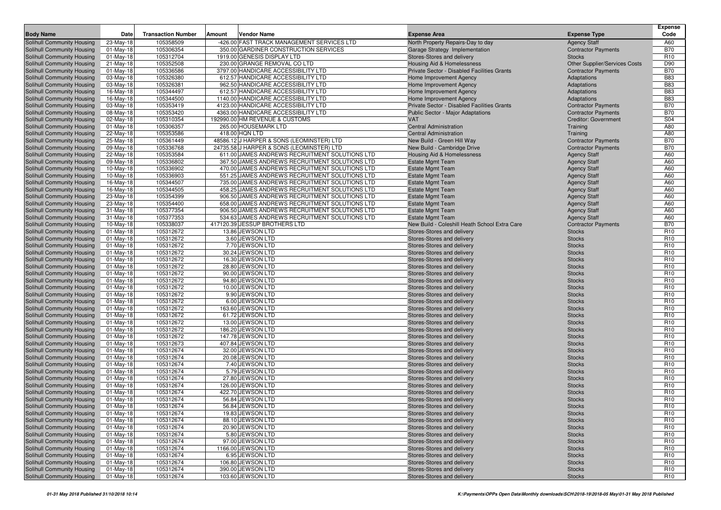| <b>Body Name</b>                                         | Date         | <b>Transaction Number</b> | Vendor Name<br>Amount                          | <b>Expense Area</b>                           | <b>Expense Type</b>                  | <b>Expense</b><br>Code |
|----------------------------------------------------------|--------------|---------------------------|------------------------------------------------|-----------------------------------------------|--------------------------------------|------------------------|
| Solihull Community Housing                               | 23-May-18    | 105358509                 | -426.00 FAST TRACK MANAGEMENT SERVICES LTD     | North Property Repairs-Day to day             | <b>Agency Staff</b>                  | A60                    |
| Solihull Community Housing                               | $01-May-18$  | 105306354                 | 350.00 GARDINER CONSTRUCTION SERVICES          | Garage Strategy Implementation                | <b>Contractor Payments</b>           | <b>B70</b>             |
| Solihull Community Housing                               | 01-May-18    | 105312704                 | 1919.00 GENESIS DISPLAY LTD                    | Stores-Stores and delivery                    | <b>Stocks</b>                        | R <sub>10</sub>        |
| Solihull Community Housing                               | 21-May-18    | 105352508                 | 230.00 GRANGE REMOVAL CO LTD                   | Housing Aid & Homelessness                    | <b>Other Supplier/Services Costs</b> | D90                    |
| Solihull Community Housing                               | 01-May-18    | 105336586                 | 3797.00 HANDICARE ACCESSIBILITY LTD            | Private Sector - Disabled Facilities Grants   | <b>Contractor Payments</b>           | <b>B70</b>             |
| Solihull Community Housing                               | 03-May-18    | 105326380                 | 612.57 HANDICARE ACCESSIBILITY LTD             | Home Improvement Agency                       | Adaptations                          | <b>B83</b>             |
| Solihull Community Housing                               | 03-May-18    | 105326381                 | 962.50 HANDICARE ACCESSIBILITY LTD             | Home Improvement Agency                       | Adaptations                          | <b>B83</b>             |
| Solihull Community Housing                               | 16-May-18    | 105344497                 | 612.57 HANDICARE ACCESSIBILITY LTD             | Home Improvement Agency                       | Adaptations                          | <b>B83</b>             |
| Solihull Community Housing                               | 16-May-18    | 105344500                 | 1140.00 HANDICARE ACCESSIBILITY LTD            | Home Improvement Agency                       | Adaptations                          | <b>B83</b>             |
| Solihull Community Housing                               | 03-May-18    | 105353419                 | 4123.00 HANDICARE ACCESSIBILITY LTD            | Private Sector - Disabled Facilities Grants   | <b>Contractor Payments</b>           | <b>B70</b>             |
| Solihull Community Housing                               | 08-May-18    | 105353420                 | 4363.00 HANDICARE ACCESSIBILITY LTD            | <b>Public Sector - Major Adaptations</b>      | <b>Contractor Payments</b>           | <b>B70</b>             |
| Solihull Community Housing                               | 02-May-18    | 105310354                 | 192990.00 HM REVENUE & CUSTOMS                 | <b>VAT</b>                                    | <b>Creditor: Government</b>          | S04                    |
| Solihull Community Housing                               | $01$ -May-18 | 105306357                 | 265.00 HOUSEMARK LTD                           | Central Administration                        | Training                             | A80                    |
| Solihull Community Housing                               | 22-May-18    | 105353586                 | 418.00 HQN LTD                                 | <b>Central Administration</b>                 | Training                             | A80                    |
| Solihull Community Housing                               | 25-May-18    | 105361449                 | 48586.12 J HARPER & SONS (LEOMINSTER) LTD      | New Build - Green Hill Way                    | <b>Contractor Payments</b>           | <b>B70</b>             |
| Solihull Community Housing                               | 09-May-18    | 105336768                 | 24735.58 J HARPER & SONS (LEOMINSTER) LTD      | New Build - Cambridge Drive                   | <b>Contractor Payments</b>           | <b>B70</b>             |
| Solihull Community Housing                               | 22-May-18    | 105353584                 | 611.00 JAMES ANDREWS RECRUITMENT SOLUTIONS LTD | Housing Aid & Homelessness                    | <b>Agency Staff</b>                  | A60                    |
| Solihull Community Housing                               | 09-May-18    | 105336802                 | 367.50 JAMES ANDREWS RECRUITMENT SOLUTIONS LTD | <b>Estate Mgmt Team</b>                       | <b>Agency Staff</b>                  | A60                    |
| Solihull Community Housing                               | 10-May-18    | 105336902                 | 470.00 JAMES ANDREWS RECRUITMENT SOLUTIONS LTD | <b>Estate Mgmt Team</b>                       | <b>Agency Staff</b>                  | A60                    |
| Solihull Community Housing                               | 10-May-18    | 105336903                 | 551.25 JAMES ANDREWS RECRUITMENT SOLUTIONS LTD | <b>Estate Mgmt Team</b>                       | <b>Agency Staff</b>                  | A60                    |
| Solihull Community Housing                               | 16-May-18    | 105344507                 | 735.00 JAMES ANDREWS RECRUITMENT SOLUTIONS LTD | <b>Estate Mgmt Team</b>                       | <b>Agency Staff</b>                  | A60                    |
| Solihull Community Housing                               | 16-May-18    | 105344505                 | 458.25 JAMES ANDREWS RECRUITMENT SOLUTIONS LTD | <b>Estate Mgmt Team</b>                       | <b>Agency Staff</b>                  | A60                    |
| Solihull Community Housing                               | 23-May-18    | 105354399                 | 906.50 JAMES ANDREWS RECRUITMENT SOLUTIONS LTD | <b>Estate Mgmt Team</b>                       | <b>Agency Staff</b>                  | A60                    |
| Solihull Community Housing                               | 23-May-18    | 105354400                 | 658.00 JAMES ANDREWS RECRUITMENT SOLUTIONS LTD | <b>Estate Mgmt Team</b>                       | <b>Agency Staff</b>                  | A60                    |
| Solihull Community Housing                               | $31-May-18$  | 105377354                 | 906.50 JAMES ANDREWS RECRUITMENT SOLUTIONS LTD | <b>Estate Mgmt Team</b>                       | <b>Agency Staff</b>                  | A60                    |
| Solihull Community Housing                               | 31-May-18    | 105377353                 | 534.63 JAMES ANDREWS RECRUITMENT SOLUTIONS LTD | <b>Estate Mgmt Team</b>                       | <b>Agency Staff</b>                  | A60                    |
| Solihull Community Housing                               | 10-May-18    | 105338037                 | 417120.39 JESSUP BROTHERS LTD                  | New Build - Coleshill Heath School Extra Care | <b>Contractor Payments</b>           | <b>B70</b>             |
| Solihull Community Housing                               | 01-May-18    | 105312672                 | 13.86 JEWSON LTD                               | Stores-Stores and delivery                    | <b>Stocks</b>                        | R <sub>10</sub>        |
| Solihull Community Housing                               | $01$ -May-18 | 105312672                 | 3.60 JEWSON LTD                                | Stores-Stores and delivery                    | <b>Stocks</b>                        | R <sub>10</sub>        |
| Solihull Community Housing                               | 01-May-18    | 105312672                 | 7.70 JEWSON LTD                                | Stores-Stores and delivery                    | <b>Stocks</b>                        | R <sub>10</sub>        |
| Solihull Community Housing                               | $01-May-18$  | 105312672                 | 30.24 JEWSON LTD                               | Stores-Stores and delivery                    | <b>Stocks</b>                        | R <sub>10</sub>        |
| Solihull Community Housing                               | 01-May-18    | 105312672                 | 16.30 JEWSON LTD                               | Stores-Stores and delivery                    | <b>Stocks</b>                        | R <sub>10</sub>        |
| Solihull Community Housing                               | $01$ -May-18 | 105312672                 | 28.80 JEWSON LTD                               | Stores-Stores and delivery                    | <b>Stocks</b>                        | R <sub>10</sub>        |
| Solihull Community Housing                               | $01$ -May-18 | 105312672                 | 90.00 JEWSON LTD                               | Stores-Stores and delivery                    | <b>Stocks</b>                        | R <sub>10</sub>        |
| Solihull Community Housing                               | 01-May-18    | 105312672                 | 94.80 JEWSON LTD                               | Stores-Stores and delivery                    | <b>Stocks</b>                        | R <sub>10</sub>        |
| Solihull Community Housing                               | $01$ -May-18 | 105312672                 | 10.00 JEWSON LTD                               | Stores-Stores and delivery                    | <b>Stocks</b>                        | R <sub>10</sub>        |
| Solihull Community Housing                               | $01$ -May-18 | 105312672                 | 9.90 JEWSON LTD                                | Stores-Stores and delivery                    | <b>Stocks</b>                        | R <sub>10</sub>        |
| Solihull Community Housing                               | 01-May-18    | 105312672                 | 6.00 JEWSON LTD                                | Stores-Stores and delivery                    | <b>Stocks</b>                        | R <sub>10</sub>        |
| Solihull Community Housing                               | 01-May-18    | 105312672                 | 163.60 JEWSON LTD                              | Stores-Stores and delivery                    | <b>Stocks</b>                        | R <sub>10</sub>        |
| Solihull Community Housing                               | $01$ -May-18 | 105312672                 | 61.72 JEWSON LTD                               | Stores-Stores and delivery                    | <b>Stocks</b>                        | R <sub>10</sub>        |
| Solihull Community Housing                               | $01$ -May-18 | 105312672                 | 13.00 JEWSON LTD                               | Stores-Stores and delivery                    | <b>Stocks</b>                        | R <sub>10</sub>        |
| Solihull Community Housing                               | 01-May-18    | 105312672                 | 186.20 JEWSON LTD                              | Stores-Stores and delivery                    | <b>Stocks</b>                        | R <sub>10</sub>        |
| Solihull Community Housing                               | 01-May-18    | 105312672                 | 147.78 JEWSON LTD                              | Stores-Stores and delivery                    | <b>Stocks</b>                        | R <sub>10</sub>        |
| Solihull Community Housing                               | 01-May-18    | 105312673                 | 407.84 JEWSON LTD                              | Stores-Stores and delivery                    | <b>Stocks</b>                        | R <sub>10</sub>        |
| Solihull Community Housing                               | 01-May-18    | 105312674                 | 32.00 JEWSON LTD                               | Stores-Stores and delivery                    | <b>Stocks</b>                        | R <sub>10</sub>        |
| Solihull Community Housing                               | $01-May-18$  | 105312674                 | 20.08 JEWSON LTD                               | Stores-Stores and delivery                    | <b>Stocks</b>                        | R <sub>10</sub>        |
| Solihull Community Housing                               | $01-May-18$  | 105312674                 | 7.40 JEWSON LTD                                | Stores-Stores and delivery                    | <b>Stocks</b>                        | R <sub>10</sub>        |
| Solihull Community Housing                               | 01-May-18    | 105312674                 | 5.79 JEWSON LTD                                | Stores-Stores and delivery                    | <b>Stocks</b>                        | R <sub>10</sub>        |
| Solihull Community Housing                               | $01$ -May-18 | 105312674                 | 27.80 JEWSON LTD                               | Stores-Stores and delivery                    | <b>Stocks</b>                        | R <sub>10</sub>        |
| Solihull Community Housing                               | $01-May-18$  | 105312674                 | 126.00 JEWSON LTD                              | Stores-Stores and delivery                    | <b>Stocks</b>                        | R <sub>10</sub>        |
| Solihull Community Housing                               | 01-May-18    | 105312674                 | 422.70 JEWSON LTD                              | Stores-Stores and delivery                    | <b>Stocks</b>                        | R <sub>10</sub>        |
| Solihull Community Housing                               | 01-May-18    | 105312674                 | 56.84 JEWSON LTD                               | Stores-Stores and delivery                    | <b>Stocks</b>                        | R <sub>10</sub>        |
| Solihull Community Housing                               | 01-May-18    | 105312674                 | 56.84 JEWSON LTD                               | Stores-Stores and delivery                    | <b>Stocks</b>                        | R <sub>10</sub>        |
| Solihull Community Housing                               | $01$ -May-18 | 105312674                 | 19.83 JEWSON LTD                               | Stores-Stores and delivery                    | <b>Stocks</b>                        | R <sub>10</sub>        |
| Solihull Community Housing                               | 01-May-18    | 105312674                 | 88.10 JEWSON LTD                               | Stores-Stores and delivery                    | <b>Stocks</b>                        | R <sub>10</sub>        |
| Solihull Community Housing                               | 01-May-18    | 105312674                 | 20.90 JEWSON LTD                               | Stores-Stores and delivery                    | <b>Stocks</b>                        | R <sub>10</sub>        |
| Solihull Community Housing                               | 01-May-18    | 105312674                 | 5.80 JEWSON LTD                                | Stores-Stores and delivery                    | <b>Stocks</b>                        | R <sub>10</sub>        |
| Solihull Community Housing                               | $01-May-18$  | 105312674                 | 97.00 JEWSON LTD                               | Stores-Stores and delivery                    | <b>Stocks</b>                        | R <sub>10</sub>        |
| Solihull Community Housing<br>Solihull Community Housing | 01-May-18    | 105312674                 | 1166.00 JEWSON LTD                             | Stores-Stores and delivery                    | <b>Stocks</b>                        | R <sub>10</sub>        |
|                                                          | 01-May-18    | 105312674                 | 6.95 JEWSON LTD<br>106.80 JEWSON LTD           | Stores-Stores and delivery                    | <b>Stocks</b>                        | R <sub>10</sub>        |
| Solihull Community Housing<br>Solihull Community Housing | $01$ -May-18 | 105312674                 | 390.00 JEWSON LTD                              | Stores-Stores and delivery                    | <b>Stocks</b>                        | R <sub>10</sub>        |
|                                                          | 01-May-18    | 105312674                 | 103.60 JEWSON LTD                              | Stores-Stores and delivery                    | <b>Stocks</b>                        | R <sub>10</sub>        |
| Solihull Community Housing                               | 01-May-18    | 105312674                 |                                                | Stores-Stores and delivery                    | <b>Stocks</b>                        | R <sub>10</sub>        |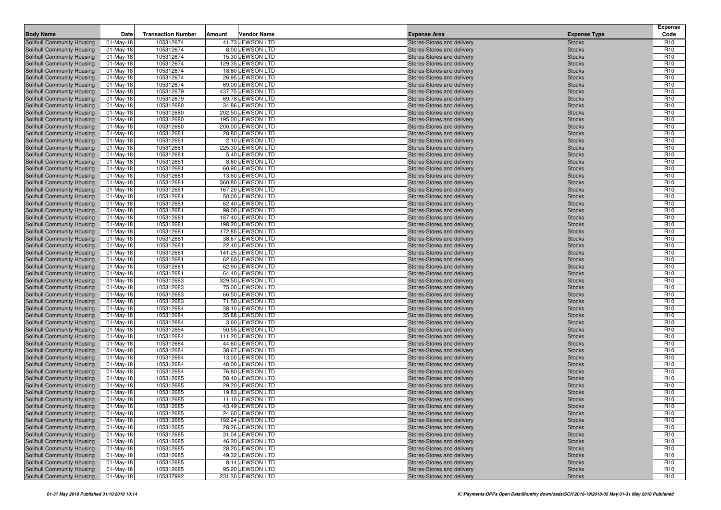| <b>Body Name</b>                                         | Date                         | <b>Transaction Number</b> | Amount | <b>Vendor Name</b>                   | <b>Expense Area</b>                                      | <b>Expense Type</b>            | <b>Expense</b><br>Code             |
|----------------------------------------------------------|------------------------------|---------------------------|--------|--------------------------------------|----------------------------------------------------------|--------------------------------|------------------------------------|
| Solihull Community Housing                               | 01-May-18                    | 105312674                 |        | 41.73 JEWSON LTD                     | Stores-Stores and delivery                               | <b>Stocks</b>                  | R <sub>10</sub>                    |
| Solihull Community Housing                               | $01$ -May-18                 | 105312674                 |        | 8.00 JEWSON LTD                      | Stores-Stores and delivery                               | <b>Stocks</b>                  | R <sub>10</sub>                    |
| Solihull Community Housing                               | $01$ -May-18                 | 105312674                 |        | 15.30 JEWSON LTD                     | Stores-Stores and delivery                               | <b>Stocks</b>                  | R <sub>10</sub>                    |
| Solihull Community Housing                               | $01$ -May-18                 | 105312674                 |        | 129.35 JEWSON LTD                    | Stores-Stores and delivery                               | <b>Stocks</b>                  | R <sub>10</sub>                    |
| Solihull Community Housing                               | 01-May-18                    | 105312674                 |        | 18.60 JEWSON LTD                     | Stores-Stores and delivery                               | <b>Stocks</b>                  | R <sub>10</sub>                    |
| Solihull Community Housing                               | $01-May-18$                  | 105312674                 |        | 26.95 JEWSON LTD                     | Stores-Stores and delivery                               | <b>Stocks</b>                  | R <sub>10</sub>                    |
| Solihull Community Housing                               | 01-May-18                    | 105312674                 |        | 69.00 JEWSON LTD                     | Stores-Stores and delivery                               | <b>Stocks</b>                  | R <sub>10</sub>                    |
| Solihull Community Housing                               | 01-May-18                    | 105312679                 |        | 437.75 JEWSON LTD                    | Stores-Stores and delivery                               | <b>Stocks</b>                  | R <sub>10</sub>                    |
| Solihull Community Housing                               | 01-May-18                    | 105312679                 |        | 69.78 JEWSON LTD                     | Stores-Stores and delivery                               | <b>Stocks</b>                  | R <sub>10</sub>                    |
| Solihull Community Housing                               | 01-May-18                    | 105312680                 |        | 34.86 JEWSON LTD                     | Stores-Stores and delivery                               | <b>Stocks</b>                  | R <sub>10</sub>                    |
| Solihull Community Housing                               | 01-May-18                    | 105312680                 |        | 202.50 JEWSON LTD                    | Stores-Stores and delivery                               | <b>Stocks</b>                  | R <sub>10</sub>                    |
| Solihull Community Housing                               | 01-May-18                    | 105312680                 |        | 195.00 JEWSON LTD                    | Stores-Stores and delivery                               | <b>Stocks</b>                  | R <sub>10</sub>                    |
| Solihull Community Housing                               | $01$ -May-18                 | 105312680                 |        | 200.00 JEWSON LTD                    | Stores-Stores and delivery                               | <b>Stocks</b>                  | R <sub>10</sub>                    |
| Solihull Community Housing                               | 01-May-18                    | 105312681                 |        | 28.80 JEWSON LTD                     | Stores-Stores and delivery                               | <b>Stocks</b>                  | R <sub>10</sub>                    |
| Solihull Community Housing                               | $01$ -May-18                 | 105312681                 |        | 2.10 JEWSON LTD                      | Stores-Stores and delivery                               | <b>Stocks</b>                  | R <sub>10</sub>                    |
| Solihull Community Housing<br>Solihull Community Housing | 01-May-18<br>01-May-18       | 105312681<br>105312681    |        | 225.30 JEWSON LTD<br>5.40 JEWSON LTD | Stores-Stores and delivery<br>Stores-Stores and delivery | <b>Stocks</b><br><b>Stocks</b> | R <sub>10</sub><br>R <sub>10</sub> |
| Solihull Community Housing                               | 01-May-18                    | 105312681                 |        | 8.60 JEWSON LTD                      | Stores-Stores and delivery                               | <b>Stocks</b>                  | R <sub>10</sub>                    |
| Solihull Community Housing                               | 01-May-18                    | 105312681                 |        | 60.90 JEWSON LTD                     | Stores-Stores and delivery                               | <b>Stocks</b>                  | R <sub>10</sub>                    |
| Solihull Community Housing                               | $01$ -May-18                 | 105312681                 |        | 13.60 JEWSON LTD                     | Stores-Stores and delivery                               | <b>Stocks</b>                  | R <sub>10</sub>                    |
| Solihull Community Housing                               | 01-May-18                    | 105312681                 |        | 360.80 JEWSON LTD                    | Stores-Stores and delivery                               | <b>Stocks</b>                  | R <sub>10</sub>                    |
| Solihull Community Housing                               | 01-May-18                    | 105312681                 |        | 167.20 JEWSON LTD                    | Stores-Stores and delivery                               | <b>Stocks</b>                  | R <sub>10</sub>                    |
| Solihull Community Housing                               | 01-May-18                    | 105312681                 |        | 50.00 JEWSON LTD                     | Stores-Stores and delivery                               | <b>Stocks</b>                  | R <sub>10</sub>                    |
| Solihull Community Housing                               | $01$ -May-18                 | 105312681                 |        | 62.40 JEWSON LTD                     | Stores-Stores and delivery                               | <b>Stocks</b>                  | R <sub>10</sub>                    |
| Solihull Community Housing                               | 01-May-18                    | 105312681                 |        | 98.00 JEWSON LTD                     | Stores-Stores and delivery                               | <b>Stocks</b>                  | R <sub>10</sub>                    |
| Solihull Community Housing                               | 01-May-18                    | 105312681                 |        | 187.40 JEWSON LTD                    | Stores-Stores and delivery                               | <b>Stocks</b>                  | R <sub>10</sub>                    |
| Solihull Community Housing                               | 01-May-18                    | 105312681                 |        | 198.20 JEWSON LTD                    | Stores-Stores and delivery                               | <b>Stocks</b>                  | R <sub>10</sub>                    |
| Solihull Community Housing                               | 01-May-18                    | 105312681                 |        | 172.85 JEWSON LTD                    | Stores-Stores and delivery                               | <b>Stocks</b>                  | R <sub>10</sub>                    |
| Solihull Community Housing                               | 01-May-18                    | 105312681                 |        | 38.67 JEWSON LTD                     | Stores-Stores and delivery                               | <b>Stocks</b>                  | R <sub>10</sub>                    |
| Solihull Community Housing                               | 01-May-18                    | 105312681                 |        | 22.40 JEWSON LTD                     | Stores-Stores and delivery                               | <b>Stocks</b>                  | R <sub>10</sub>                    |
| Solihull Community Housing                               | $01$ -May-18                 | 105312681                 |        | 141.25 JEWSON LTD                    | Stores-Stores and delivery                               | <b>Stocks</b>                  | R <sub>10</sub>                    |
| Solihull Community Housing                               | 01-May-18                    | 105312681                 |        | 62.60 JEWSON LTD                     | Stores-Stores and delivery                               | <b>Stocks</b>                  | R <sub>10</sub>                    |
| Solihull Community Housing                               | 01-May-18                    | 105312681                 |        | 62.90 JEWSON LTD                     | Stores-Stores and delivery                               | <b>Stocks</b>                  | R <sub>10</sub>                    |
| Solihull Community Housing                               | 01-May-18                    | 105312681                 |        | 64.40 JEWSON LTD                     | Stores-Stores and delivery                               | <b>Stocks</b>                  | R <sub>10</sub>                    |
| Solihull Community Housing                               | 01-May-18                    | 105312683                 |        | 329.50 JEWSON LTD                    | Stores-Stores and delivery                               | <b>Stocks</b>                  | R <sub>10</sub>                    |
| Solihull Community Housing                               | 01-May-18                    | 105312683                 |        | 75.00 JEWSON LTD                     | Stores-Stores and delivery                               | <b>Stocks</b>                  | R <sub>10</sub>                    |
| Solihull Community Housing                               | $01$ -May-18<br>$01$ -May-18 | 105312683<br>105312683    |        | 66.50 JEWSON LTD<br>71.50 JEWSON LTD | Stores-Stores and delivery                               | <b>Stocks</b>                  | R <sub>10</sub><br>R <sub>10</sub> |
| Solihull Community Housing<br>Solihull Community Housing | 01-May-18                    | 105312684                 |        | 38.10 JEWSON LTD                     | Stores-Stores and delivery<br>Stores-Stores and delivery | <b>Stocks</b><br><b>Stocks</b> | R <sub>10</sub>                    |
| Solihull Community Housing                               | $01$ -May-18                 | 105312684                 |        | 35.88 JEWSON LTD                     | Stores-Stores and delivery                               | <b>Stocks</b>                  | R <sub>10</sub>                    |
| Solihull Community Housing                               | 01-May-18                    | 105312684                 |        | 3.60 JEWSON LTD                      | Stores-Stores and delivery                               | <b>Stocks</b>                  | R <sub>10</sub>                    |
| Solihull Community Housing                               | $01$ -May-18                 | 105312684                 |        | 50.55 JEWSON LTD                     | Stores-Stores and delivery                               | <b>Stocks</b>                  | R <sub>10</sub>                    |
| Solihull Community Housing                               | 01-May-18                    | 105312684                 |        | 111.20 JEWSON LTD                    | Stores-Stores and delivery                               | <b>Stocks</b>                  | R <sub>10</sub>                    |
| Solihull Community Housing                               | 01-May-18                    | 105312684                 |        | 44.60 JEWSON LTD                     | Stores-Stores and delivery                               | <b>Stocks</b>                  | R <sub>10</sub>                    |
| Solihull Community Housing                               | $01$ -May-18                 | 105312684                 |        | 38.67 JEWSON LTD                     | Stores-Stores and delivery                               | <b>Stocks</b>                  | R <sub>10</sub>                    |
| Solihull Community Housing                               | 01-May-18                    | 105312684                 |        | 13.00 JEWSON LTD                     | Stores-Stores and delivery                               | <b>Stocks</b>                  | R <sub>10</sub>                    |
| Solihull Community Housing                               | 01-May-18                    | 105312684                 |        | 48.00 JEWSON LTD                     | Stores-Stores and delivery                               | <b>Stocks</b>                  | R <sub>10</sub>                    |
| Solihull Community Housing                               | 01-May-18                    | 105312684                 |        | 76.80 JEWSON LTD                     | Stores-Stores and delivery                               | <b>Stocks</b>                  | R <sub>10</sub>                    |
| Solihull Community Housing                               | $01$ -May-18                 | 105312685                 |        | 58.40 JEWSON LTD                     | Stores-Stores and delivery                               | <b>Stocks</b>                  | R <sub>10</sub>                    |
| Solihull Community Housing                               | 01-May-18                    | 105312685                 |        | 29.20 JEWSON LTD                     | Stores-Stores and delivery                               | <b>Stocks</b>                  | R <sub>10</sub>                    |
| Solihull Community Housing                               | 01-May-18                    | 105312685                 |        | 19.83 JEWSON LTD                     | Stores-Stores and delivery                               | <b>Stocks</b>                  | R <sub>10</sub>                    |
| <b>Solihull Community Housing</b>                        | $01$ -May-18                 | 105312685                 |        | 11.10 JEWSON LTD                     | Stores-Stores and delivery                               | <b>Stocks</b>                  | R <sub>10</sub>                    |
| Solihull Community Housing                               | $01-May-18$                  | 105312685                 |        | 43.49 JEWSON LTD                     | Stores-Stores and delivery                               | <b>Stocks</b>                  | R <sub>10</sub>                    |
| Solihull Community Housing                               | 01-May-18                    | 105312685                 |        | 24.60 JEWSON LTD                     | Stores-Stores and delivery                               | <b>Stocks</b>                  | R <sub>10</sub>                    |
| Solihull Community Housing                               | 01-May-18                    | 105312685                 |        | 192.24 JEWSON LTD                    | Stores-Stores and delivery                               | <b>Stocks</b>                  | R <sub>10</sub>                    |
| Solihull Community Housing                               | 01-May-18                    | 105312685                 |        | 28.26 JEWSON LTD                     | Stores-Stores and delivery                               | <b>Stocks</b>                  | R <sub>10</sub>                    |
| Solihull Community Housing                               | 01-May-18                    | 105312685                 |        | 31.04 JEWSON LTD                     | Stores-Stores and delivery                               | <b>Stocks</b>                  | R <sub>10</sub>                    |
| Solihull Community Housing                               | $01$ -May-18                 | 105312685                 |        | 46.20 JEWSON LTD<br>28.20 JEWSON LTD | Stores-Stores and delivery<br>Stores-Stores and delivery | <b>Stocks</b>                  | R <sub>10</sub>                    |
| Solihull Community Housing<br>Solihull Community Housing | 01-May-18                    | 105312685                 |        | 49.32 JEWSON LTD                     | Stores-Stores and delivery                               | <b>Stocks</b><br><b>Stocks</b> | R <sub>10</sub><br>R <sub>10</sub> |
| Solihull Community Housing                               | 01-May-18<br>01-May-18       | 105312685<br>105312685    |        | 8.14 JEWSON LTD                      | Stores-Stores and delivery                               | <b>Stocks</b>                  | R <sub>10</sub>                    |
| Solihull Community Housing                               | 01-May-18                    | 105312685                 |        | 95.20 JEWSON LTD                     | Stores-Stores and delivery                               | <b>Stocks</b>                  | R <sub>10</sub>                    |
| Solihull Community Housing                               | 01-May-18                    | 105337992                 |        | 231.30 JEWSON LTD                    | Stores-Stores and delivery                               | <b>Stocks</b>                  | R <sub>10</sub>                    |
|                                                          |                              |                           |        |                                      |                                                          |                                |                                    |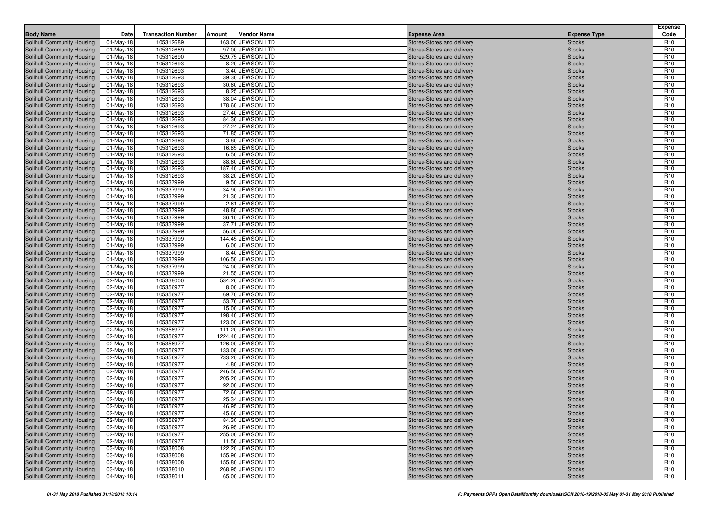| <b>Body Name</b>                                         | Date                      | <b>Transaction Number</b> | Amount | <b>Vendor Name</b>                     | <b>Expense Area</b>                                      | <b>Expense Type</b>            | <b>Expense</b><br>Code             |
|----------------------------------------------------------|---------------------------|---------------------------|--------|----------------------------------------|----------------------------------------------------------|--------------------------------|------------------------------------|
| Solihull Community Housing                               | 01-May-18                 | 105312689                 |        | 163.00 JEWSON LTD                      | Stores-Stores and delivery                               | <b>Stocks</b>                  | R <sub>10</sub>                    |
| Solihull Community Housing                               | $01$ -May-18              | 105312689                 |        | 97.00 JEWSON LTD                       | Stores-Stores and delivery                               | <b>Stocks</b>                  | R <sub>10</sub>                    |
| Solihull Community Housing                               | $01$ -May-18              | 105312690                 |        | 529.75 JEWSON LTD                      | Stores-Stores and delivery                               | <b>Stocks</b>                  | R <sub>10</sub>                    |
| Solihull Community Housing                               | $01$ -May-18              | 105312693                 |        | 8.20 JEWSON LTD                        | Stores-Stores and delivery                               | <b>Stocks</b>                  | R <sub>10</sub>                    |
| Solihull Community Housing                               | 01-May-18                 | 105312693                 |        | 3.40 JEWSON LTD                        | Stores-Stores and delivery                               | <b>Stocks</b>                  | R <sub>10</sub>                    |
| Solihull Community Housing                               | $01-May-18$               | 105312693                 |        | 39.30 JEWSON LTD                       | Stores-Stores and delivery                               | <b>Stocks</b>                  | R <sub>10</sub>                    |
| Solihull Community Housing                               | 01-May-18                 | 105312693                 |        | 30.60 JEWSON LTD                       | Stores-Stores and delivery                               | <b>Stocks</b>                  | R <sub>10</sub>                    |
| Solihull Community Housing                               | 01-May-18                 | 105312693                 |        | 8.25 JEWSON LTD                        | Stores-Stores and delivery                               | <b>Stocks</b>                  | R <sub>10</sub>                    |
| Solihull Community Housing                               | 01-May-18                 | 105312693                 |        | 38.04 JEWSON LTD                       | Stores-Stores and delivery                               | <b>Stocks</b>                  | R <sub>10</sub>                    |
| Solihull Community Housing                               | 01-May-18                 | 105312693                 |        | 178.60 JEWSON LTD                      | Stores-Stores and delivery                               | <b>Stocks</b>                  | R <sub>10</sub>                    |
| Solihull Community Housing                               | 01-May-18                 | 105312693                 |        | 27.40 JEWSON LTD                       | Stores-Stores and delivery                               | <b>Stocks</b>                  | R <sub>10</sub>                    |
| Solihull Community Housing<br>Solihull Community Housing | 01-May-18<br>$01$ -May-18 | 105312693<br>105312693    |        | 84.36 JEWSON LTD<br>27.24 JEWSON LTD   | Stores-Stores and delivery<br>Stores-Stores and delivery | <b>Stocks</b><br><b>Stocks</b> | R <sub>10</sub><br>R <sub>10</sub> |
| Solihull Community Housing                               | 01-May-18                 | 105312693                 |        | 71.85 JEWSON LTD                       | Stores-Stores and delivery                               | <b>Stocks</b>                  | R <sub>10</sub>                    |
| Solihull Community Housing                               | $01$ -May-18              | 105312693                 |        | 3.80 JEWSON LTD                        | Stores-Stores and delivery                               | <b>Stocks</b>                  | R <sub>10</sub>                    |
| Solihull Community Housing                               | 01-May-18                 | 105312693                 |        | 16.85 JEWSON LTD                       | Stores-Stores and delivery                               | <b>Stocks</b>                  | R <sub>10</sub>                    |
| Solihull Community Housing                               | 01-May-18                 | 105312693                 |        | 6.50 JEWSON LTD                        | Stores-Stores and delivery                               | <b>Stocks</b>                  | R <sub>10</sub>                    |
| Solihull Community Housing                               | 01-May-18                 | 105312693                 |        | 88.60 JEWSON LTD                       | Stores-Stores and delivery                               | <b>Stocks</b>                  | R <sub>10</sub>                    |
| Solihull Community Housing                               | 01-May-18                 | 105312693                 |        | 187.40 JEWSON LTD                      | Stores-Stores and delivery                               | <b>Stocks</b>                  | R <sub>10</sub>                    |
| Solihull Community Housing                               | $01$ -May-18              | 105312693                 |        | 38.20 JEWSON LTD                       | Stores-Stores and delivery                               | <b>Stocks</b>                  | R <sub>10</sub>                    |
| Solihull Community Housing                               | 01-May-18                 | 105337999                 |        | 9.50 JEWSON LTD                        | Stores-Stores and delivery                               | <b>Stocks</b>                  | R <sub>10</sub>                    |
| Solihull Community Housing                               | 01-May-18                 | 105337999                 |        | 34.90 JEWSON LTD                       | Stores-Stores and delivery                               | <b>Stocks</b>                  | R <sub>10</sub>                    |
| Solihull Community Housing                               | 01-May-18                 | 105337999                 |        | 21.30 JEWSON LTD                       | Stores-Stores and delivery                               | <b>Stocks</b>                  | R <sub>10</sub>                    |
| Solihull Community Housing                               | $01$ -May-18              | 105337999                 |        | 2.61 JEWSON LTD                        | Stores-Stores and delivery                               | <b>Stocks</b>                  | R <sub>10</sub>                    |
| Solihull Community Housing                               | 01-May-18                 | 105337999                 |        | 48.80 JEWSON LTD                       | Stores-Stores and delivery                               | <b>Stocks</b>                  | R <sub>10</sub>                    |
| Solihull Community Housing                               | 01-May-18                 | 105337999                 |        | 36.10 JEWSON LTD                       | Stores-Stores and delivery                               | <b>Stocks</b>                  | R <sub>10</sub>                    |
| Solihull Community Housing                               | 01-May-18                 | 105337999                 |        | 37.71 JEWSON LTD                       | Stores-Stores and delivery                               | <b>Stocks</b>                  | R <sub>10</sub>                    |
| Solihull Community Housing                               | 01-May-18                 | 105337999                 |        | 56.00 JEWSON LTD                       | Stores-Stores and delivery                               | <b>Stocks</b>                  | R <sub>10</sub>                    |
| Solihull Community Housing                               | 01-May-18                 | 105337999                 |        | 144.45 JEWSON LTD                      | Stores-Stores and delivery                               | <b>Stocks</b>                  | R <sub>10</sub><br>R <sub>10</sub> |
| Solihull Community Housing<br>Solihull Community Housing | 01-May-18<br>$01$ -May-18 | 105337999<br>105337999    |        | 6.00 JEWSON LTD<br>8.40 JEWSON LTD     | Stores-Stores and delivery<br>Stores-Stores and delivery | <b>Stocks</b><br><b>Stocks</b> | R <sub>10</sub>                    |
| Solihull Community Housing                               | 01-May-18                 | 105337999                 |        | 106.50 JEWSON LTD                      | Stores-Stores and delivery                               | <b>Stocks</b>                  | R <sub>10</sub>                    |
| Solihull Community Housing                               | 01-May-18                 | 105337999                 |        | 24.00 JEWSON LTD                       | Stores-Stores and delivery                               | <b>Stocks</b>                  | R <sub>10</sub>                    |
| Solihull Community Housing                               | 01-May-18                 | 105337999                 |        | 21.55 JEWSON LTD                       | Stores-Stores and delivery                               | <b>Stocks</b>                  | R <sub>10</sub>                    |
| Solihull Community Housing                               | 02-May-18                 | 105338000                 |        | 534.26 JEWSON LTD                      | Stores-Stores and delivery                               | <b>Stocks</b>                  | R <sub>10</sub>                    |
| Solihull Community Housing                               | 02-May-18                 | 105356977                 |        | 8.00 JEWSON LTD                        | Stores-Stores and delivery                               | <b>Stocks</b>                  | R <sub>10</sub>                    |
| Solihull Community Housing                               | 02-May-18                 | 105356977                 |        | 69.70 JEWSON LTD                       | Stores-Stores and delivery                               | <b>Stocks</b>                  | R <sub>10</sub>                    |
| Solihull Community Housing                               | 02-May-18                 | 105356977                 |        | 53.76 JEWSON LTD                       | Stores-Stores and delivery                               | <b>Stocks</b>                  | R <sub>10</sub>                    |
| Solihull Community Housing                               | 02-May-18                 | 105356977                 |        | 15.00 JEWSON LTD                       | Stores-Stores and delivery                               | <b>Stocks</b>                  | R <sub>10</sub>                    |
| Solihull Community Housing                               | 02-May-18                 | 105356977                 |        | 198.40 JEWSON LTD                      | Stores-Stores and delivery                               | <b>Stocks</b>                  | R <sub>10</sub>                    |
| Solihull Community Housing                               | 02-May-18                 | 105356977                 |        | 123.00 JEWSON LTD                      | Stores-Stores and delivery                               | <b>Stocks</b>                  | R <sub>10</sub>                    |
| Solihull Community Housing                               | 02-May-18                 | 105356977                 |        | 111.20 JEWSON LTD                      | Stores-Stores and delivery                               | <b>Stocks</b>                  | R <sub>10</sub>                    |
| Solihull Community Housing                               | 02-May-18                 | 105356977                 |        | 1224.40 JEWSON LTD                     | Stores-Stores and delivery                               | <b>Stocks</b>                  | R <sub>10</sub>                    |
| Solihull Community Housing                               | 02-May-18                 | 105356977                 |        | 126.00 JEWSON LTD                      | Stores-Stores and delivery                               | <b>Stocks</b>                  | R <sub>10</sub>                    |
| Solihull Community Housing<br>Solihull Community Housing | 02-May-18                 | 105356977<br>105356977    |        | 133.08 JEWSON LTD<br>733.20 JEWSON LTD | Stores-Stores and delivery<br>Stores-Stores and delivery | <b>Stocks</b><br><b>Stocks</b> | R <sub>10</sub><br>R <sub>10</sub> |
| Solihull Community Housing                               | 02-May-18<br>02-May-18    | 105356977                 |        | 4.80 JEWSON LTD                        | Stores-Stores and delivery                               | <b>Stocks</b>                  | R <sub>10</sub>                    |
| Solihull Community Housing                               | 02-May-18                 | 105356977                 |        | 246.50 JEWSON LTD                      | Stores-Stores and delivery                               | <b>Stocks</b>                  | R <sub>10</sub>                    |
| Solihull Community Housing                               | 02-May-18                 | 105356977                 |        | 205.20 JEWSON LTD                      | Stores-Stores and delivery                               | <b>Stocks</b>                  | R <sub>10</sub>                    |
| Solihull Community Housing                               | 02-May-18                 | 105356977                 |        | 92.00 JEWSON LTD                       | Stores-Stores and delivery                               | <b>Stocks</b>                  | R <sub>10</sub>                    |
| Solihull Community Housing                               | 02-May-18                 | 105356977                 |        | 72.60 JEWSON LTD                       | Stores-Stores and delivery                               | <b>Stocks</b>                  | R <sub>10</sub>                    |
| <b>Solihull Community Housing</b>                        | 02-May-18                 | 105356977                 |        | 25.34 JEWSON LTD                       | Stores-Stores and delivery                               | <b>Stocks</b>                  | R <sub>10</sub>                    |
| Solihull Community Housing                               | 02-May-18                 | 105356977                 |        | 46.95 JEWSON LTD                       | Stores-Stores and delivery                               | <b>Stocks</b>                  | R <sub>10</sub>                    |
| Solihull Community Housing                               | 02-May-18                 | 105356977                 |        | 45.60 JEWSON LTD                       | Stores-Stores and delivery                               | <b>Stocks</b>                  | R <sub>10</sub>                    |
| Solihull Community Housing                               | 02-May-18                 | 105356977                 |        | 84.30 JEWSON LTD                       | Stores-Stores and delivery                               | <b>Stocks</b>                  | R <sub>10</sub>                    |
| Solihull Community Housing                               | 02-May-18                 | 105356977                 |        | 26.95 JEWSON LTD                       | Stores-Stores and delivery                               | <b>Stocks</b>                  | R <sub>10</sub>                    |
| Solihull Community Housing                               | 02-May-18                 | 105356977                 |        | 255.00 JEWSON LTD                      | Stores-Stores and delivery                               | <b>Stocks</b>                  | R <sub>10</sub>                    |
| Solihull Community Housing                               | 02-May-18                 | 105356977                 |        | 11.50 JEWSON LTD                       | Stores-Stores and delivery                               | <b>Stocks</b>                  | R <sub>10</sub>                    |
| Solihull Community Housing                               | 03-May-18                 | 105338008                 |        | 122.20 JEWSON LTD                      | Stores-Stores and delivery                               | <b>Stocks</b>                  | R <sub>10</sub>                    |
| Solihull Community Housing                               | 03-May-18                 | 105338008                 |        | 155.90 JEWSON LTD                      | Stores-Stores and delivery                               | <b>Stocks</b>                  | R <sub>10</sub>                    |
| Solihull Community Housing                               | 03-May-18                 | 105338008                 |        | 155.80 JEWSON LTD                      | Stores-Stores and delivery                               | <b>Stocks</b>                  | R <sub>10</sub>                    |
| Solihull Community Housing                               | 03-May-18                 | 105338010                 |        | 268.95 JEWSON LTD                      | Stores-Stores and delivery                               | <b>Stocks</b>                  | R <sub>10</sub>                    |
| Solihull Community Housing                               | 04-May-18                 | 105338011                 |        | 65.00 JEWSON LTD                       | Stores-Stores and delivery                               | <b>Stocks</b>                  | R <sub>10</sub>                    |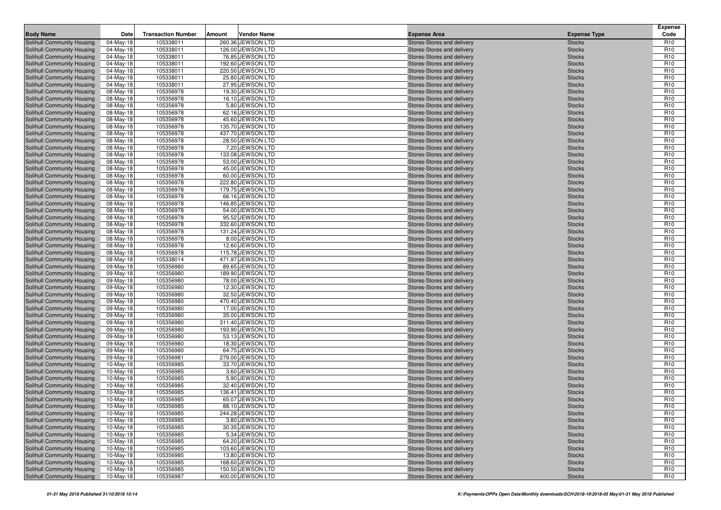| <b>Body Name</b>                                         | Date                   | <b>Transaction Number</b> | Amount | <b>Vendor Name</b>                   | <b>Expense Area</b>                                      | <b>Expense Type</b>            | <b>Expense</b><br>Code             |
|----------------------------------------------------------|------------------------|---------------------------|--------|--------------------------------------|----------------------------------------------------------|--------------------------------|------------------------------------|
| Solihull Community Housing                               | 04-May-18              | 105338011                 |        | 260.36 JEWSON LTD                    | Stores-Stores and delivery                               | <b>Stocks</b>                  | R <sub>10</sub>                    |
| Solihull Community Housing                               | 04-May-18              | 105338011                 |        | 126.00 JEWSON LTD                    | Stores-Stores and delivery                               | <b>Stocks</b>                  | R <sub>10</sub>                    |
| Solihull Community Housing                               | 04-May-18              | 105338011                 |        | 76.85 JEWSON LTD                     | Stores-Stores and delivery                               | <b>Stocks</b>                  | R <sub>10</sub>                    |
| Solihull Community Housing                               | 04-May-18              | 105338011                 |        | 192.60 JEWSON LTD                    | Stores-Stores and delivery                               | <b>Stocks</b>                  | R <sub>10</sub>                    |
| Solihull Community Housing                               | 04-May-18              | 105338011                 |        | 220.50 JEWSON LTD                    | Stores-Stores and delivery                               | <b>Stocks</b>                  | R <sub>10</sub>                    |
| Solihull Community Housing                               | 04-May-18              | 105338011                 |        | 25.80 JEWSON LTD                     | Stores-Stores and delivery                               | <b>Stocks</b>                  | R <sub>10</sub>                    |
| Solihull Community Housing                               | 04-May-18              | 105338011                 |        | 27.95 JEWSON LTD                     | Stores-Stores and delivery                               | <b>Stocks</b>                  | R <sub>10</sub>                    |
| Solihull Community Housing                               | 08-May-18              | 105356978                 |        | 19.30 JEWSON LTD                     | Stores-Stores and delivery                               | <b>Stocks</b>                  | R <sub>10</sub>                    |
| Solihull Community Housing                               | 08-May-18              | 105356978                 |        | 16.10 JEWSON LTD                     | Stores-Stores and delivery                               | <b>Stocks</b>                  | R <sub>10</sub>                    |
| Solihull Community Housing                               | 08-May-18              | 105356978                 |        | 5.80 JEWSON LTD                      | Stores-Stores and delivery                               | <b>Stocks</b>                  | R <sub>10</sub>                    |
| Solihull Community Housing                               | 08-May-18              | 105356978                 |        | 62.16 JEWSON LTD                     | Stores-Stores and delivery                               | <b>Stocks</b>                  | R <sub>10</sub>                    |
| Solihull Community Housing                               | 08-May-18              | 105356978                 |        | 45.60 JEWSON LTD                     | Stores-Stores and delivery                               | <b>Stocks</b>                  | R <sub>10</sub>                    |
| Solihull Community Housing                               | 08-May-18              | 105356978                 |        | 135.70 JEWSON LTD                    | Stores-Stores and delivery                               | <b>Stocks</b>                  | R <sub>10</sub>                    |
| Solihull Community Housing                               | 08-May-18              | 105356978                 |        | 437.70 JEWSON LTD                    | Stores-Stores and delivery                               | <b>Stocks</b>                  | R <sub>10</sub>                    |
| Solihull Community Housing                               | 08-May-18              | 105356978                 |        | 28.50 JEWSON LTD                     | Stores-Stores and delivery                               | <b>Stocks</b>                  | R <sub>10</sub>                    |
| Solihull Community Housing                               | 08-May-18              | 105356978                 |        | 7.20 JEWSON LTD                      | Stores-Stores and delivery                               | <b>Stocks</b>                  | R <sub>10</sub>                    |
| Solihull Community Housing                               | 08-May-18              | 105356978                 |        | 133.08 JEWSON LTD                    | Stores-Stores and delivery                               | <b>Stocks</b>                  | R <sub>10</sub><br>R <sub>10</sub> |
| Solihull Community Housing<br>Solihull Community Housing | 08-May-18              | 105356978<br>105356978    |        | 53.00 JEWSON LTD<br>45.00 JEWSON LTD | Stores-Stores and delivery<br>Stores-Stores and delivery | <b>Stocks</b><br><b>Stocks</b> | R <sub>10</sub>                    |
| Solihull Community Housing                               | 08-May-18<br>08-May-18 | 105356978                 |        | 60.00 JEWSON LTD                     | Stores-Stores and delivery                               | <b>Stocks</b>                  | R <sub>10</sub>                    |
| Solihull Community Housing                               | 08-May-18              | 105356978                 |        | 222.80 JEWSON LTD                    | Stores-Stores and delivery                               | <b>Stocks</b>                  | R <sub>10</sub>                    |
| Solihull Community Housing                               | 08-May-18              | 105356978                 |        | 179.75 JEWSON LTD                    | Stores-Stores and delivery                               | <b>Stocks</b>                  | R <sub>10</sub>                    |
| Solihull Community Housing                               | 08-May-18              | 105356978                 |        | 66.16 JEWSON LTD                     | Stores-Stores and delivery                               | <b>Stocks</b>                  | R <sub>10</sub>                    |
| Solihull Community Housing                               | 08-May-18              | 105356978                 |        | 146.85 JEWSON LTD                    | Stores-Stores and delivery                               | <b>Stocks</b>                  | R <sub>10</sub>                    |
| Solihull Community Housing                               | 08-May-18              | 105356978                 |        | 54.00 JEWSON LTD                     | Stores-Stores and delivery                               | <b>Stocks</b>                  | R <sub>10</sub>                    |
| Solihull Community Housing                               | 08-May-18              | 105356978                 |        | 95.52 JEWSON LTD                     | Stores-Stores and delivery                               | <b>Stocks</b>                  | R <sub>10</sub>                    |
| Solihull Community Housing                               | 08-May-18              | 105356978                 |        | 332.60 JEWSON LTD                    | Stores-Stores and delivery                               | <b>Stocks</b>                  | R <sub>10</sub>                    |
| Solihull Community Housing                               | 08-May-18              | 105356978                 |        | 131.24 JEWSON LTD                    | Stores-Stores and delivery                               | <b>Stocks</b>                  | R <sub>10</sub>                    |
| Solihull Community Housing                               | 08-May-18              | 105356978                 |        | 8.00 JEWSON LTD                      | Stores-Stores and delivery                               | <b>Stocks</b>                  | R <sub>10</sub>                    |
| Solihull Community Housing                               | 08-May-18              | 105356978                 |        | 12.60 JEWSON LTD                     | Stores-Stores and delivery                               | <b>Stocks</b>                  | R <sub>10</sub>                    |
| Solihull Community Housing                               | 08-May-18              | 105356978                 |        | 115.78 JEWSON LTD                    | Stores-Stores and delivery                               | <b>Stocks</b>                  | R <sub>10</sub>                    |
| Solihull Community Housing                               | 08-May-18              | 105338014                 |        | 471.97 JEWSON LTD                    | Stores-Stores and delivery                               | <b>Stocks</b>                  | R <sub>10</sub>                    |
| Solihull Community Housing                               | 09-May-18              | 105356980                 |        | 89.65 JEWSON LTD                     | Stores-Stores and delivery                               | <b>Stocks</b>                  | R <sub>10</sub>                    |
| Solihull Community Housing                               | 09-May-18              | 105356980                 |        | 189.90 JEWSON LTD                    | Stores-Stores and delivery                               | <b>Stocks</b>                  | R <sub>10</sub>                    |
| Solihull Community Housing                               | 09-May-18              | 105356980                 |        | 78.00 JEWSON LTD                     | Stores-Stores and delivery                               | <b>Stocks</b>                  | R <sub>10</sub>                    |
| Solihull Community Housing                               | 09-May-18              | 105356980                 |        | 12.30 JEWSON LTD                     | Stores-Stores and delivery                               | <b>Stocks</b>                  | R <sub>10</sub>                    |
| Solihull Community Housing                               | 09-May-18              | 105356980                 |        | 32.50 JEWSON LTD                     | Stores-Stores and delivery                               | <b>Stocks</b>                  | R <sub>10</sub>                    |
| Solihull Community Housing                               | 09-May-18              | 105356980                 |        | 470.40 JEWSON LTD                    | Stores-Stores and delivery                               | <b>Stocks</b>                  | R <sub>10</sub>                    |
| Solihull Community Housing                               | 09-May-18              | 105356980                 |        | 17.00 JEWSON LTD                     | Stores-Stores and delivery                               | <b>Stocks</b>                  | R <sub>10</sub>                    |
| Solihull Community Housing                               | 09-May-18              | 105356980                 |        | 35.00 JEWSON LTD                     | Stores-Stores and delivery                               | <b>Stocks</b>                  | R <sub>10</sub>                    |
| Solihull Community Housing                               | 09-May-18              | 105356980                 |        | 311.40 JEWSON LTD                    | Stores-Stores and delivery                               | <b>Stocks</b>                  | R <sub>10</sub>                    |
| Solihull Community Housing                               | 09-May-18              | 105356980                 |        | 193.90 JEWSON LTD                    | Stores-Stores and delivery                               | <b>Stocks</b>                  | R <sub>10</sub>                    |
| Solihull Community Housing                               | 09-May-18              | 105356980                 |        | 53.13 JEWSON LTD                     | Stores-Stores and delivery                               | <b>Stocks</b>                  | R <sub>10</sub>                    |
| Solihull Community Housing                               | 09-May-18              | 105356980<br>105356980    |        | 18.30 JEWSON LTD<br>64.75 JEWSON LTD | Stores-Stores and delivery                               | <b>Stocks</b>                  | R <sub>10</sub><br>R <sub>10</sub> |
| Solihull Community Housing<br>Solihull Community Housing | 09-May-18<br>09-May-18 | 105356981                 |        | 279.00 JEWSON LTD                    | Stores-Stores and delivery<br>Stores-Stores and delivery | <b>Stocks</b><br><b>Stocks</b> | R <sub>10</sub>                    |
| Solihull Community Housing                               | 10-May-18              | 105356985                 |        | 33.70 JEWSON LTD                     | Stores-Stores and delivery                               | <b>Stocks</b>                  | R <sub>10</sub>                    |
| Solihull Community Housing                               | 10-May-18              | 105356985                 |        | 3.60 JEWSON LTD                      | Stores-Stores and delivery                               | <b>Stocks</b>                  | R <sub>10</sub>                    |
| Solihull Community Housing                               | 10-May-18              | 105356985                 |        | 5.90 JEWSON LTD                      | Stores-Stores and delivery                               | <b>Stocks</b>                  | R <sub>10</sub>                    |
| Solihull Community Housing                               | 10-May-18              | 105356985                 |        | 32.40 JEWSON LTD                     | Stores-Stores and delivery                               | <b>Stocks</b>                  | R <sub>10</sub>                    |
| Solihull Community Housing                               | 10-May-18              | 105356985                 |        | 136.41 JEWSON LTD                    | Stores-Stores and delivery                               | <b>Stocks</b>                  | R <sub>10</sub>                    |
| <b>Solihull Community Housing</b>                        | 10-May-18              | 105356985                 |        | 65.07 JEWSON LTD                     | Stores-Stores and delivery                               | <b>Stocks</b>                  | R <sub>10</sub>                    |
| Solihull Community Housing                               | $10-May-18$            | 105356985                 |        | 88.10 JEWSON LTD                     | Stores-Stores and delivery                               | <b>Stocks</b>                  | R <sub>10</sub>                    |
| Solihull Community Housing                               | 10-May-18              | 105356985                 |        | 244.28 JEWSON LTD                    | Stores-Stores and delivery                               | <b>Stocks</b>                  | R <sub>10</sub>                    |
| Solihull Community Housing                               | 10-May-18              | 105356985                 |        | 3.80 JEWSON LTD                      | Stores-Stores and delivery                               | <b>Stocks</b>                  | R <sub>10</sub>                    |
| Solihull Community Housing                               | 10-May-18              | 105356985                 |        | 30.35 JEWSON LTD                     | Stores-Stores and delivery                               | <b>Stocks</b>                  | R <sub>10</sub>                    |
| Solihull Community Housing                               | 10-May-18              | 105356985                 |        | 5.34 JEWSON LTD                      | Stores-Stores and delivery                               | <b>Stocks</b>                  | R <sub>10</sub>                    |
| Solihull Community Housing                               | 10-May-18              | 105356985                 |        | 64.20 JEWSON LTD                     | Stores-Stores and delivery                               | <b>Stocks</b>                  | R <sub>10</sub>                    |
| Solihull Community Housing                               | 10-May-18              | 105356985                 |        | 103.60 JEWSON LTD                    | Stores-Stores and delivery                               | <b>Stocks</b>                  | R <sub>10</sub>                    |
| Solihull Community Housing                               | 10-May-18              | 105356985                 |        | 13.80 JEWSON LTD                     | Stores-Stores and delivery                               | <b>Stocks</b>                  | R <sub>10</sub>                    |
| Solihull Community Housing                               | 10-May-18              | 105356985                 |        | 168.60 JEWSON LTD                    | Stores-Stores and delivery                               | <b>Stocks</b>                  | R <sub>10</sub>                    |
| Solihull Community Housing                               | 10-May-18              | 105356985                 |        | 150.50 JEWSON LTD                    | Stores-Stores and delivery                               | <b>Stocks</b>                  | R <sub>10</sub>                    |
| Solihull Community Housing                               | 10-May-18              | 105356987                 |        | 400.00 JEWSON LTD                    | Stores-Stores and delivery                               | <b>Stocks</b>                  | R <sub>10</sub>                    |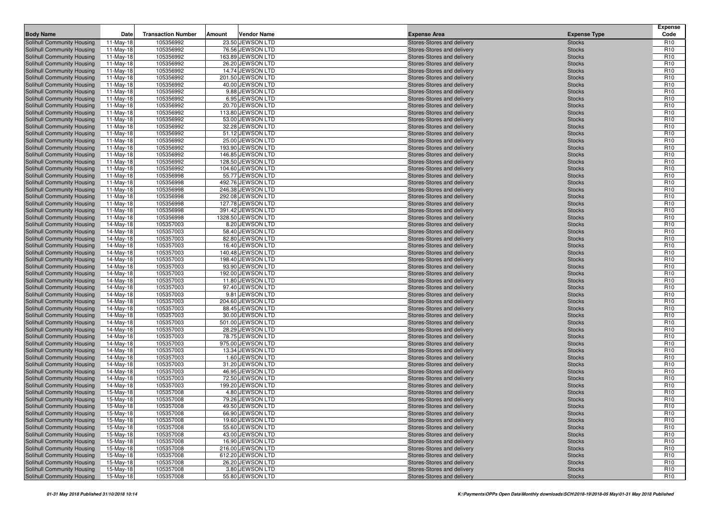| <b>Body Name</b>                                                | Date                     | <b>Transaction Number</b> | Amount | <b>Vendor Name</b>                    | <b>Expense Area</b>                                      | <b>Expense Type</b>            | <b>Expense</b><br>Code             |
|-----------------------------------------------------------------|--------------------------|---------------------------|--------|---------------------------------------|----------------------------------------------------------|--------------------------------|------------------------------------|
| Solihull Community Housing                                      | 11-May-18                | 105356992                 |        | 23.50 JEWSON LTD                      | Stores-Stores and delivery                               | <b>Stocks</b>                  | R <sub>10</sub>                    |
| Solihull Community Housing                                      | $11-May-18$              | 105356992                 |        | 76.56 JEWSON LTD                      | Stores-Stores and delivery                               | <b>Stocks</b>                  | R <sub>10</sub>                    |
| Solihull Community Housing                                      | 11-May-18                | 105356992                 |        | 163.89 JEWSON LTD                     | Stores-Stores and delivery                               | <b>Stocks</b>                  | R <sub>10</sub>                    |
| Solihull Community Housing                                      | $11-May-18$              | 105356992                 |        | 26.20 JEWSON LTD                      | Stores-Stores and delivery                               | <b>Stocks</b>                  | R <sub>10</sub>                    |
| Solihull Community Housing                                      | 11-May-18                | 105356992                 |        | 14.74 JEWSON LTD                      | Stores-Stores and delivery                               | <b>Stocks</b>                  | R <sub>10</sub>                    |
| Solihull Community Housing                                      | $11-May-18$              | 105356992                 |        | 201.50 JEWSON LTD                     | Stores-Stores and delivery                               | <b>Stocks</b>                  | R <sub>10</sub>                    |
| Solihull Community Housing                                      | 11-May-18                | 105356992                 |        | 40.00 JEWSON LTD                      | Stores-Stores and delivery                               | <b>Stocks</b>                  | R <sub>10</sub>                    |
| Solihull Community Housing                                      | 11-May-18                | 105356992                 |        | 9.88 JEWSON LTD                       | Stores-Stores and delivery                               | <b>Stocks</b>                  | R <sub>10</sub>                    |
| Solihull Community Housing                                      | 11-May-18                | 105356992                 |        | 6.95 JEWSON LTD                       | Stores-Stores and delivery                               | <b>Stocks</b>                  | R <sub>10</sub>                    |
| Solihull Community Housing                                      | 11-May-18                | 105356992                 |        | 20.70 JEWSON LTD                      | Stores-Stores and delivery                               | <b>Stocks</b>                  | R <sub>10</sub>                    |
| Solihull Community Housing                                      | 11-May-18                | 105356992                 |        | 113.80 JEWSON LTD                     | Stores-Stores and delivery                               | <b>Stocks</b>                  | R <sub>10</sub>                    |
| Solihull Community Housing                                      | 11-May-18                | 105356992                 |        | 53.00 JEWSON LTD                      | Stores-Stores and delivery                               | <b>Stocks</b>                  | R <sub>10</sub>                    |
| Solihull Community Housing                                      | $11-May-18$              | 105356992                 |        | 32.28 JEWSON LTD                      | Stores-Stores and delivery                               | <b>Stocks</b>                  | R <sub>10</sub>                    |
| Solihull Community Housing                                      | 11-May-18                | 105356992                 |        | 51.12 JEWSON LTD                      | Stores-Stores and delivery                               | <b>Stocks</b>                  | R <sub>10</sub>                    |
| Solihull Community Housing<br>Solihull Community Housing        | $11-May-18$<br>11-May-18 | 105356992<br>105356992    |        | 25.00 JEWSON LTD<br>193.90 JEWSON LTD | Stores-Stores and delivery<br>Stores-Stores and delivery | <b>Stocks</b><br><b>Stocks</b> | R <sub>10</sub><br>R <sub>10</sub> |
| Solihull Community Housing                                      | 11-May-18                | 105356992                 |        | 146.85 JEWSON LTD                     | Stores-Stores and delivery                               | <b>Stocks</b>                  | R <sub>10</sub>                    |
| Solihull Community Housing                                      | 11-May-18                | 105356992                 |        | 128.50 JEWSON LTD                     | Stores-Stores and delivery                               | <b>Stocks</b>                  | R <sub>10</sub>                    |
| Solihull Community Housing                                      | 11-May-18                | 105356992                 |        | 104.60 JEWSON LTD                     | Stores-Stores and delivery                               | <b>Stocks</b>                  | R <sub>10</sub>                    |
| Solihull Community Housing                                      | $11-May-18$              | 105356998                 |        | 55.77 JEWSON LTD                      | Stores-Stores and delivery                               | <b>Stocks</b>                  | R <sub>10</sub>                    |
| Solihull Community Housing                                      | 11-May-18                | 105356998                 |        | 492.76 JEWSON LTD                     | Stores-Stores and delivery                               | <b>Stocks</b>                  | R <sub>10</sub>                    |
| Solihull Community Housing                                      | 11-May-18                | 105356998                 |        | 246.38 JEWSON LTD                     | Stores-Stores and delivery                               | <b>Stocks</b>                  | R <sub>10</sub>                    |
| Solihull Community Housing                                      | 11-May-18                | 105356998                 |        | 292.08 JEWSON LTD                     | Stores-Stores and delivery                               | <b>Stocks</b>                  | R <sub>10</sub>                    |
| Solihull Community Housing                                      | $11-May-18$              | 105356998                 |        | 127.78 JEWSON LTD                     | Stores-Stores and delivery                               | <b>Stocks</b>                  | R <sub>10</sub>                    |
| Solihull Community Housing                                      | 11-May-18                | 105356998                 |        | 391.42 JEWSON LTD                     | Stores-Stores and delivery                               | <b>Stocks</b>                  | R <sub>10</sub>                    |
| Solihull Community Housing                                      | 11-May-18                | 105356998                 |        | 1328.50 JEWSON LTD                    | Stores-Stores and delivery                               | <b>Stocks</b>                  | R <sub>10</sub>                    |
| Solihull Community Housing                                      | 14-May-18                | 105357003                 |        | 8.20 JEWSON LTD                       | Stores-Stores and delivery                               | <b>Stocks</b>                  | R <sub>10</sub>                    |
| Solihull Community Housing                                      | 14-May-18                | 105357003                 |        | 58.40 JEWSON LTD                      | Stores-Stores and delivery                               | <b>Stocks</b>                  | R <sub>10</sub>                    |
| Solihull Community Housing                                      | 14-May-18                | 105357003                 |        | 82.80 JEWSON LTD                      | Stores-Stores and delivery                               | <b>Stocks</b>                  | R <sub>10</sub>                    |
| Solihull Community Housing                                      | 14-May-18                | 105357003                 |        | 16.40 JEWSON LTD                      | Stores-Stores and delivery                               | <b>Stocks</b>                  | R <sub>10</sub>                    |
| Solihull Community Housing                                      | 14-May-18                | 105357003                 |        | 140.48 JEWSON LTD                     | Stores-Stores and delivery                               | <b>Stocks</b>                  | R <sub>10</sub>                    |
| Solihull Community Housing                                      | 14-May-18                | 105357003                 |        | 198.40 JEWSON LTD                     | Stores-Stores and delivery                               | <b>Stocks</b>                  | R <sub>10</sub>                    |
| Solihull Community Housing                                      | 14-May-18                | 105357003<br>105357003    |        | 93.90 JEWSON LTD<br>192.00 JEWSON LTD | Stores-Stores and delivery                               | <b>Stocks</b>                  | R <sub>10</sub><br>R <sub>10</sub> |
| Solihull Community Housing<br>Solihull Community Housing        | 14-May-18<br>14-May-18   | 105357003                 |        | 11.80 JEWSON LTD                      | Stores-Stores and delivery<br>Stores-Stores and delivery | <b>Stocks</b><br><b>Stocks</b> | R <sub>10</sub>                    |
| Solihull Community Housing                                      | 14-May-18                | 105357003                 |        | 97.40 JEWSON LTD                      | Stores-Stores and delivery                               | <b>Stocks</b>                  | R <sub>10</sub>                    |
| Solihull Community Housing                                      | 14-May-18                | 105357003                 |        | 9.81 JEWSON LTD                       | Stores-Stores and delivery                               | <b>Stocks</b>                  | R <sub>10</sub>                    |
| Solihull Community Housing                                      | 14-May-18                | 105357003                 |        | 204.60 JEWSON LTD                     | Stores-Stores and delivery                               | <b>Stocks</b>                  | R <sub>10</sub>                    |
| Solihull Community Housing                                      | 14-May-18                | 105357003                 |        | 88.45 JEWSON LTD                      | Stores-Stores and delivery                               | <b>Stocks</b>                  | R <sub>10</sub>                    |
| Solihull Community Housing                                      | 14-May-18                | 105357003                 |        | 30.00 JEWSON LTD                      | Stores-Stores and delivery                               | <b>Stocks</b>                  | R <sub>10</sub>                    |
| Solihull Community Housing                                      | 14-May-18                | 105357003                 |        | 501.00 JEWSON LTD                     | Stores-Stores and delivery                               | <b>Stocks</b>                  | R <sub>10</sub>                    |
| Solihull Community Housing                                      | 14-May-18                | 105357003                 |        | 28.29 JEWSON LTD                      | Stores-Stores and delivery                               | <b>Stocks</b>                  | R <sub>10</sub>                    |
| Solihull Community Housing                                      | 14-May-18                | 105357003                 |        | 78.75 JEWSON LTD                      | Stores-Stores and delivery                               | <b>Stocks</b>                  | R <sub>10</sub>                    |
| Solihull Community Housing                                      | 14-May-18                | 105357003                 |        | 975.00 JEWSON LTD                     | Stores-Stores and delivery                               | <b>Stocks</b>                  | R <sub>10</sub>                    |
| Solihull Community Housing                                      | 14-May-18                | 105357003                 |        | 13.34 JEWSON LTD                      | Stores-Stores and delivery                               | <b>Stocks</b>                  | R <sub>10</sub>                    |
| Solihull Community Housing                                      | 14-May-18                | 105357003                 |        | 1.60 JEWSON LTD                       | Stores-Stores and delivery                               | <b>Stocks</b>                  | R <sub>10</sub>                    |
| Solihull Community Housing                                      | 14-May-18                | 105357003                 |        | 31.20 JEWSON LTD                      | Stores-Stores and delivery                               | <b>Stocks</b>                  | R <sub>10</sub>                    |
| Solihull Community Housing                                      | 14-May-18                | 105357003                 |        | 46.95 JEWSON LTD                      | Stores-Stores and delivery                               | <b>Stocks</b>                  | R <sub>10</sub>                    |
| Solihull Community Housing                                      | 14-May-18                | 105357003                 |        | 72.50 JEWSON LTD                      | Stores-Stores and delivery                               | <b>Stocks</b>                  | R <sub>10</sub>                    |
| Solihull Community Housing                                      | 14-May-18                | 105357003                 |        | 199.20 JEWSON LTD                     | Stores-Stores and delivery                               | <b>Stocks</b>                  | R <sub>10</sub>                    |
| Solihull Community Housing                                      | 15-May-18                | 105357008                 |        | 4.80 JEWSON LTD                       | Stores-Stores and delivery                               | <b>Stocks</b>                  | R <sub>10</sub>                    |
| <b>Solihull Community Housing</b><br>Solihull Community Housing | 15-May-18<br>$15-May-18$ | 105357008                 |        | 79.26 JEWSON LTD                      | Stores-Stores and delivery                               | <b>Stocks</b>                  | R <sub>10</sub><br>R <sub>10</sub> |
| Solihull Community Housing                                      |                          | 105357008<br>105357008    |        | 49.50 JEWSON LTD<br>66.90 JEWSON LTD  | Stores-Stores and delivery                               | <b>Stocks</b>                  | R <sub>10</sub>                    |
| Solihull Community Housing                                      | 15-May-18<br>15-May-18   | 105357008                 |        | 19.60 JEWSON LTD                      | Stores-Stores and delivery<br>Stores-Stores and delivery | <b>Stocks</b><br><b>Stocks</b> | R <sub>10</sub>                    |
| Solihull Community Housing                                      | 15-May-18                | 105357008                 |        | 55.60 JEWSON LTD                      | Stores-Stores and delivery                               | <b>Stocks</b>                  | R <sub>10</sub>                    |
| Solihull Community Housing                                      | 15-May-18                | 105357008                 |        | 43.00 JEWSON LTD                      | Stores-Stores and delivery                               | <b>Stocks</b>                  | R <sub>10</sub>                    |
| Solihull Community Housing                                      | 15-May-18                | 105357008                 |        | 16.90 JEWSON LTD                      | Stores-Stores and delivery                               | <b>Stocks</b>                  | R <sub>10</sub>                    |
| Solihull Community Housing                                      | 15-May-18                | 105357008                 |        | 216.00 JEWSON LTD                     | Stores-Stores and delivery                               | <b>Stocks</b>                  | R <sub>10</sub>                    |
| Solihull Community Housing                                      | 15-May-18                | 105357008                 |        | 612.20 JEWSON LTD                     | Stores-Stores and delivery                               | <b>Stocks</b>                  | R <sub>10</sub>                    |
| Solihull Community Housing                                      | 15-May-18                | 105357008                 |        | 26.20 JEWSON LTD                      | Stores-Stores and delivery                               | <b>Stocks</b>                  | R <sub>10</sub>                    |
| Solihull Community Housing                                      | 15-May-18                | 105357008                 |        | 3.80 JEWSON LTD                       | Stores-Stores and delivery                               | <b>Stocks</b>                  | R <sub>10</sub>                    |
| Solihull Community Housing                                      | 15-May-18                | 105357008                 |        | 55.80 JEWSON LTD                      | Stores-Stores and delivery                               | <b>Stocks</b>                  | R <sub>10</sub>                    |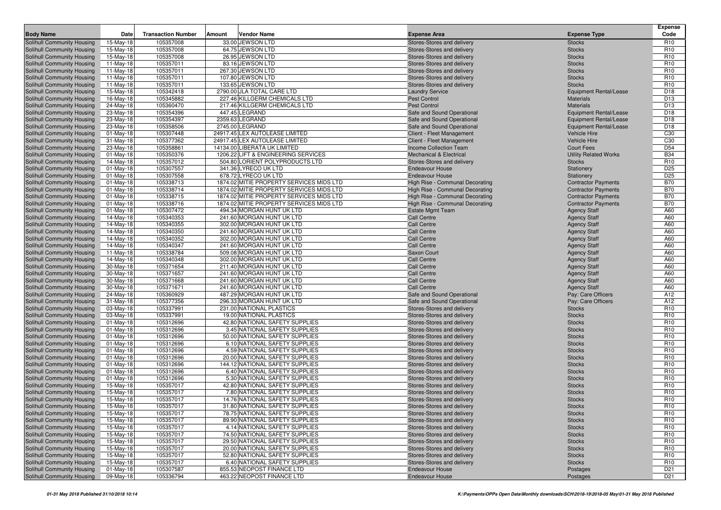| <b>Body Name</b>                                         | Date                   | <b>Transaction Number</b> | Vendor Name<br>Amount                                  | <b>Expense Area</b>                      | <b>Expense Type</b>                        | <b>Expense</b><br>Code |
|----------------------------------------------------------|------------------------|---------------------------|--------------------------------------------------------|------------------------------------------|--------------------------------------------|------------------------|
| Solihull Community Housing                               | 15-May-18              | 105357008                 | 33.00 JEWSON LTD                                       | Stores-Stores and delivery               | <b>Stocks</b>                              | R <sub>10</sub>        |
| Solihull Community Housing                               | 15-May-18              | 105357008                 | 64.75 JEWSON LTD                                       | Stores-Stores and delivery               | <b>Stocks</b>                              | R <sub>10</sub>        |
| Solihull Community Housing                               | 15-May-18              | 105357008                 | 26.95 JEWSON LTD                                       | Stores-Stores and delivery               | <b>Stocks</b>                              | R <sub>10</sub>        |
| Solihull Community Housing                               | $11-May-18$            | 105357011                 | 83.16 JEWSON LTD                                       | Stores-Stores and delivery               | <b>Stocks</b>                              | R <sub>10</sub>        |
| Solihull Community Housing                               | 11-May-18              | 105357011                 | 267.30 JEWSON LTD                                      | Stores-Stores and delivery               | <b>Stocks</b>                              | R <sub>10</sub>        |
| Solihull Community Housing                               | $11-May-18$            | 105357011                 | 107.80 JEWSON LTD                                      | Stores-Stores and delivery               | <b>Stocks</b>                              | R <sub>10</sub>        |
| Solihull Community Housing                               | 11-May-18              | 105357011                 | 133.65 JEWSON LTD                                      | Stores-Stores and delivery               | <b>Stocks</b>                              | R <sub>10</sub>        |
| Solihull Community Housing                               | 15-May-18              | 105342418                 | 2790.00 JLA TOTAL CARE LTD                             | <b>Laundry Service</b>                   | <b>Equipment Rental/Lease</b>              | D <sub>18</sub>        |
| Solihull Community Housing                               | 16-May-18              | 105345882                 | 227.46 KILLGERM CHEMICALS LTD                          | <b>Pest Control</b>                      | <b>Materials</b>                           | D <sub>13</sub>        |
| Solihull Community Housing                               | 24-May-18              | 105360470                 | 217.46 KILLGERM CHEMICALS LTD                          | <b>Pest Control</b>                      | <b>Materials</b>                           | D <sub>13</sub>        |
| Solihull Community Housing                               | 23-May-18              | 105354396                 | 447.45 LEGRAND                                         | Safe and Sound Operational               | <b>Equipment Rental/Lease</b>              | D <sub>18</sub>        |
| Solihull Community Housing                               | 23-May-18              | 105354397                 | 2359.63 LEGRAND                                        | Safe and Sound Operational               | <b>Equipment Rental/Lease</b>              | D <sub>18</sub>        |
| Solihull Community Housing                               | 23-May-18              | 105358506                 | 2745.00 LEGRAND                                        | Safe and Sound Operational               | <b>Equipment Rental/Lease</b>              | D <sub>18</sub>        |
| Solihull Community Housing                               | $01$ -May-18           | 105307448                 | 24917.45 LEX AUTOLEASE LIMITED                         | Client - Fleet Management                | <b>Vehicle Hire</b>                        | C30                    |
| Solihull Community Housing                               | $31-May-18$            | 105377362                 | 24917.45 LEX AUTOLEASE LIMITED                         | Client - Fleet Management                | <b>Vehicle Hire</b>                        | C30                    |
| Solihull Community Housing                               | 23-May-18              | 105358861                 | 14134.00 LIBERATA UK LIMITED                           | Income Collection Team                   | <b>Court Fees</b>                          | D <sub>54</sub>        |
| Solihull Community Housing                               | $01$ -May-18           | 105350376                 | 1206.22 LIFT & ENGINEERING SERVICES                    | <b>Mechanical &amp; Electrical</b>       | <b>Utility Related Works</b>               | <b>B34</b>             |
| Solihull Community Housing                               | 14-May-18              | 105357012                 | 504.80 LORIENT POLYPRODUCTS LTD                        | Stores-Stores and delivery               | <b>Stocks</b>                              | R <sub>10</sub>        |
| Solihull Community Housing                               | $01$ -May-18           | 105307557                 | 341.36 LYRECO UK LTD                                   | <b>Endeavour House</b>                   | Stationery                                 | D <sub>25</sub>        |
| Solihull Community Housing                               | $01$ -May-18           | 105307558                 | 678.72 LYRECO UK LTD                                   | <b>Endeavour House</b>                   | Stationery                                 | D <sub>25</sub>        |
| Solihull Community Housing                               | $01$ -May-18           | 105338713                 | 1874.02 MITIE PROPERTY SERVICES MIDS LTD               | High Rise - Communal Decorating          | <b>Contractor Payments</b>                 | <b>B70</b>             |
| Solihull Community Housing                               | $01$ -May-18           | 105338714                 | 1874.02 MITIE PROPERTY SERVICES MIDS LTD               | High Rise - Communal Decorating          | <b>Contractor Payments</b>                 | <b>B70</b>             |
| Solihull Community Housing                               | 01-May-18              | 105338715                 | 1874.02 MITIE PROPERTY SERVICES MIDS LTD               | High Rise - Communal Decorating          | <b>Contractor Payments</b>                 | <b>B70</b>             |
| Solihull Community Housing                               | $01$ -May-18           | 105338716                 | 1874.02 MITIE PROPERTY SERVICES MIDS LTD               | High Rise - Communal Decorating          | <b>Contractor Payments</b>                 | <b>B70</b>             |
| Solihull Community Housing                               | $01$ -May-18           | 105307472                 | 494.34 MORGAN HUNT UK LTD                              | <b>Estate Mgmt Team</b>                  | <b>Agency Staff</b>                        | A60                    |
| Solihull Community Housing                               | 14-May-18              | 105340353                 | 241.60 MORGAN HUNT UK LTD                              | <b>Call Centre</b>                       | <b>Agency Staff</b>                        | A60                    |
| Solihull Community Housing                               | 14-May-18              | 105340355                 | 302.00 MORGAN HUNT UK LTD                              | <b>Call Centre</b>                       | <b>Agency Staff</b>                        | A60                    |
| Solihull Community Housing                               | 14-May-18              | 105340350                 | 241.60 MORGAN HUNT UK LTD                              | <b>Call Centre</b>                       | <b>Agency Staff</b>                        | A60                    |
| Solihull Community Housing                               | 14-May-18              | 105340352                 | 302.00 MORGAN HUNT UK LTD                              | <b>Call Centre</b>                       | <b>Agency Staff</b>                        | A60                    |
| Solihull Community Housing                               | 14-May-18              | 105340347                 | 241.60 MORGAN HUNT UK LTD                              | <b>Call Centre</b>                       | <b>Agency Staff</b>                        | A60                    |
| Solihull Community Housing                               | $11-May-18$            | 105338784                 | 509.08 MORGAN HUNT UK LTD<br>302.00 MORGAN HUNT UK LTD | <b>Saxon Court</b>                       | <b>Agency Staff</b>                        | A60                    |
| Solihull Community Housing                               | 14-May-18<br>30-May-18 | 105340348                 |                                                        | <b>Call Centre</b>                       | <b>Agency Staff</b>                        | A60<br>A60             |
| Solihull Community Housing<br>Solihull Community Housing | 30-May-18              | 105371654<br>105371657    | 211.40 MORGAN HUNT UK LTD<br>241.60 MORGAN HUNT UK LTD | <b>Call Centre</b><br><b>Call Centre</b> | <b>Agency Staff</b><br><b>Agency Staff</b> | A60                    |
| Solihull Community Housing                               | 30-May-18              | 105371668                 | 241.60 MORGAN HUNT UK LTD                              | <b>Call Centre</b>                       | <b>Agency Staff</b>                        | A60                    |
| Solihull Community Housing                               | 30-May-18              | 105371671                 | 241.60 MORGAN HUNT UK LTD                              | <b>Call Centre</b>                       | <b>Agency Staff</b>                        | A60                    |
| Solihull Community Housing                               | 24-May-18              | 105360929                 | 487.29 MORGAN HUNT UK LTD                              | Safe and Sound Operational               | Pay: Care Officers                         | A12                    |
| Solihull Community Housing                               | 31-May-18              | 105377356                 | 296.33 MORGAN HUNT UK LTD                              | Safe and Sound Operational               | Pay: Care Officers                         | A12                    |
| Solihull Community Housing                               | 03-May-18              | 105337991                 | 231.00 NATIONAL PLASTICS                               | Stores-Stores and delivery               | <b>Stocks</b>                              | R <sub>10</sub>        |
| Solihull Community Housing                               | 03-May-18              | 105337991                 | 19.00 NATIONAL PLASTICS                                | Stores-Stores and delivery               | <b>Stocks</b>                              | R <sub>10</sub>        |
| Solihull Community Housing                               | 01-May-18              | 105312696                 | 42.80 NATIONAL SAFETY SUPPLIES                         | Stores-Stores and delivery               | <b>Stocks</b>                              | R <sub>10</sub>        |
| Solihull Community Housing                               | $01$ -May-18           | 105312696                 | 3.45 NATIONAL SAFETY SUPPLIES                          | Stores-Stores and delivery               | <b>Stocks</b>                              | R <sub>10</sub>        |
| Solihull Community Housing                               | 01-May-18              | 105312696                 | 50.00 NATIONAL SAFETY SUPPLIES                         | Stores-Stores and delivery               | <b>Stocks</b>                              | R <sub>10</sub>        |
| Solihull Community Housing                               | 01-May-18              | 105312696                 | 6.10 NATIONAL SAFETY SUPPLIES                          | Stores-Stores and delivery               | <b>Stocks</b>                              | R <sub>10</sub>        |
| Solihull Community Housing                               | $01$ -May-18           | 105312696                 | 4.59 NATIONAL SAFETY SUPPLIES                          | Stores-Stores and delivery               | <b>Stocks</b>                              | R <sub>10</sub>        |
| Solihull Community Housing                               | $01$ -May-18           | 105312696                 | 20.00 NATIONAL SAFETY SUPPLIES                         | Stores-Stores and delivery               | <b>Stocks</b>                              | R <sub>10</sub>        |
| Solihull Community Housing                               | $01$ -May-18           | 105312696                 | 144.12 NATIONAL SAFETY SUPPLIES                        | Stores-Stores and delivery               | <b>Stocks</b>                              | R <sub>10</sub>        |
| Solihull Community Housing                               | 01-May-18              | 105312696                 | 6.40 NATIONAL SAFETY SUPPLIES                          | Stores-Stores and delivery               | <b>Stocks</b>                              | R <sub>10</sub>        |
| Solihull Community Housing                               | $01$ -May-18           | 105312696                 | 5.30 NATIONAL SAFETY SUPPLIES                          | Stores-Stores and delivery               | <b>Stocks</b>                              | R <sub>10</sub>        |
| Solihull Community Housing                               | 15-May-18              | 105357017                 | 42.80 NATIONAL SAFETY SUPPLIES                         | Stores-Stores and delivery               | <b>Stocks</b>                              | R <sub>10</sub>        |
| Solihull Community Housing                               | 15-May-18              | 105357017                 | 7.80 NATIONAL SAFETY SUPPLIES                          | Stores-Stores and delivery               | <b>Stocks</b>                              | R <sub>10</sub>        |
| <b>Solihull Community Housing</b>                        | $15$ -May-18           | 105357017                 | 14.76 NATIONAL SAFETY SUPPLIES                         | Stores-Stores and delivery               | <b>Stocks</b>                              | R <sub>10</sub>        |
| Solihull Community Housing                               | 15-May-18              | 105357017                 | 31.80 NATIONAL SAFETY SUPPLIES                         | Stores-Stores and delivery               | <b>Stocks</b>                              | R <sub>10</sub>        |
| Solihull Community Housing                               | 15-May-18              | 105357017                 | 78.75 NATIONAL SAFETY SUPPLIES                         | Stores-Stores and delivery               | <b>Stocks</b>                              | R <sub>10</sub>        |
| Solihull Community Housing                               | 15-May-18              | 105357017                 | 89.90 NATIONAL SAFETY SUPPLIES                         | Stores-Stores and delivery               | <b>Stocks</b>                              | R <sub>10</sub>        |
| Solihull Community Housing                               | 15-May-18              | 105357017                 | 4.14 NATIONAL SAFETY SUPPLIES                          | Stores-Stores and delivery               | <b>Stocks</b>                              | R <sub>10</sub>        |
| Solihull Community Housing                               | 15-May-18              | 105357017                 | 74.50 NATIONAL SAFETY SUPPLIES                         | Stores-Stores and delivery               | <b>Stocks</b>                              | R <sub>10</sub>        |
| Solihull Community Housing                               | 15-May-18              | 105357017                 | 29.50 NATIONAL SAFETY SUPPLIES                         | Stores-Stores and delivery               | <b>Stocks</b>                              | R <sub>10</sub>        |
| Solihull Community Housing                               | 15-May-18              | 105357017                 | 20.00 NATIONAL SAFETY SUPPLIES                         | Stores-Stores and delivery               | <b>Stocks</b>                              | R <sub>10</sub>        |
| Solihull Community Housing                               | 15-May-18              | 105357017                 | 52.80 NATIONAL SAFETY SUPPLIES                         | Stores-Stores and delivery               | <b>Stocks</b>                              | R <sub>10</sub>        |
| Solihull Community Housing                               | 15-May-18              | 105357017                 | 6.40 NATIONAL SAFETY SUPPLIES                          | Stores-Stores and delivery               | <b>Stocks</b>                              | R <sub>10</sub>        |
| Solihull Community Housing                               | 01-May-18              | 105307587                 | 855.53 NEOPOST FINANCE LTD                             | <b>Endeavour House</b>                   | Postages                                   | D <sub>21</sub>        |
| Solihull Community Housing                               | 09-May-18              | 105336794                 | 463.22 NEOPOST FINANCE LTD                             | <b>Endeavour House</b>                   | Postages                                   | D <sub>21</sub>        |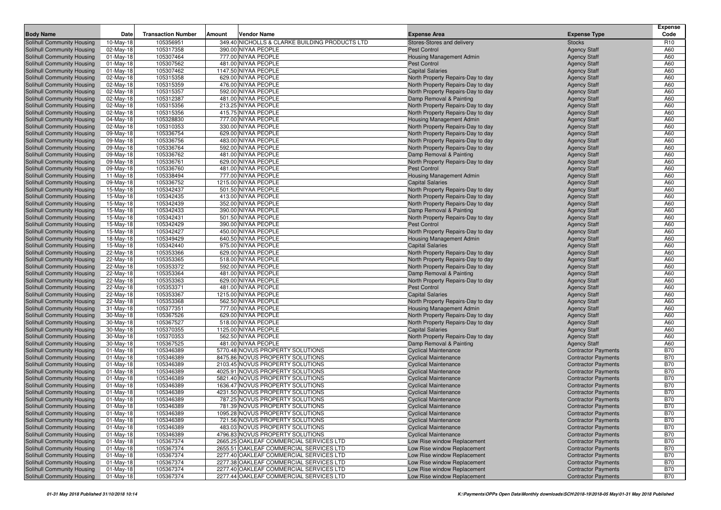|                                                          |                         |                           |        |                                                |                                                                        |                                            | <b>Expense</b>  |
|----------------------------------------------------------|-------------------------|---------------------------|--------|------------------------------------------------|------------------------------------------------------------------------|--------------------------------------------|-----------------|
| <b>Body Name</b>                                         | Date                    | <b>Transaction Number</b> | Amount | <b>Vendor Name</b>                             | <b>Expense Area</b>                                                    | <b>Expense Type</b>                        | Code            |
| Solihull Community Housing                               | $\overline{10}$ -May-18 | 105356951                 |        | 349.40 NICHOLLS & CLARKE BUILDING PRODUCTS LTD | Stores-Stores and delivery                                             | <b>Stocks</b>                              | R <sub>10</sub> |
| Solihull Community Housing                               | 02-May-18               | 105317358                 |        | 390.00 NIYAA PEOPLE                            | Pest Control                                                           | <b>Agency Staff</b>                        | A60             |
| Solihull Community Housing                               | $01$ -May-18            | 105307464                 |        | 777.00 NIYAA PEOPLE                            | <b>Housing Management Admin</b>                                        | <b>Agency Staff</b>                        | A60             |
| Solihull Community Housing                               | 01-May-18               | 105307562                 |        | 481.00 NIYAA PEOPLE                            | Pest Control                                                           | <b>Agency Staff</b>                        | A60             |
| Solihull Community Housing                               | $01$ -May-18            | 105307462                 |        | 1147.50 NIYAA PEOPLE                           | <b>Capital Salaries</b>                                                | <b>Agency Staff</b>                        | A60             |
| Solihull Community Housing                               | 02-May-18               | 105315358                 |        | 629.00 NIYAA PEOPLE                            | North Property Repairs-Day to day                                      | <b>Agency Staff</b>                        | A60             |
| Solihull Community Housing                               | 02-May-18               | 105315359                 |        | 476.00 NIYAA PEOPLE                            | North Property Repairs-Day to day                                      | <b>Agency Staff</b>                        | A60             |
| Solihull Community Housing                               | 02-May-18               | 105315357                 |        | 592.00 NIYAA PEOPLE                            | North Property Repairs-Day to day                                      | <b>Agency Staff</b>                        | A60             |
| Solihull Community Housing                               | 02-May-18               | 105312387                 |        | 481.00 NIYAA PEOPLE                            | Damp Removal & Painting                                                | <b>Agency Staff</b>                        | A60             |
| Solihull Community Housing                               | 02-May-18               | 105315356                 |        | 213.25 NIYAA PEOPLE                            | North Property Repairs-Day to day                                      | <b>Agency Staff</b>                        | A60             |
| Solihull Community Housing                               | 02-May-18               | 105315356                 |        | 415.75 NIYAA PEOPLE                            | North Property Repairs-Day to day                                      | <b>Agency Staff</b>                        | A60             |
| Solihull Community Housing                               | 04-May-18               | 105328830                 |        | 777.00 NIYAA PEOPLE<br>330.00 NIYAA PEOPLE     | <b>Housing Management Admin</b>                                        | <b>Agency Staff</b>                        | A60             |
| Solihull Community Housing<br>Solihull Community Housing | 02-May-18               | 105310353<br>105336754    |        | 629.00 NIYAA PEOPLE                            | North Property Repairs-Day to day<br>North Property Repairs-Day to day | <b>Agency Staff</b><br><b>Agency Staff</b> | A60<br>A60      |
| Solihull Community Housing                               | 09-May-18<br>09-May-18  | 105336756                 |        | 483.00 NIYAA PEOPLE                            | North Property Repairs-Day to day                                      | <b>Agency Staff</b>                        | A60             |
| Solihull Community Housing                               | 09-May-18               | 105336764                 |        | 592.00 NIYAA PEOPLE                            | North Property Repairs-Day to day                                      | <b>Agency Staff</b>                        | A60             |
| Solihull Community Housing                               | 09-May-18               | 105336762                 |        | 481.00 NIYAA PEOPLE                            | Damp Removal & Painting                                                | <b>Agency Staff</b>                        | A60             |
| Solihull Community Housing                               | 09-May-18               | 105336761                 |        | 629.00 NIYAA PEOPLE                            | North Property Repairs-Day to day                                      | <b>Agency Staff</b>                        | A60             |
| Solihull Community Housing                               | 09-May-18               | 105336760                 |        | 481.00 NIYAA PEOPLE                            | <b>Pest Control</b>                                                    | <b>Agency Staff</b>                        | A60             |
| Solihull Community Housing                               | $11-May-18$             | 105338494                 |        | 777.00 NIYAA PEOPLE                            | <b>Housing Management Admin</b>                                        | <b>Agency Staff</b>                        | A60             |
| Solihull Community Housing                               | 09-May-18               | 105336752                 |        | 1215.00 NIYAA PEOPLE                           | <b>Capital Salaries</b>                                                | <b>Agency Staff</b>                        | A60             |
| Solihull Community Housing                               | 15-May-18               | 105342437                 |        | 501.50 NIYAA PEOPLE                            | North Property Repairs-Day to day                                      | <b>Agency Staff</b>                        | A60             |
| Solihull Community Housing                               | 15-May-18               | 105342435                 |        | 413.00 NIYAA PEOPLE                            | North Property Repairs-Day to day                                      | <b>Agency Staff</b>                        | A60             |
| Solihull Community Housing                               | 15-May-18               | 105342439                 |        | 352.00 NIYAA PEOPLE                            | North Property Repairs-Day to day                                      | <b>Agency Staff</b>                        | A60             |
| Solihull Community Housing                               | 15-May-18               | 105342433                 |        | 390.00 NIYAA PEOPLE                            | Damp Removal & Painting                                                | <b>Agency Staff</b>                        | A60             |
| Solihull Community Housing                               | 15-May-18               | 105342431                 |        | 501.50 NIYAA PEOPLE                            | North Property Repairs-Day to day                                      | <b>Agency Staff</b>                        | A60             |
| Solihull Community Housing                               | 15-May-18               | 105342429                 |        | 390.00 NIYAA PEOPLE                            | <b>Pest Control</b>                                                    | <b>Agency Staff</b>                        | A60             |
| Solihull Community Housing                               | 15-May-18               | 105342427                 |        | 450.00 NIYAA PEOPLE                            | North Property Repairs-Day to day                                      | <b>Agency Staff</b>                        | A60             |
| Solihull Community Housing                               | 18-May-18               | 105349429                 |        | 640.50 NIYAA PEOPLE                            | <b>Housing Management Admin</b>                                        | <b>Agency Staff</b>                        | A60             |
| Solihull Community Housing                               | 15-May-18               | 105342440                 |        | 975.00 NIYAA PEOPLE                            | <b>Capital Salaries</b>                                                | <b>Agency Staff</b>                        | A60             |
| Solihull Community Housing                               | 22-May-18               | 105353366                 |        | 629.00 NIYAA PEOPLE                            | North Property Repairs-Day to day                                      | <b>Agency Staff</b>                        | A60             |
| Solihull Community Housing                               | 22-May-18               | 105353365                 |        | 518.00 NIYAA PEOPLE                            | North Property Repairs-Day to day                                      | <b>Agency Staff</b>                        | A60             |
| Solihull Community Housing                               | 22-May-18               | 105353372                 |        | 592.00 NIYAA PEOPLE                            | North Property Repairs-Day to day                                      | <b>Agency Staff</b>                        | A60             |
| Solihull Community Housing                               | 22-May-18               | 105353364                 |        | 481.00 NIYAA PEOPLE                            | Damp Removal & Painting                                                | <b>Agency Staff</b>                        | A60             |
| Solihull Community Housing                               | 22-May-18               | 105353363                 |        | 629.00 NIYAA PEOPLE                            | North Property Repairs-Day to day                                      | <b>Agency Staff</b>                        | A60             |
| Solihull Community Housing                               | 22-May-18               | 105353371                 |        | 481.00 NIYAA PEOPLE                            | Pest Control                                                           | <b>Agency Staff</b>                        | A60             |
| Solihull Community Housing                               | 22-May-18               | 105353367                 |        | 1215.00 NIYAA PEOPLE                           | <b>Capital Salaries</b>                                                | <b>Agency Staff</b>                        | A60             |
| Solihull Community Housing                               | 22-May-18               | 105353368                 |        | 562.50 NIYAA PEOPLE                            | North Property Repairs-Day to day                                      | <b>Agency Staff</b>                        | A60             |
| Solihull Community Housing                               | 31-May-18               | 105377351                 |        | 777.00 NIYAA PEOPLE                            | <b>Housing Management Admin</b>                                        | <b>Agency Staff</b>                        | A60             |
| Solihull Community Housing                               | 30-May-18               | 105367526                 |        | 629.00 NIYAA PEOPLE                            | North Property Repairs-Day to day                                      | <b>Agency Staff</b>                        | A60             |
| Solihull Community Housing                               | 30-May-18               | 105367527                 |        | 518.00 NIYAA PEOPLE<br>1125.00 NIYAA PEOPLE    | North Property Repairs-Day to day                                      | <b>Agency Staff</b>                        | A60             |
| Solihull Community Housing<br>Solihull Community Housing | 30-May-18<br>30-May-18  | 105370355<br>105370353    |        | 562.50 NIYAA PEOPLE                            | <b>Capital Salaries</b><br>North Property Repairs-Day to day           | <b>Agency Staff</b><br><b>Agency Staff</b> | A60<br>A60      |
| Solihull Community Housing                               | 30-May-18               | 105367525                 |        | 481.00 NIYAA PEOPLE                            | Damp Removal & Painting                                                | <b>Agency Staff</b>                        | A60             |
| Solihull Community Housing                               | $01$ -May-18            | 105346389                 |        | 5770.48 NOVUS PROPERTY SOLUTIONS               | <b>Cyclical Maintenance</b>                                            | <b>Contractor Payments</b>                 | <b>B70</b>      |
| Solihull Community Housing                               | 01-May-18               | 105346389                 |        | 8475.86 NOVUS PROPERTY SOLUTIONS               | <b>Cyclical Maintenance</b>                                            | <b>Contractor Payments</b>                 | <b>B70</b>      |
| Solihull Community Housing                               | 01-May-18               | 105346389                 |        | 2103.45 NOVUS PROPERTY SOLUTIONS               | <b>Cyclical Maintenance</b>                                            | <b>Contractor Payments</b>                 | <b>B70</b>      |
| Solihull Community Housing                               | $01$ -May-18            | 105346389                 |        | 4025.91 NOVUS PROPERTY SOLUTIONS               | <b>Cyclical Maintenance</b>                                            | <b>Contractor Payments</b>                 | <b>B70</b>      |
| Solihull Community Housing                               | 01-May-18               | 105346389                 |        | 5821.40 NOVUS PROPERTY SOLUTIONS               | <b>Cyclical Maintenance</b>                                            | <b>Contractor Payments</b>                 | <b>B70</b>      |
| <b>Solihull Community Housing</b>                        | $01$ -May-18            | 105346389                 |        | 1636.47 NOVUS PROPERTY SOLUTIONS               | <b>Cyclical Maintenance</b>                                            | <b>Contractor Payments</b>                 | <b>B70</b>      |
| Solihull Community Housing                               | 01-May-18               | 105346389                 |        | 4231.50 NOVUS PROPERTY SOLUTIONS               | <b>Cyclical Maintenance</b>                                            | <b>Contractor Payments</b>                 | <b>B70</b>      |
| Solihull Community Housing                               | $01$ -May-18            | 105346389                 |        | 787.25 NOVUS PROPERTY SOLUTIONS                | <b>Cyclical Maintenance</b>                                            | <b>Contractor Payments</b>                 | <b>B70</b>      |
| Solihull Community Housing                               | 01-May-18               | 105346389                 |        | 781.39 NOVUS PROPERTY SOLUTIONS                | <b>Cyclical Maintenance</b>                                            | <b>Contractor Payments</b>                 | <b>B70</b>      |
| Solihull Community Housing                               | $01$ -May-18            | 105346389                 |        | 1095.28 NOVUS PROPERTY SOLUTIONS               | <b>Cyclical Maintenance</b>                                            | <b>Contractor Payments</b>                 | <b>B70</b>      |
| Solihull Community Housing                               | 01-May-18               | 105346389                 |        | 721.56 NOVUS PROPERTY SOLUTIONS                | <b>Cyclical Maintenance</b>                                            | <b>Contractor Payments</b>                 | <b>B70</b>      |
| Solihull Community Housing                               | 01-May-18               | 105346389                 |        | 483.03 NOVUS PROPERTY SOLUTIONS                | <b>Cyclical Maintenance</b>                                            | <b>Contractor Payments</b>                 | <b>B70</b>      |
| Solihull Community Housing                               | $01$ -May-18            | 105346389                 |        | 4796.83 NOVUS PROPERTY SOLUTIONS               | <b>Cyclical Maintenance</b>                                            | <b>Contractor Payments</b>                 | <b>B70</b>      |
| Solihull Community Housing                               | $01$ -May-18            | 105367374                 |        | 2665.25 OAKLEAF COMMERCIAL SERVICES LTD        | Low Rise window Replacement                                            | <b>Contractor Payments</b>                 | <b>B70</b>      |
| Solihull Community Housing                               | 01-May-18               | 105367374                 |        | 2655.51 OAKLEAF COMMERCIAL SERVICES LTD        | Low Rise window Replacement                                            | <b>Contractor Payments</b>                 | <b>B70</b>      |
| Solihull Community Housing                               | 01-May-18               | 105367374                 |        | 2277.40 OAKLEAF COMMERCIAL SERVICES LTD        | Low Rise window Replacement                                            | <b>Contractor Payments</b>                 | <b>B70</b>      |
| Solihull Community Housing                               | 01-May-18               | 105367374                 |        | 2277.38 OAKLEAF COMMERCIAL SERVICES LTD        | Low Rise window Replacement                                            | <b>Contractor Payments</b>                 | <b>B70</b>      |
| Solihull Community Housing                               | 01-May-18               | 105367374                 |        | 2277.40 OAKLEAF COMMERCIAL SERVICES LTD        | Low Rise window Replacement                                            | <b>Contractor Payments</b>                 | <b>B70</b>      |
| <b>Solihull Community Housing</b>                        | 01-May-18               | 105367374                 |        | 2277.44 OAKLEAF COMMERCIAL SERVICES LTD        | Low Rise window Replacement                                            | <b>Contractor Payments</b>                 | <b>B70</b>      |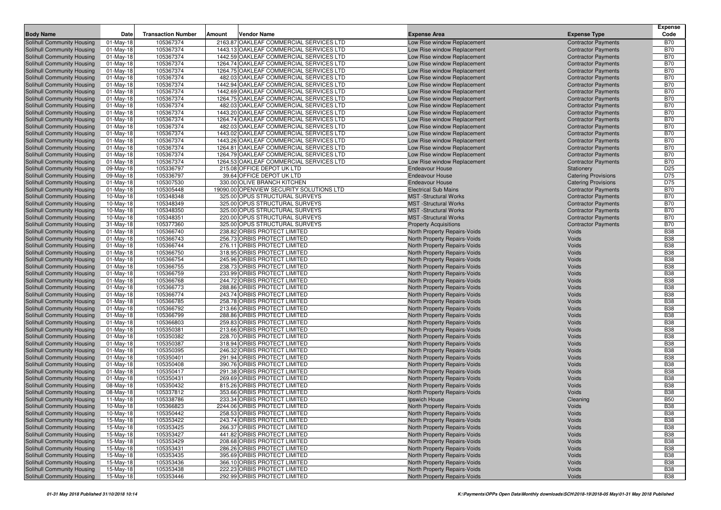| <b>Body Name</b><br><b>Transaction Number</b><br>Amount<br>Vendor Name<br><b>Expense Type</b><br>Date<br><b>Expense Area</b><br>105367374<br>2163.87 OAKLEAF COMMERCIAL SERVICES LTD<br>Solihull Community Housing<br>Low Rise window Replacement<br>$01$ -May-18<br><b>Contractor Payments</b><br>01-May-18<br>105367374<br>1443.13 OAKLEAF COMMERCIAL SERVICES LTD<br>Solihull Community Housing<br>Low Rise window Replacement<br><b>Contractor Payments</b><br>105367374<br>1442.59 OAKLEAF COMMERCIAL SERVICES LTD<br>Solihull Community Housing<br>$01$ -May-18<br>Low Rise window Replacement<br><b>Contractor Payments</b><br>105367374<br>1264.74 OAKLEAF COMMERCIAL SERVICES LTD<br>Solihull Community Housing<br>$01$ -May-18<br>Low Rise window Replacement<br><b>Contractor Payments</b><br>105367374<br>1264.75 OAKLEAF COMMERCIAL SERVICES LTD<br>Solihull Community Housing<br>$01$ -May-18<br>Low Rise window Replacement<br><b>Contractor Payments</b><br>105367374<br>Solihull Community Housing<br>$01$ -May-18<br>482.03 OAKLEAF COMMERCIAL SERVICES LTD<br>Low Rise window Replacement<br><b>Contractor Payments</b><br>105367374<br>1442.94 OAKLEAF COMMERCIAL SERVICES LTD<br>Low Rise window Replacement<br>Solihull Community Housing<br>$01$ -May-18<br><b>Contractor Payments</b><br>105367374<br>1442.69 OAKLEAF COMMERCIAL SERVICES LTD<br>Solihull Community Housing<br>$01$ -May-18<br>Low Rise window Replacement<br><b>Contractor Payments</b><br>105367374<br>Solihull Community Housing<br>$01$ -May-18<br>1264.75 OAKLEAF COMMERCIAL SERVICES LTD<br>Low Rise window Replacement<br><b>Contractor Payments</b><br>105367374<br>482.03 OAKLEAF COMMERCIAL SERVICES LTD<br>Solihull Community Housing<br>$01$ -May-18<br>Low Rise window Replacement<br><b>Contractor Payments</b><br>105367374<br>1443.20 OAKLEAF COMMERCIAL SERVICES LTD<br>Solihull Community Housing<br>$01$ -May-18<br>Low Rise window Replacement<br><b>Contractor Payments</b><br>105367374<br>1264.74 OAKLEAF COMMERCIAL SERVICES LTD<br>Solihull Community Housing<br>$01$ -May-18<br>Low Rise window Replacement<br><b>Contractor Payments</b><br>105367374<br>Solihull Community Housing<br>$01$ -May-18<br>482.03 OAKLEAF COMMERCIAL SERVICES LTD<br>Low Rise window Replacement<br><b>Contractor Payments</b><br>105367374<br>1443.02 OAKLEAF COMMERCIAL SERVICES LTD<br>Solihull Community Housing<br>$01-May-18$<br>Low Rise window Replacement<br><b>Contractor Payments</b> | Code<br><b>B70</b><br><b>B70</b><br><b>B70</b><br><b>B70</b><br><b>B70</b><br><b>B70</b> |
|-------------------------------------------------------------------------------------------------------------------------------------------------------------------------------------------------------------------------------------------------------------------------------------------------------------------------------------------------------------------------------------------------------------------------------------------------------------------------------------------------------------------------------------------------------------------------------------------------------------------------------------------------------------------------------------------------------------------------------------------------------------------------------------------------------------------------------------------------------------------------------------------------------------------------------------------------------------------------------------------------------------------------------------------------------------------------------------------------------------------------------------------------------------------------------------------------------------------------------------------------------------------------------------------------------------------------------------------------------------------------------------------------------------------------------------------------------------------------------------------------------------------------------------------------------------------------------------------------------------------------------------------------------------------------------------------------------------------------------------------------------------------------------------------------------------------------------------------------------------------------------------------------------------------------------------------------------------------------------------------------------------------------------------------------------------------------------------------------------------------------------------------------------------------------------------------------------------------------------------------------------------------------------------------------------------------------------------------------------------------------------------------------------------------------------------------------------------------------------------------------|------------------------------------------------------------------------------------------|
|                                                                                                                                                                                                                                                                                                                                                                                                                                                                                                                                                                                                                                                                                                                                                                                                                                                                                                                                                                                                                                                                                                                                                                                                                                                                                                                                                                                                                                                                                                                                                                                                                                                                                                                                                                                                                                                                                                                                                                                                                                                                                                                                                                                                                                                                                                                                                                                                                                                                                                 |                                                                                          |
|                                                                                                                                                                                                                                                                                                                                                                                                                                                                                                                                                                                                                                                                                                                                                                                                                                                                                                                                                                                                                                                                                                                                                                                                                                                                                                                                                                                                                                                                                                                                                                                                                                                                                                                                                                                                                                                                                                                                                                                                                                                                                                                                                                                                                                                                                                                                                                                                                                                                                                 |                                                                                          |
|                                                                                                                                                                                                                                                                                                                                                                                                                                                                                                                                                                                                                                                                                                                                                                                                                                                                                                                                                                                                                                                                                                                                                                                                                                                                                                                                                                                                                                                                                                                                                                                                                                                                                                                                                                                                                                                                                                                                                                                                                                                                                                                                                                                                                                                                                                                                                                                                                                                                                                 |                                                                                          |
|                                                                                                                                                                                                                                                                                                                                                                                                                                                                                                                                                                                                                                                                                                                                                                                                                                                                                                                                                                                                                                                                                                                                                                                                                                                                                                                                                                                                                                                                                                                                                                                                                                                                                                                                                                                                                                                                                                                                                                                                                                                                                                                                                                                                                                                                                                                                                                                                                                                                                                 |                                                                                          |
|                                                                                                                                                                                                                                                                                                                                                                                                                                                                                                                                                                                                                                                                                                                                                                                                                                                                                                                                                                                                                                                                                                                                                                                                                                                                                                                                                                                                                                                                                                                                                                                                                                                                                                                                                                                                                                                                                                                                                                                                                                                                                                                                                                                                                                                                                                                                                                                                                                                                                                 |                                                                                          |
|                                                                                                                                                                                                                                                                                                                                                                                                                                                                                                                                                                                                                                                                                                                                                                                                                                                                                                                                                                                                                                                                                                                                                                                                                                                                                                                                                                                                                                                                                                                                                                                                                                                                                                                                                                                                                                                                                                                                                                                                                                                                                                                                                                                                                                                                                                                                                                                                                                                                                                 |                                                                                          |
|                                                                                                                                                                                                                                                                                                                                                                                                                                                                                                                                                                                                                                                                                                                                                                                                                                                                                                                                                                                                                                                                                                                                                                                                                                                                                                                                                                                                                                                                                                                                                                                                                                                                                                                                                                                                                                                                                                                                                                                                                                                                                                                                                                                                                                                                                                                                                                                                                                                                                                 | <b>B70</b>                                                                               |
|                                                                                                                                                                                                                                                                                                                                                                                                                                                                                                                                                                                                                                                                                                                                                                                                                                                                                                                                                                                                                                                                                                                                                                                                                                                                                                                                                                                                                                                                                                                                                                                                                                                                                                                                                                                                                                                                                                                                                                                                                                                                                                                                                                                                                                                                                                                                                                                                                                                                                                 | <b>B70</b>                                                                               |
|                                                                                                                                                                                                                                                                                                                                                                                                                                                                                                                                                                                                                                                                                                                                                                                                                                                                                                                                                                                                                                                                                                                                                                                                                                                                                                                                                                                                                                                                                                                                                                                                                                                                                                                                                                                                                                                                                                                                                                                                                                                                                                                                                                                                                                                                                                                                                                                                                                                                                                 | <b>B70</b>                                                                               |
|                                                                                                                                                                                                                                                                                                                                                                                                                                                                                                                                                                                                                                                                                                                                                                                                                                                                                                                                                                                                                                                                                                                                                                                                                                                                                                                                                                                                                                                                                                                                                                                                                                                                                                                                                                                                                                                                                                                                                                                                                                                                                                                                                                                                                                                                                                                                                                                                                                                                                                 | <b>B70</b>                                                                               |
|                                                                                                                                                                                                                                                                                                                                                                                                                                                                                                                                                                                                                                                                                                                                                                                                                                                                                                                                                                                                                                                                                                                                                                                                                                                                                                                                                                                                                                                                                                                                                                                                                                                                                                                                                                                                                                                                                                                                                                                                                                                                                                                                                                                                                                                                                                                                                                                                                                                                                                 | <b>B70</b>                                                                               |
|                                                                                                                                                                                                                                                                                                                                                                                                                                                                                                                                                                                                                                                                                                                                                                                                                                                                                                                                                                                                                                                                                                                                                                                                                                                                                                                                                                                                                                                                                                                                                                                                                                                                                                                                                                                                                                                                                                                                                                                                                                                                                                                                                                                                                                                                                                                                                                                                                                                                                                 | <b>B70</b>                                                                               |
|                                                                                                                                                                                                                                                                                                                                                                                                                                                                                                                                                                                                                                                                                                                                                                                                                                                                                                                                                                                                                                                                                                                                                                                                                                                                                                                                                                                                                                                                                                                                                                                                                                                                                                                                                                                                                                                                                                                                                                                                                                                                                                                                                                                                                                                                                                                                                                                                                                                                                                 | <b>B70</b>                                                                               |
|                                                                                                                                                                                                                                                                                                                                                                                                                                                                                                                                                                                                                                                                                                                                                                                                                                                                                                                                                                                                                                                                                                                                                                                                                                                                                                                                                                                                                                                                                                                                                                                                                                                                                                                                                                                                                                                                                                                                                                                                                                                                                                                                                                                                                                                                                                                                                                                                                                                                                                 | <b>B70</b>                                                                               |
| 105367374<br>1443.26 OAKLEAF COMMERCIAL SERVICES LTD<br>Solihull Community Housing<br>$01$ -May-18<br>Low Rise window Replacement<br><b>Contractor Payments</b>                                                                                                                                                                                                                                                                                                                                                                                                                                                                                                                                                                                                                                                                                                                                                                                                                                                                                                                                                                                                                                                                                                                                                                                                                                                                                                                                                                                                                                                                                                                                                                                                                                                                                                                                                                                                                                                                                                                                                                                                                                                                                                                                                                                                                                                                                                                                 | <b>B70</b>                                                                               |
| $01$ -May-18<br>105367374<br>1264.81 OAKLEAF COMMERCIAL SERVICES LTD<br><b>Contractor Payments</b><br>Solihull Community Housing<br>Low Rise window Replacement                                                                                                                                                                                                                                                                                                                                                                                                                                                                                                                                                                                                                                                                                                                                                                                                                                                                                                                                                                                                                                                                                                                                                                                                                                                                                                                                                                                                                                                                                                                                                                                                                                                                                                                                                                                                                                                                                                                                                                                                                                                                                                                                                                                                                                                                                                                                 | <b>B70</b>                                                                               |
| Solihull Community Housing<br>$01$ -May-18<br>105367374<br>1264.79 OAKLEAF COMMERCIAL SERVICES LTD<br>Low Rise window Replacement<br><b>Contractor Payments</b>                                                                                                                                                                                                                                                                                                                                                                                                                                                                                                                                                                                                                                                                                                                                                                                                                                                                                                                                                                                                                                                                                                                                                                                                                                                                                                                                                                                                                                                                                                                                                                                                                                                                                                                                                                                                                                                                                                                                                                                                                                                                                                                                                                                                                                                                                                                                 | <b>B70</b>                                                                               |
| 105367374<br>1264.53 OAKLEAF COMMERCIAL SERVICES LTD<br>Solihull Community Housing<br>$01$ -May-18<br>Low Rise window Replacement<br><b>Contractor Payments</b>                                                                                                                                                                                                                                                                                                                                                                                                                                                                                                                                                                                                                                                                                                                                                                                                                                                                                                                                                                                                                                                                                                                                                                                                                                                                                                                                                                                                                                                                                                                                                                                                                                                                                                                                                                                                                                                                                                                                                                                                                                                                                                                                                                                                                                                                                                                                 | <b>B70</b>                                                                               |
| 105336797<br>215.08 OFFICE DEPOT UK LTD<br>Solihull Community Housing<br>09-May-18<br><b>Endeavour House</b><br>Stationery                                                                                                                                                                                                                                                                                                                                                                                                                                                                                                                                                                                                                                                                                                                                                                                                                                                                                                                                                                                                                                                                                                                                                                                                                                                                                                                                                                                                                                                                                                                                                                                                                                                                                                                                                                                                                                                                                                                                                                                                                                                                                                                                                                                                                                                                                                                                                                      | D <sub>25</sub>                                                                          |
| 105336797<br>39.64 OFFICE DEPOT UK LTD<br>Solihull Community Housing<br>09-May-18<br><b>Endeavour House</b><br><b>Catering Provisions</b>                                                                                                                                                                                                                                                                                                                                                                                                                                                                                                                                                                                                                                                                                                                                                                                                                                                                                                                                                                                                                                                                                                                                                                                                                                                                                                                                                                                                                                                                                                                                                                                                                                                                                                                                                                                                                                                                                                                                                                                                                                                                                                                                                                                                                                                                                                                                                       | D75                                                                                      |
| 105307530<br>330.00 OLIVE BRANCH KITCHEN<br><b>Endeavour House</b><br>Solihull Community Housing<br>$01$ -May-18<br><b>Catering Provisions</b>                                                                                                                                                                                                                                                                                                                                                                                                                                                                                                                                                                                                                                                                                                                                                                                                                                                                                                                                                                                                                                                                                                                                                                                                                                                                                                                                                                                                                                                                                                                                                                                                                                                                                                                                                                                                                                                                                                                                                                                                                                                                                                                                                                                                                                                                                                                                                  | D75                                                                                      |
| Solihull Community Housing<br>01-May-18<br>105305448<br>19090.00 OPENVIEW SECURITY SOLUTIONS LTD<br><b>Electrical Sub Mains</b><br><b>Contractor Payments</b>                                                                                                                                                                                                                                                                                                                                                                                                                                                                                                                                                                                                                                                                                                                                                                                                                                                                                                                                                                                                                                                                                                                                                                                                                                                                                                                                                                                                                                                                                                                                                                                                                                                                                                                                                                                                                                                                                                                                                                                                                                                                                                                                                                                                                                                                                                                                   | <b>B70</b>                                                                               |
| 105348348<br>325.00 OPUS STRUCTURAL SURVEYS<br><b>MST</b> -Structural Works<br>Solihull Community Housing<br>$10$ -May-18<br><b>Contractor Payments</b><br><b>MST</b> -Structural Works                                                                                                                                                                                                                                                                                                                                                                                                                                                                                                                                                                                                                                                                                                                                                                                                                                                                                                                                                                                                                                                                                                                                                                                                                                                                                                                                                                                                                                                                                                                                                                                                                                                                                                                                                                                                                                                                                                                                                                                                                                                                                                                                                                                                                                                                                                         | <b>B70</b><br><b>B70</b>                                                                 |
| 105348349<br>325.00 OPUS STRUCTURAL SURVEYS<br>Solihull Community Housing<br>$10$ -May-18<br><b>Contractor Payments</b><br>105348350<br>325.00 OPUS STRUCTURAL SURVEYS<br><b>MST</b> -Structural Works<br><b>Contractor Payments</b><br>Solihull Community Housing<br>$10$ -May-18                                                                                                                                                                                                                                                                                                                                                                                                                                                                                                                                                                                                                                                                                                                                                                                                                                                                                                                                                                                                                                                                                                                                                                                                                                                                                                                                                                                                                                                                                                                                                                                                                                                                                                                                                                                                                                                                                                                                                                                                                                                                                                                                                                                                              | <b>B70</b>                                                                               |
| 105348351<br>Solihull Community Housing<br>10-May-18<br>220.00 OPUS STRUCTURAL SURVEYS<br><b>MST</b> -Structural Works<br><b>Contractor Payments</b>                                                                                                                                                                                                                                                                                                                                                                                                                                                                                                                                                                                                                                                                                                                                                                                                                                                                                                                                                                                                                                                                                                                                                                                                                                                                                                                                                                                                                                                                                                                                                                                                                                                                                                                                                                                                                                                                                                                                                                                                                                                                                                                                                                                                                                                                                                                                            | <b>B70</b>                                                                               |
| Solihull Community Housing<br>105377360<br>325.00 OPUS STRUCTURAL SURVEYS<br>$31-May-18$<br><b>Property Acquisitions</b><br><b>Contractor Payments</b>                                                                                                                                                                                                                                                                                                                                                                                                                                                                                                                                                                                                                                                                                                                                                                                                                                                                                                                                                                                                                                                                                                                                                                                                                                                                                                                                                                                                                                                                                                                                                                                                                                                                                                                                                                                                                                                                                                                                                                                                                                                                                                                                                                                                                                                                                                                                          | <b>B70</b>                                                                               |
| 105366740<br>238.82 ORBIS PROTECT LIMITED<br>Solihull Community Housing<br>$01$ -May-18<br><b>North Property Repairs-Voids</b><br>Voids                                                                                                                                                                                                                                                                                                                                                                                                                                                                                                                                                                                                                                                                                                                                                                                                                                                                                                                                                                                                                                                                                                                                                                                                                                                                                                                                                                                                                                                                                                                                                                                                                                                                                                                                                                                                                                                                                                                                                                                                                                                                                                                                                                                                                                                                                                                                                         | <b>B38</b>                                                                               |
| 105366743<br>256.73 ORBIS PROTECT LIMITED<br>Solihull Community Housing<br>$01$ -May-18<br><b>North Property Repairs-Voids</b><br>Voids                                                                                                                                                                                                                                                                                                                                                                                                                                                                                                                                                                                                                                                                                                                                                                                                                                                                                                                                                                                                                                                                                                                                                                                                                                                                                                                                                                                                                                                                                                                                                                                                                                                                                                                                                                                                                                                                                                                                                                                                                                                                                                                                                                                                                                                                                                                                                         | <b>B38</b>                                                                               |
| 105366744<br>276.11 ORBIS PROTECT LIMITED<br>Voids<br>Solihull Community Housing<br>$01$ -May-18<br>North Property Repairs-Voids                                                                                                                                                                                                                                                                                                                                                                                                                                                                                                                                                                                                                                                                                                                                                                                                                                                                                                                                                                                                                                                                                                                                                                                                                                                                                                                                                                                                                                                                                                                                                                                                                                                                                                                                                                                                                                                                                                                                                                                                                                                                                                                                                                                                                                                                                                                                                                | <b>B38</b>                                                                               |
| 105366750<br>318.95 ORBIS PROTECT LIMITED<br>Voids<br>Solihull Community Housing<br>$01$ -May-18<br><b>North Property Repairs-Voids</b>                                                                                                                                                                                                                                                                                                                                                                                                                                                                                                                                                                                                                                                                                                                                                                                                                                                                                                                                                                                                                                                                                                                                                                                                                                                                                                                                                                                                                                                                                                                                                                                                                                                                                                                                                                                                                                                                                                                                                                                                                                                                                                                                                                                                                                                                                                                                                         | <b>B38</b>                                                                               |
| Solihull Community Housing<br>105366754<br>245.96 ORBIS PROTECT LIMITED<br>Voids<br>$01-May-18$<br>North Property Repairs-Voids                                                                                                                                                                                                                                                                                                                                                                                                                                                                                                                                                                                                                                                                                                                                                                                                                                                                                                                                                                                                                                                                                                                                                                                                                                                                                                                                                                                                                                                                                                                                                                                                                                                                                                                                                                                                                                                                                                                                                                                                                                                                                                                                                                                                                                                                                                                                                                 | <b>B38</b>                                                                               |
| 105366755<br>238.73 ORBIS PROTECT LIMITED<br>Solihull Community Housing<br>$01$ -May-18<br><b>North Property Repairs-Voids</b><br>Voids                                                                                                                                                                                                                                                                                                                                                                                                                                                                                                                                                                                                                                                                                                                                                                                                                                                                                                                                                                                                                                                                                                                                                                                                                                                                                                                                                                                                                                                                                                                                                                                                                                                                                                                                                                                                                                                                                                                                                                                                                                                                                                                                                                                                                                                                                                                                                         | <b>B38</b>                                                                               |
| 105366759<br>Solihull Community Housing<br>$01$ -May-18<br>233.99 ORBIS PROTECT LIMITED<br>North Property Repairs-Voids<br>Voids                                                                                                                                                                                                                                                                                                                                                                                                                                                                                                                                                                                                                                                                                                                                                                                                                                                                                                                                                                                                                                                                                                                                                                                                                                                                                                                                                                                                                                                                                                                                                                                                                                                                                                                                                                                                                                                                                                                                                                                                                                                                                                                                                                                                                                                                                                                                                                | <b>B38</b>                                                                               |
| 105366768<br>244.72 ORBIS PROTECT LIMITED<br>Voids<br>Solihull Community Housing<br>$01$ -May-18<br>North Property Repairs-Voids                                                                                                                                                                                                                                                                                                                                                                                                                                                                                                                                                                                                                                                                                                                                                                                                                                                                                                                                                                                                                                                                                                                                                                                                                                                                                                                                                                                                                                                                                                                                                                                                                                                                                                                                                                                                                                                                                                                                                                                                                                                                                                                                                                                                                                                                                                                                                                | <b>B38</b>                                                                               |
| 105366773<br>288.86 ORBIS PROTECT LIMITED<br>Solihull Community Housing<br>$01$ -May-18<br><b>North Property Repairs-Voids</b><br>Voids                                                                                                                                                                                                                                                                                                                                                                                                                                                                                                                                                                                                                                                                                                                                                                                                                                                                                                                                                                                                                                                                                                                                                                                                                                                                                                                                                                                                                                                                                                                                                                                                                                                                                                                                                                                                                                                                                                                                                                                                                                                                                                                                                                                                                                                                                                                                                         | <b>B38</b>                                                                               |
| 105366774<br>243.74 ORBIS PROTECT LIMITED<br>Solihull Community Housing<br>$01$ -May-18<br>North Property Repairs-Voids<br>Voids                                                                                                                                                                                                                                                                                                                                                                                                                                                                                                                                                                                                                                                                                                                                                                                                                                                                                                                                                                                                                                                                                                                                                                                                                                                                                                                                                                                                                                                                                                                                                                                                                                                                                                                                                                                                                                                                                                                                                                                                                                                                                                                                                                                                                                                                                                                                                                | <b>B38</b>                                                                               |
| Solihull Community Housing<br>105366785<br>258.78 ORBIS PROTECT LIMITED<br>Voids<br>$01$ -May-18<br><b>North Property Repairs-Voids</b>                                                                                                                                                                                                                                                                                                                                                                                                                                                                                                                                                                                                                                                                                                                                                                                                                                                                                                                                                                                                                                                                                                                                                                                                                                                                                                                                                                                                                                                                                                                                                                                                                                                                                                                                                                                                                                                                                                                                                                                                                                                                                                                                                                                                                                                                                                                                                         | <b>B38</b>                                                                               |
| 105366792<br>213.66 ORBIS PROTECT LIMITED<br>Solihull Community Housing<br>$01$ -May-18<br><b>North Property Repairs-Voids</b><br>Voids                                                                                                                                                                                                                                                                                                                                                                                                                                                                                                                                                                                                                                                                                                                                                                                                                                                                                                                                                                                                                                                                                                                                                                                                                                                                                                                                                                                                                                                                                                                                                                                                                                                                                                                                                                                                                                                                                                                                                                                                                                                                                                                                                                                                                                                                                                                                                         | <b>B38</b><br><b>B38</b>                                                                 |
| 105366799<br>288.86 ORBIS PROTECT LIMITED<br>Solihull Community Housing<br>$01$ -May-18<br>North Property Repairs-Voids<br>Voids<br>01-May-18<br>105366803<br>259.83 ORBIS PROTECT LIMITED<br>Solihull Community Housing<br><b>North Property Repairs-Voids</b><br>Voids                                                                                                                                                                                                                                                                                                                                                                                                                                                                                                                                                                                                                                                                                                                                                                                                                                                                                                                                                                                                                                                                                                                                                                                                                                                                                                                                                                                                                                                                                                                                                                                                                                                                                                                                                                                                                                                                                                                                                                                                                                                                                                                                                                                                                        | <b>B38</b>                                                                               |
| 105350381<br>213.66 ORBIS PROTECT LIMITED<br>Voids<br>Solihull Community Housing<br>$01$ -May-18<br>North Property Repairs-Voids                                                                                                                                                                                                                                                                                                                                                                                                                                                                                                                                                                                                                                                                                                                                                                                                                                                                                                                                                                                                                                                                                                                                                                                                                                                                                                                                                                                                                                                                                                                                                                                                                                                                                                                                                                                                                                                                                                                                                                                                                                                                                                                                                                                                                                                                                                                                                                | <b>B38</b>                                                                               |
| Solihull Community Housing<br>$01$ -May-18<br>105350382<br>228.70 ORBIS PROTECT LIMITED<br>North Property Repairs-Voids<br>Voids                                                                                                                                                                                                                                                                                                                                                                                                                                                                                                                                                                                                                                                                                                                                                                                                                                                                                                                                                                                                                                                                                                                                                                                                                                                                                                                                                                                                                                                                                                                                                                                                                                                                                                                                                                                                                                                                                                                                                                                                                                                                                                                                                                                                                                                                                                                                                                | <b>B38</b>                                                                               |
| 105350387<br>318.94 ORBIS PROTECT LIMITED<br>Solihull Community Housing<br>01-May-18<br>North Property Repairs-Voids<br>Voids                                                                                                                                                                                                                                                                                                                                                                                                                                                                                                                                                                                                                                                                                                                                                                                                                                                                                                                                                                                                                                                                                                                                                                                                                                                                                                                                                                                                                                                                                                                                                                                                                                                                                                                                                                                                                                                                                                                                                                                                                                                                                                                                                                                                                                                                                                                                                                   | <b>B38</b>                                                                               |
| 105350395<br>246.32 ORBIS PROTECT LIMITED<br>Solihull Community Housing<br>$01$ -May-18<br><b>North Property Repairs-Voids</b><br>Voids                                                                                                                                                                                                                                                                                                                                                                                                                                                                                                                                                                                                                                                                                                                                                                                                                                                                                                                                                                                                                                                                                                                                                                                                                                                                                                                                                                                                                                                                                                                                                                                                                                                                                                                                                                                                                                                                                                                                                                                                                                                                                                                                                                                                                                                                                                                                                         | <b>B38</b>                                                                               |
| 105350401<br>291.94 ORBIS PROTECT LIMITED<br>Voids<br>Solihull Community Housing<br>$01$ -May-18<br>North Property Repairs-Voids                                                                                                                                                                                                                                                                                                                                                                                                                                                                                                                                                                                                                                                                                                                                                                                                                                                                                                                                                                                                                                                                                                                                                                                                                                                                                                                                                                                                                                                                                                                                                                                                                                                                                                                                                                                                                                                                                                                                                                                                                                                                                                                                                                                                                                                                                                                                                                | <b>B38</b>                                                                               |
| Solihull Community Housing<br>01-May-18<br>105350408<br>390.76 ORBIS PROTECT LIMITED<br>North Property Repairs-Voids<br>Voids                                                                                                                                                                                                                                                                                                                                                                                                                                                                                                                                                                                                                                                                                                                                                                                                                                                                                                                                                                                                                                                                                                                                                                                                                                                                                                                                                                                                                                                                                                                                                                                                                                                                                                                                                                                                                                                                                                                                                                                                                                                                                                                                                                                                                                                                                                                                                                   | <b>B38</b>                                                                               |
| 105350417<br>291.38 ORBIS PROTECT LIMITED<br>Solihull Community Housing<br>$01-May-18$<br>North Property Repairs-Voids<br>Voids                                                                                                                                                                                                                                                                                                                                                                                                                                                                                                                                                                                                                                                                                                                                                                                                                                                                                                                                                                                                                                                                                                                                                                                                                                                                                                                                                                                                                                                                                                                                                                                                                                                                                                                                                                                                                                                                                                                                                                                                                                                                                                                                                                                                                                                                                                                                                                 | <b>B38</b>                                                                               |
| 105350431<br>269.69 ORBIS PROTECT LIMITED<br>Voids<br>Solihull Community Housing<br>$01$ -May-18<br><b>North Property Repairs-Voids</b>                                                                                                                                                                                                                                                                                                                                                                                                                                                                                                                                                                                                                                                                                                                                                                                                                                                                                                                                                                                                                                                                                                                                                                                                                                                                                                                                                                                                                                                                                                                                                                                                                                                                                                                                                                                                                                                                                                                                                                                                                                                                                                                                                                                                                                                                                                                                                         | <b>B38</b>                                                                               |
| <b>Solihull Community Housing</b><br>105350432<br>815.26 ORBIS PROTECT LIMITED<br>08-May-18<br><b>North Property Repairs-Voids</b><br>Voids                                                                                                                                                                                                                                                                                                                                                                                                                                                                                                                                                                                                                                                                                                                                                                                                                                                                                                                                                                                                                                                                                                                                                                                                                                                                                                                                                                                                                                                                                                                                                                                                                                                                                                                                                                                                                                                                                                                                                                                                                                                                                                                                                                                                                                                                                                                                                     | <b>B38</b>                                                                               |
| 105337812<br>353.66 ORBIS PROTECT LIMITED<br>Voids<br>Solihull Community Housing<br>08-May-18<br>North Property Repairs-Voids                                                                                                                                                                                                                                                                                                                                                                                                                                                                                                                                                                                                                                                                                                                                                                                                                                                                                                                                                                                                                                                                                                                                                                                                                                                                                                                                                                                                                                                                                                                                                                                                                                                                                                                                                                                                                                                                                                                                                                                                                                                                                                                                                                                                                                                                                                                                                                   | <b>B38</b>                                                                               |
| Solihull Community Housing<br>105338786<br>233.34 ORBIS PROTECT LIMITED<br>$11-May-18$<br>Ipswich House<br>Cleaning                                                                                                                                                                                                                                                                                                                                                                                                                                                                                                                                                                                                                                                                                                                                                                                                                                                                                                                                                                                                                                                                                                                                                                                                                                                                                                                                                                                                                                                                                                                                                                                                                                                                                                                                                                                                                                                                                                                                                                                                                                                                                                                                                                                                                                                                                                                                                                             | <b>B50</b>                                                                               |
| Solihull Community Housing<br>2244.06 ORBIS PROTECT LIMITED<br>10-May-18<br>105366823<br>North Property Repairs-Voids<br>Voids                                                                                                                                                                                                                                                                                                                                                                                                                                                                                                                                                                                                                                                                                                                                                                                                                                                                                                                                                                                                                                                                                                                                                                                                                                                                                                                                                                                                                                                                                                                                                                                                                                                                                                                                                                                                                                                                                                                                                                                                                                                                                                                                                                                                                                                                                                                                                                  | <b>B38</b>                                                                               |
| <b>Solihull Community Housing</b><br>10-May-18<br>105350442<br>258.53 ORBIS PROTECT LIMITED<br>North Property Repairs-Voids<br>Voids                                                                                                                                                                                                                                                                                                                                                                                                                                                                                                                                                                                                                                                                                                                                                                                                                                                                                                                                                                                                                                                                                                                                                                                                                                                                                                                                                                                                                                                                                                                                                                                                                                                                                                                                                                                                                                                                                                                                                                                                                                                                                                                                                                                                                                                                                                                                                            | <b>B38</b>                                                                               |
| 243.74 ORBIS PROTECT LIMITED<br>Solihull Community Housing<br>15-May-18<br>105353422<br>North Property Repairs-Voids<br>Voids<br>Solihull Community Housing                                                                                                                                                                                                                                                                                                                                                                                                                                                                                                                                                                                                                                                                                                                                                                                                                                                                                                                                                                                                                                                                                                                                                                                                                                                                                                                                                                                                                                                                                                                                                                                                                                                                                                                                                                                                                                                                                                                                                                                                                                                                                                                                                                                                                                                                                                                                     | <b>B38</b>                                                                               |
| 105353425<br>266.37 ORBIS PROTECT LIMITED<br>15-May-18<br>North Property Repairs-Voids<br>Voids<br>Solihull Community Housing<br>15-May-18<br>105353427<br>441.82 ORBIS PROTECT LIMITED<br>North Property Repairs-Voids                                                                                                                                                                                                                                                                                                                                                                                                                                                                                                                                                                                                                                                                                                                                                                                                                                                                                                                                                                                                                                                                                                                                                                                                                                                                                                                                                                                                                                                                                                                                                                                                                                                                                                                                                                                                                                                                                                                                                                                                                                                                                                                                                                                                                                                                         | <b>B38</b><br><b>B38</b>                                                                 |
| Voids<br>Solihull Community Housing<br>105353429<br>208.68 ORBIS PROTECT LIMITED<br>North Property Repairs-Voids<br>15-May-18<br>Voids                                                                                                                                                                                                                                                                                                                                                                                                                                                                                                                                                                                                                                                                                                                                                                                                                                                                                                                                                                                                                                                                                                                                                                                                                                                                                                                                                                                                                                                                                                                                                                                                                                                                                                                                                                                                                                                                                                                                                                                                                                                                                                                                                                                                                                                                                                                                                          | <b>B38</b>                                                                               |
| Solihull Community Housing<br>15-May-18<br>105353431<br>286.26 ORBIS PROTECT LIMITED<br>North Property Repairs-Voids<br>Voids                                                                                                                                                                                                                                                                                                                                                                                                                                                                                                                                                                                                                                                                                                                                                                                                                                                                                                                                                                                                                                                                                                                                                                                                                                                                                                                                                                                                                                                                                                                                                                                                                                                                                                                                                                                                                                                                                                                                                                                                                                                                                                                                                                                                                                                                                                                                                                   | <b>B38</b>                                                                               |
| Solihull Community Housing<br>105353435<br>395.69 ORBIS PROTECT LIMITED<br>North Property Repairs-Voids<br>Voids<br>15-May-18                                                                                                                                                                                                                                                                                                                                                                                                                                                                                                                                                                                                                                                                                                                                                                                                                                                                                                                                                                                                                                                                                                                                                                                                                                                                                                                                                                                                                                                                                                                                                                                                                                                                                                                                                                                                                                                                                                                                                                                                                                                                                                                                                                                                                                                                                                                                                                   | <b>B38</b>                                                                               |
| Solihull Community Housing<br>105353436<br>366.10 ORBIS PROTECT LIMITED<br>North Property Repairs-Voids<br>15-May-18<br>Voids                                                                                                                                                                                                                                                                                                                                                                                                                                                                                                                                                                                                                                                                                                                                                                                                                                                                                                                                                                                                                                                                                                                                                                                                                                                                                                                                                                                                                                                                                                                                                                                                                                                                                                                                                                                                                                                                                                                                                                                                                                                                                                                                                                                                                                                                                                                                                                   | <b>B38</b>                                                                               |
| 222.23 ORBIS PROTECT LIMITED<br>Solihull Community Housing<br>15-May-18<br>105353438<br>North Property Repairs-Voids<br>Voids                                                                                                                                                                                                                                                                                                                                                                                                                                                                                                                                                                                                                                                                                                                                                                                                                                                                                                                                                                                                                                                                                                                                                                                                                                                                                                                                                                                                                                                                                                                                                                                                                                                                                                                                                                                                                                                                                                                                                                                                                                                                                                                                                                                                                                                                                                                                                                   | <b>B38</b>                                                                               |
| 292.99 ORBIS PROTECT LIMITED<br>Solihull Community Housing<br>15-May-18<br>105353446<br>North Property Repairs-Voids<br>Voids                                                                                                                                                                                                                                                                                                                                                                                                                                                                                                                                                                                                                                                                                                                                                                                                                                                                                                                                                                                                                                                                                                                                                                                                                                                                                                                                                                                                                                                                                                                                                                                                                                                                                                                                                                                                                                                                                                                                                                                                                                                                                                                                                                                                                                                                                                                                                                   | <b>B38</b>                                                                               |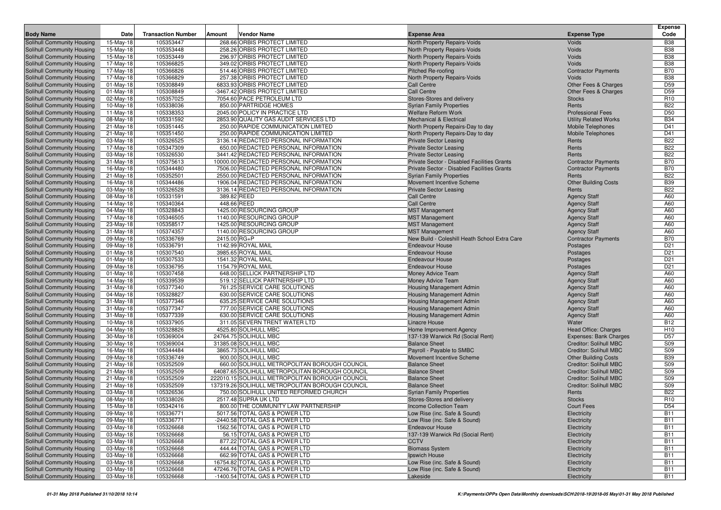| <b>Body Name</b>                                         | Date                   | <b>Transaction Number</b> | Vendor Name<br>Amount                                                                          | <b>Expense Area</b>                                                          | <b>Expense Type</b>                                            | <b>Expense</b><br>Code   |
|----------------------------------------------------------|------------------------|---------------------------|------------------------------------------------------------------------------------------------|------------------------------------------------------------------------------|----------------------------------------------------------------|--------------------------|
| Solihull Community Housing                               | 15-May-18              | 105353447                 | 268.66 ORBIS PROTECT LIMITED                                                                   | North Property Repairs-Voids                                                 | Voids                                                          | <b>B38</b>               |
| Solihull Community Housing                               | 15-May-18              | 105353448                 | 258.26 ORBIS PROTECT LIMITED                                                                   | North Property Repairs-Voids                                                 | Voids                                                          | <b>B38</b>               |
| Solihull Community Housing                               | 15-May-18              | 105353449                 | 296.97 ORBIS PROTECT LIMITED                                                                   | North Property Repairs-Voids                                                 | Voids                                                          | <b>B38</b>               |
| Solihull Community Housing                               | 17-May-18              | 105366825                 | 349.02 ORBIS PROTECT LIMITED                                                                   | North Property Repairs-Voids                                                 | Voids                                                          | <b>B38</b>               |
| Solihull Community Housing                               | 17-May-18              | 105366826                 | 514.46 ORBIS PROTECT LIMITED                                                                   | Pitched Re-roofing                                                           | <b>Contractor Payments</b>                                     | <b>B70</b>               |
| Solihull Community Housing                               | 17-May-18              | 105366829                 | 257.38 ORBIS PROTECT LIMITED                                                                   | North Property Repairs-Voids                                                 | Voids                                                          | <b>B38</b>               |
| Solihull Community Housing                               | 01-May-18              | 105308849                 | 6833.93 ORBIS PROTECT LIMITED                                                                  | <b>Call Centre</b>                                                           | Other Fees & Charges                                           | D <sub>59</sub>          |
| <b>Solihull Community Housing</b>                        | $01$ -May-18           | 105308849                 | -3467.42 ORBIS PROTECT LIMITED                                                                 | <b>Call Centre</b>                                                           | Other Fees & Charges                                           | D <sub>59</sub>          |
| Solihull Community Housing                               | 02-May-18              | 105357025                 | 7054.60 PACE PETROLEUM LTD                                                                     | Stores-Stores and delivery                                                   | <b>Stocks</b>                                                  | R <sub>10</sub>          |
| Solihull Community Housing                               | 10-May-18              | 105338036                 | 850.00 PARTRIDGE HOMES                                                                         | <b>Syrian Family Properties</b>                                              | Rents                                                          | <b>B22</b>               |
| Solihull Community Housing                               | 11-May-18              | 105338353                 | 2045.00 POLICY IN PRACTICE LTD                                                                 | <b>Welfare Reform Work</b>                                                   | <b>Professional Fees</b>                                       | D <sub>50</sub>          |
| Solihull Community Housing                               | 08-May-18              | 105331592                 | 2853.90 QUALITY GAS AUDIT SERVICES LTD                                                         | <b>Mechanical &amp; Electrical</b>                                           | <b>Utility Related Works</b>                                   | <b>B34</b>               |
| Solihull Community Housing                               | 21-May-18              | 105351445                 | 250.00 RAPIDE COMMUNICATION LIMITED                                                            | North Property Repairs-Day to day                                            | Mobile Telephones                                              | D41                      |
| Solihull Community Housing                               | 21-May-18              | 105351450                 | 250.00 RAPIDE COMMUNICATION LIMITED                                                            | North Property Repairs-Day to day                                            | Mobile Telephones                                              | D41                      |
| Solihull Community Housing                               | 03-May-18              | 105326525                 | 3136.14 REDACTED PERSONAL INFORMATION                                                          | <b>Private Sector Leasing</b>                                                | Rents                                                          | <b>B22</b>               |
| Solihull Community Housing                               | 17-May-18              | 105347309<br>105326530    | 650.00 REDACTED PERSONAL INFORMATION<br>3441.42 REDACTED PERSONAL INFORMATION                  | <b>Private Sector Leasing</b>                                                | Rents<br>Rents                                                 | <b>B22</b><br><b>B22</b> |
| Solihull Community Housing<br>Solihull Community Housing | 03-May-18<br>31-May-18 | 105375613                 | 10000.00 REDACTED PERSONAL INFORMATION                                                         | <b>Private Sector Leasing</b><br>Private Sector - Disabled Facilities Grants | <b>Contractor Payments</b>                                     | <b>B70</b>               |
| Solihull Community Housing                               | 16-May-18              | 105344480                 | 7506.00 REDACTED PERSONAL INFORMATION                                                          | Private Sector - Disabled Facilities Grants                                  | <b>Contractor Payments</b>                                     | <b>B70</b>               |
| Solihull Community Housing                               | 21-May-18              | 105352501                 | 2550.00 REDACTED PERSONAL INFORMATION                                                          | <b>Syrian Family Properties</b>                                              | Rents                                                          | <b>B22</b>               |
| Solihull Community Housing                               | 16-May-18              | 105344486                 | 1906.04 REDACTED PERSONAL INFORMATION                                                          | Movement Incentive Scheme                                                    | <b>Other Building Costs</b>                                    | <b>B39</b>               |
| Solihull Community Housing                               | 03-May-18              | 105326528                 | 3136.14 REDACTED PERSONAL INFORMATION                                                          | <b>Private Sector Leasing</b>                                                | Rents                                                          | <b>B22</b>               |
| Solihull Community Housing                               | 08-May-18              | 105331591                 | 389.82 REED                                                                                    | Call Centre                                                                  | <b>Agency Staff</b>                                            | A60                      |
| Solihull Community Housing                               | 14-May-18              | 105340364                 | 448.66 REED                                                                                    | <b>Call Centre</b>                                                           | <b>Agency Staff</b>                                            | A60                      |
| Solihull Community Housing                               | 04-May-18              | 105328843                 | 1425.00 RESOURCING GROUP                                                                       | <b>MST Management</b>                                                        | <b>Agency Staff</b>                                            | A60                      |
| Solihull Community Housing                               | 17-May-18              | 105346505                 | 1140.00 RESOURCING GROUP                                                                       | <b>MST Management</b>                                                        | <b>Agency Staff</b>                                            | A60                      |
| Solihull Community Housing                               | 23-May-18              | 105358517                 | 1425.00 RESOURCING GROUP                                                                       | <b>MST Management</b>                                                        | <b>Agency Staff</b>                                            | A60                      |
| Solihull Community Housing                               | $31-May-18$            | 105374357                 | 1140.00 RESOURCING GROUP                                                                       | <b>MST Management</b>                                                        | <b>Agency Staff</b>                                            | A60                      |
| Solihull Community Housing                               | 09-May-18              | 105336769                 | 2415.00 RG+P                                                                                   | New Build - Coleshill Heath School Extra Care                                | <b>Contractor Payments</b>                                     | <b>B70</b>               |
| Solihull Community Housing                               | 09-May-18              | 105336791                 | 1142.99 ROYAL MAIL                                                                             | <b>Endeavour House</b>                                                       | Postages                                                       | D <sub>21</sub>          |
| Solihull Community Housing                               | $01$ -May-18           | 105307540                 | 3985.65 ROYAL MAIL                                                                             | <b>Endeavour House</b>                                                       | Postages                                                       | D <sub>21</sub>          |
| Solihull Community Housing                               | 01-May-18              | 105307533                 | 1541.32 ROYAL MAIL                                                                             | <b>Endeavour House</b>                                                       | Postages                                                       | D <sub>21</sub>          |
| Solihull Community Housing                               | 09-May-18              | 105336795<br>105307458    | 1154.79 ROYAL MAIL<br>648.00 SELLICK PARTNERSHIP LTD                                           | <b>Endeavour House</b>                                                       | Postages                                                       | D <sub>21</sub><br>A60   |
| Solihull Community Housing<br>Solihull Community Housing | 01-May-18<br>14-May-18 | 105339539                 | 519.12 SELLICK PARTNERSHIP LTD                                                                 | Money Advice Team<br>Money Advice Team                                       | <b>Agency Staff</b><br><b>Agency Staff</b>                     | A60                      |
| Solihull Community Housing                               | 31-May-18              | 105377340                 | 761.25 SERVICE CARE SOLUTIONS                                                                  | Housing Management Admin                                                     | <b>Agency Staff</b>                                            | A60                      |
| Solihull Community Housing                               | 04-May-18              | 105328827                 | 630.00 SERVICE CARE SOLUTIONS                                                                  | Housing Management Admin                                                     | <b>Agency Staff</b>                                            | A60                      |
| Solihull Community Housing                               | $31-May-18$            | 105377346                 | 635.25 SERVICE CARE SOLUTIONS                                                                  | Housing Management Admin                                                     | <b>Agency Staff</b>                                            | A60                      |
| Solihull Community Housing                               | 31-May-18              | 105377347                 | 777.00 SERVICE CARE SOLUTIONS                                                                  | Housing Management Admin                                                     | <b>Agency Staff</b>                                            | A60                      |
| Solihull Community Housing                               | 31-May-18              | 105377339                 | 630.00 SERVICE CARE SOLUTIONS                                                                  | Housing Management Admin                                                     | <b>Agency Staff</b>                                            | A60                      |
| Solihull Community Housing                               | 10-May-18              | 105337905                 | 311.05 SEVERN TRENT WATER LTD                                                                  | Linacre House                                                                | Water                                                          | <b>B12</b>               |
| Solihull Community Housing                               | 04-May-18              | 105328826                 | 4525.80 SOLIHULL MBC                                                                           | Home Improvement Agency                                                      | <b>Head Office: Charges</b>                                    | H <sub>10</sub>          |
| Solihull Community Housing                               | 30-May-18              | 105369004                 | 24764.75 SOLIHULL MBC                                                                          | 137-139 Warwick Rd (Social Rent)                                             | Expenses: Bank Charges                                         | D <sub>57</sub>          |
| Solihull Community Housing                               | 30-May-18              | 105369004                 | 31385.08 SOLIHULL MBC                                                                          | <b>Balance Sheet</b>                                                         | Creditor: Solihull MBC                                         | S09                      |
| Solihull Community Housing                               | 16-May-18              | 105344484                 | 3865.73 SOLIHULL MBC                                                                           | Payroll - Payable to SMBC                                                    | <b>Creditor: Solihull MBC</b>                                  | <b>S09</b>               |
| Solihull Community Housing                               | 09-May-18              | 105336749                 | 900.00 SOLIHULL MBC                                                                            | Movement Incentive Scheme                                                    | <b>Other Building Costs</b>                                    | <b>B39</b>               |
| Solihull Community Housing                               | 21-May-18              | 105352509                 | 660.00 SOLIHULL METROPOLITAN BOROUGH COUNCIL<br>64087.65 SOLIHULL METROPOLITAN BOROUGH COUNCIL | <b>Balance Sheet</b>                                                         | <b>Creditor: Solihull MBC</b>                                  | S09                      |
| Solihull Community Housing                               | 21-May-18              | 105352509                 | 222010.15 SOLIHULL METROPOLITAN BOROUGH COUNCIL                                                | <b>Balance Sheet</b><br><b>Balance Sheet</b>                                 | <b>Creditor: Solihull MBC</b><br><b>Creditor: Solihull MBC</b> | S09<br>S09               |
| Solihull Community Housing<br>Solihull Community Housing | 21-May-18<br>21-May-18 | 105352509<br>105352509    | 137319.26 SOLIHULL METROPOLITAN BOROUGH COUNCIL                                                | <b>Balance Sheet</b>                                                         | <b>Creditor: Solihull MBC</b>                                  | S09                      |
| Solihull Community Housing                               | 03-May-18              | 105326536                 | 750.00 SOLIHULL UNITED REFORMED CHURCH                                                         | <b>Syrian Family Properties</b>                                              | Rents                                                          | <b>B22</b>               |
| Solihull Community Housing                               | 08-May-18              | 105338026                 | 2517.48 SUPRA UK LTD                                                                           | Stores-Stores and delivery                                                   | <b>Stocks</b>                                                  | R <sub>10</sub>          |
| Solihull Community Housing                               | 15-May-18              | 105342416                 | 800.00 THE COMMUNITY LAW PARTNERSHIP                                                           | Income Collection Team                                                       | <b>Court Fees</b>                                              | D <sub>54</sub>          |
| Solihull Community Housing                               | 09-May-18              | 105336771                 | 5017.56 TOTAL GAS & POWER LTD                                                                  | Low Rise (inc. Safe & Sound)                                                 | Electricity                                                    | <b>B11</b>               |
| Solihull Community Housing                               | 09-May-18              | 105336771                 | -2440.58 TOTAL GAS & POWER LTD                                                                 | Low Rise (inc. Safe & Sound)                                                 | Electricity                                                    | <b>B11</b>               |
| Solihull Community Housing                               | 03-May-18              | 105326668                 | 1562.56 TOTAL GAS & POWER LTD                                                                  | <b>Endeavour House</b>                                                       | Electricity                                                    | <b>B11</b>               |
| Solihull Community Housing                               | 03-May-18              | 105326668                 | 56.15 TOTAL GAS & POWER LTD                                                                    | 137-139 Warwick Rd (Social Rent)                                             | Electricity                                                    | <b>B11</b>               |
| Solihull Community Housing                               | 03-May-18              | 105326668                 | 877.22 TOTAL GAS & POWER LTD                                                                   | <b>CCTV</b>                                                                  | Electricity                                                    | <b>B11</b>               |
| Solihull Community Housing                               | 03-May-18              | 105326668                 | 444.44 TOTAL GAS & POWER LTD                                                                   | <b>Biomass System</b>                                                        | Electricity                                                    | <b>B11</b>               |
| Solihull Community Housing                               | 03-May-18              | 105326668                 | 662.99 TOTAL GAS & POWER LTD                                                                   | Ipswich House                                                                | Electricity                                                    | <b>B11</b>               |
| Solihull Community Housing                               | 03-May-18              | 105326668                 | 16754.82 TOTAL GAS & POWER LTD                                                                 | Low Rise (inc. Safe & Sound)                                                 | Electricity                                                    | <b>B11</b>               |
| Solihull Community Housing                               | 03-May-18              | 105326668                 | 47246.76 TOTAL GAS & POWER LTD                                                                 | Low Rise (inc. Safe & Sound)                                                 | Electricity                                                    | <b>B11</b>               |
| Solihull Community Housing                               | 03-May-18              | 105326668                 | -1400.54 TOTAL GAS & POWER LTD                                                                 | Lakeside                                                                     | Electricity                                                    | <b>B11</b>               |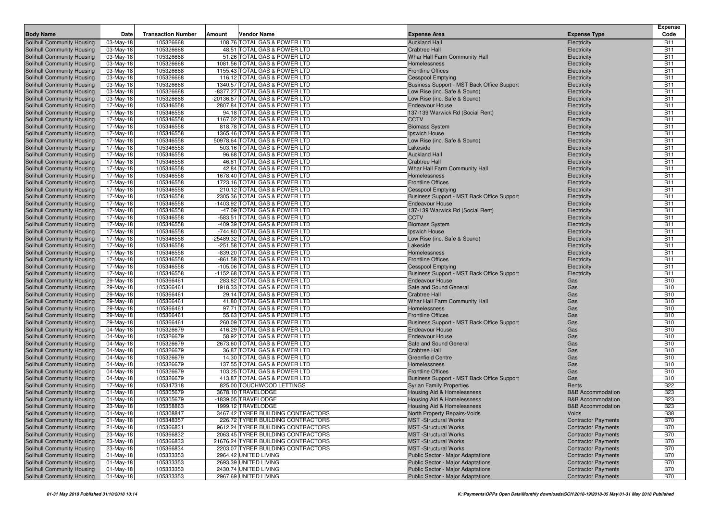|                                                          |                        |                           |        |                                                                          |                                                              |                                                          | <b>Expense</b>           |
|----------------------------------------------------------|------------------------|---------------------------|--------|--------------------------------------------------------------------------|--------------------------------------------------------------|----------------------------------------------------------|--------------------------|
| <b>Body Name</b>                                         | Date                   | <b>Transaction Number</b> | Amount | Vendor Name                                                              | <b>Expense Area</b>                                          | <b>Expense Type</b>                                      | Code                     |
| Solihull Community Housing                               | 03-May-18              | 105326668                 |        | 108.76 TOTAL GAS & POWER LTD                                             | <b>Auckland Hall</b>                                         | Electricity                                              | <b>B11</b>               |
| Solihull Community Housing                               | 03-May-18              | 105326668                 |        | 48.51 TOTAL GAS & POWER LTD                                              | <b>Crabtree Hall</b>                                         | Electricity                                              | <b>B11</b>               |
| Solihull Community Housing                               | 03-May-18              | 105326668                 |        | 51.26 TOTAL GAS & POWER LTD                                              | Whar Hall Farm Community Hall                                | Electricity                                              | <b>B11</b>               |
| Solihull Community Housing<br>Solihull Community Housing | 03-May-18<br>03-May-18 | 105326668<br>105326668    |        | 1081.56 TOTAL GAS & POWER LTD<br>1155.43 TOTAL GAS & POWER LTD           | Homelessness<br><b>Frontline Offices</b>                     | Electricity<br>Electricity                               | <b>B11</b><br><b>B11</b> |
| Solihull Community Housing                               | 03-May-18              | 105326668                 |        | 116.12 TOTAL GAS & POWER LTD                                             | <b>Cesspool Emptying</b>                                     | Electricity                                              | <b>B11</b>               |
| Solihull Community Housing                               | 03-May-18              | 105326668                 |        | 1340.57 TOTAL GAS & POWER LTD                                            | Business Support - MST Back Office Support                   | Electricity                                              | <b>B11</b>               |
| Solihull Community Housing                               | 03-May-18              | 105326668                 |        | -8377.27 TOTAL GAS & POWER LTD                                           | Low Rise (inc. Safe & Sound)                                 | Electricity                                              | <b>B11</b>               |
| Solihull Community Housing                               | 03-May-18              | 105326668                 |        | -20136.87 TOTAL GAS & POWER LTD                                          | Low Rise (inc. Safe & Sound)                                 | Electricity                                              | <b>B11</b>               |
| Solihull Community Housing                               | 17-May-18              | 105346558                 |        | 2807.84 TOTAL GAS & POWER LTD                                            | <b>Endeavour House</b>                                       | Electricity                                              | <b>B11</b>               |
| Solihull Community Housing                               | 17-May-18              | 105346558                 |        | 94.18 TOTAL GAS & POWER LTD                                              | 137-139 Warwick Rd (Social Rent)                             | Electricity                                              | <b>B11</b>               |
| Solihull Community Housing                               | 17-May-18              | 105346558                 |        | 1167.02 TOTAL GAS & POWER LTD                                            | <b>CCTV</b>                                                  | Electricity                                              | <b>B11</b>               |
| Solihull Community Housing                               | 17-May-18              | 105346558                 |        | 818.78 TOTAL GAS & POWER LTD                                             | <b>Biomass System</b>                                        | Electricity                                              | <b>B11</b>               |
| Solihull Community Housing                               | 17-May-18              | 105346558                 |        | 1365.46 TOTAL GAS & POWER LTD                                            | Ipswich House                                                | Electricity                                              | <b>B11</b>               |
| Solihull Community Housing                               | 17-May-18              | 105346558                 |        | 50978.64 TOTAL GAS & POWER LTD                                           | Low Rise (inc. Safe & Sound)                                 | Electricity                                              | <b>B11</b>               |
| Solihull Community Housing                               | 17-May-18              | 105346558                 |        | 503.16 TOTAL GAS & POWER LTD                                             | Lakeside                                                     | Electricity                                              | <b>B11</b>               |
| Solihull Community Housing                               | 17-May-18              | 105346558                 |        | 96.68 TOTAL GAS & POWER LTD                                              | <b>Auckland Hall</b>                                         | Electricity                                              | <b>B11</b><br><b>B11</b> |
| Solihull Community Housing<br>Solihull Community Housing | 17-May-18<br>17-May-18 | 105346558<br>105346558    |        | 46.81 TOTAL GAS & POWER LTD<br>42.84 TOTAL GAS & POWER LTD               | <b>Crabtree Hall</b><br>Whar Hall Farm Community Hall        | Electricity<br>Electricity                               | <b>B11</b>               |
| Solihull Community Housing                               | 17-May-18              | 105346558                 |        | 1678.40 TOTAL GAS & POWER LTD                                            | Homelessness                                                 | Electricity                                              | <b>B11</b>               |
| Solihull Community Housing                               | 17-May-18              | 105346558                 |        | 1723.16 TOTAL GAS & POWER LTD                                            | <b>Frontline Offices</b>                                     | Electricity                                              | <b>B11</b>               |
| Solihull Community Housing                               | 17-May-18              | 105346558                 |        | 210.12 TOTAL GAS & POWER LTD                                             | Cesspool Emptying                                            | Electricity                                              | <b>B11</b>               |
| Solihull Community Housing                               | 17-May-18              | 105346558                 |        | 2305.36 TOTAL GAS & POWER LTD                                            | Business Support - MST Back Office Support                   | Electricity                                              | <b>B11</b>               |
| Solihull Community Housing                               | 17-May-18              | 105346558                 |        | -1403.92 TOTAL GAS & POWER LTD                                           | <b>Endeavour House</b>                                       | Electricity                                              | <b>B11</b>               |
| Solihull Community Housing                               | 17-May-18              | 105346558                 |        | -47.09 TOTAL GAS & POWER LTD                                             | 137-139 Warwick Rd (Social Rent)                             | Electricity                                              | <b>B11</b>               |
| Solihull Community Housing                               | 17-May-18              | 105346558                 |        | -583.51 TOTAL GAS & POWER LTD                                            | <b>CCTV</b>                                                  | Electricity                                              | <b>B11</b>               |
| Solihull Community Housing                               | 17-May-18              | 105346558                 |        | -409.39 TOTAL GAS & POWER LTD                                            | <b>Biomass System</b>                                        | Electricity                                              | <b>B11</b>               |
| Solihull Community Housing                               | 17-May-18              | 105346558                 |        | -744.80 TOTAL GAS & POWER LTD                                            | Ipswich House                                                | Electricity                                              | <b>B11</b>               |
| Solihull Community Housing                               | 17-May-18              | 105346558                 |        | -25489.32 TOTAL GAS & POWER LTD                                          | Low Rise (inc. Safe & Sound)                                 | Electricity                                              | <b>B11</b>               |
| Solihull Community Housing                               | 17-May-18              | 105346558                 |        | -251.58 TOTAL GAS & POWER LTD                                            | Lakeside                                                     | Electricity                                              | <b>B11</b>               |
| Solihull Community Housing<br>Solihull Community Housing | 17-May-18<br>17-May-18 | 105346558<br>105346558    |        | -839.20 TOTAL GAS & POWER LTD<br>-861.58 TOTAL GAS & POWER LTD           | Homelessness<br><b>Frontline Offices</b>                     | Electricity<br>Electricity                               | <b>B11</b><br><b>B11</b> |
| Solihull Community Housing                               | 17-May-18              | 105346558                 |        | -105.06 TOTAL GAS & POWER LTD                                            | <b>Cesspool Emptying</b>                                     | Electricity                                              | <b>B11</b>               |
| Solihull Community Housing                               | 17-May-18              | 105346558                 |        | -1152.68 TOTAL GAS & POWER LTD                                           | Business Support - MST Back Office Support                   | Electricity                                              | <b>B11</b>               |
| Solihull Community Housing                               | 29-May-18              | 105366461                 |        | 283.82 TOTAL GAS & POWER LTD                                             | <b>Endeavour House</b>                                       | Gas                                                      | <b>B10</b>               |
| Solihull Community Housing                               | 29-May-18              | 105366461                 |        | 1918.33 TOTAL GAS & POWER LTD                                            | Safe and Sound General                                       | Gas                                                      | <b>B10</b>               |
| Solihull Community Housing                               | 29-May-18              | 105366461                 |        | 29.14 TOTAL GAS & POWER LTD                                              | <b>Crabtree Hall</b>                                         | Gas                                                      | <b>B10</b>               |
| Solihull Community Housing                               | 29-May-18              | 105366461                 |        | 41.80 TOTAL GAS & POWER LTD                                              | Whar Hall Farm Community Hall                                | Gas                                                      | <b>B10</b>               |
| Solihull Community Housing                               | 29-May-18              | 105366461                 |        | 97.71 TOTAL GAS & POWER LTD                                              | Homelessness                                                 | Gas                                                      | <b>B10</b>               |
| Solihull Community Housing                               | 29-May-18              | 105366461                 |        | 55.63 TOTAL GAS & POWER LTD                                              | <b>Frontline Offices</b>                                     | Gas                                                      | <b>B10</b>               |
| Solihull Community Housing                               | 29-May-18              | 105366461                 |        | 260.09 TOTAL GAS & POWER LTD                                             | Business Support - MST Back Office Support                   | Gas                                                      | <b>B10</b>               |
| Solihull Community Housing                               | 04-May-18              | 105326679                 |        | 416.29 TOTAL GAS & POWER LTD                                             | <b>Endeavour House</b>                                       | Gas                                                      | <b>B10</b>               |
| Solihull Community Housing                               | 04-May-18<br>04-May-18 | 105326679<br>105326679    |        | 58.92 TOTAL GAS & POWER LTD<br>2673.60 TOTAL GAS & POWER LTD             | <b>Endeavour House</b><br>Safe and Sound General             | Gas<br>Gas                                               | <b>B10</b><br><b>B10</b> |
| Solihull Community Housing<br>Solihull Community Housing | 04-May-18              | 105326679                 |        | 36.87 TOTAL GAS & POWER LTD                                              | <b>Crabtree Hall</b>                                         | Gas                                                      | <b>B10</b>               |
| Solihull Community Housing                               | 04-May-18              | 105326679                 |        | 14.30 TOTAL GAS & POWER LTD                                              | <b>Greenfield Centre</b>                                     | Gas                                                      | <b>B10</b>               |
| Solihull Community Housing                               | 04-May-18              | 105326679                 |        | 137.55 TOTAL GAS & POWER LTD                                             | Homelessness                                                 | Gas                                                      | <b>B10</b>               |
| Solihull Community Housing                               | 04-May-18              | 105326679                 |        | 103.25 TOTAL GAS & POWER LTD                                             | <b>Frontline Offices</b>                                     | Gas                                                      | <b>B10</b>               |
| Solihull Community Housing                               | 04-May-18              | 105326679                 |        | 413.87 TOTAL GAS & POWER LTD                                             | Business Support - MST Back Office Support                   | Gas                                                      | <b>B10</b>               |
| Solihull Community Housing                               | 17-May-18              | 105347318                 |        | 825.00 TOUCHWOOD LETTINGS                                                | <b>Syrian Family Properties</b>                              | Rents                                                    | <b>B22</b>               |
| Solihull Community Housing                               | 01-May-18              | 105305679                 |        | 3678.10 TRAVELODGE                                                       | Housing Aid & Homelessness                                   | <b>B&amp;B</b> Accommodation                             | <b>B23</b>               |
| Solihull Community Housing                               | 01-May-18              | 105305679                 |        | -1839.05 TRAVELODGE                                                      | Housing Aid & Homelessness                                   | <b>B&amp;B Accommodation</b>                             | <b>B23</b>               |
| Solihull Community Housing                               | 23-May-18              | 105358863                 |        | 1999.12 TRAVELODGE                                                       | Housing Aid & Homelessness                                   | <b>B&amp;B Accommodation</b>                             | <b>B23</b>               |
| Solihull Community Housing                               | 01-May-18              | 105308847                 |        | 3467.42 TYRER BUILDING CONTRACTORS                                       | North Property Repairs-Voids                                 | Voids                                                    | <b>B38</b>               |
| Solihull Community Housing<br>Solihull Community Housing | $01$ -May-18           | 105348357                 |        | 226.72 TYRER BUILDING CONTRACTORS                                        | <b>MST</b> -Structural Works                                 | <b>Contractor Payments</b>                               | <b>B70</b>               |
| Solihull Community Housing                               | 21-May-18<br>23-May-18 | 105366831<br>105366832    |        | 9612.24 TYRER BUILDING CONTRACTORS<br>2063.45 TYRER BUILDING CONTRACTORS | <b>MST</b> -Structural Works<br><b>MST</b> -Structural Works | <b>Contractor Payments</b><br><b>Contractor Payments</b> | <b>B70</b><br><b>B70</b> |
| Solihull Community Housing                               | 23-May-18              | 105366833                 |        | 21676.24 TYRER BUILDING CONTRACTORS                                      | <b>MST</b> -Structural Works                                 | <b>Contractor Payments</b>                               | <b>B70</b>               |
| Solihull Community Housing                               | 23-May-18              | 105366834                 |        | 2203.07 TYRER BUILDING CONTRACTORS                                       | <b>MST</b> -Structural Works                                 | <b>Contractor Payments</b>                               | <b>B70</b>               |
| Solihull Community Housing                               | 01-May-18              | 105333353                 |        | 2964.42 UNITED LIVING                                                    | <b>Public Sector - Major Adaptations</b>                     | <b>Contractor Payments</b>                               | <b>B70</b>               |
| Solihull Community Housing                               | 01-May-18              | 105333353                 |        | 2693.39 UNITED LIVING                                                    | Public Sector - Major Adaptations                            | <b>Contractor Payments</b>                               | <b>B70</b>               |
| Solihull Community Housing                               | 01-May-18              | 105333353                 |        | 2430.74 UNITED LIVING                                                    | Public Sector - Major Adaptations                            | <b>Contractor Payments</b>                               | <b>B70</b>               |
| Solihull Community Housing                               | $01$ -May-18           | 105333353                 |        | 2967.69 UNITED LIVING                                                    | Public Sector - Major Adaptations                            | <b>Contractor Payments</b>                               | <b>B70</b>               |